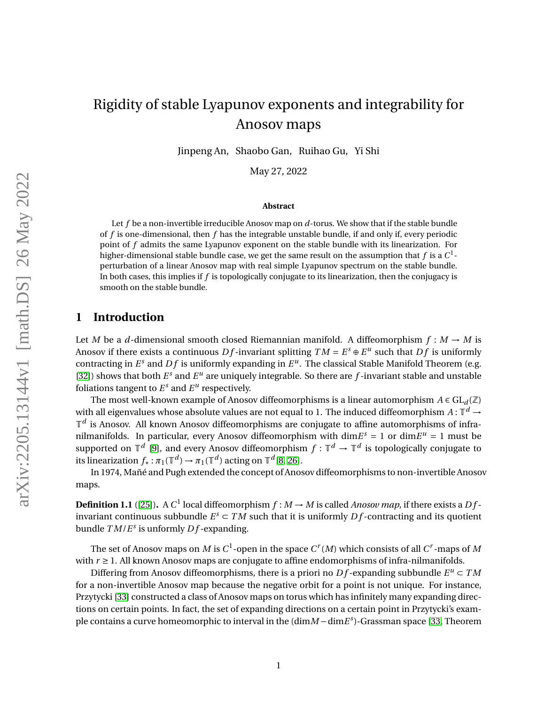Jinpeng An, Shaobo Gan, Ruihao Gu, Yi Shi

May 27, 2022

#### **Abstract**

Let *f* be a non-invertible irreducible Anosov map on *d*-torus. We show that if the stable bundle of *f* is one-dimensional, then *f* has the integrable unstable bundle, if and only if, every periodic point of *f* admits the same Lyapunov exponent on the stable bundle with its linearization. For higher-dimensional stable bundle case, we get the same result on the assumption that  $f$  is a  $C^1$ perturbation of a linear Anosov map with real simple Lyapunov spectrum on the stable bundle. In both cases, this implies if *f* is topologically conjugate to its linearization, then the conjugacy is smooth on the stable bundle.

## **1 Introduction**

Let *M* be a *d*-dimensional smooth closed Riemannian manifold. A diffeomorphism  $f : M \to M$  is Anosov if there exists a continuous  $Df$ -invariant splitting  $TM = E<sup>s</sup> \oplus E<sup>u</sup>$  such that  $Df$  is uniformly contracting in  $E^s$  and  $Df$  is uniformly expanding in  $E^u$ . The classical Stable Manifold Theorem (e.g. [\[32\]](#page-35-0)) shows that both  $E^s$  and  $E^u$  are uniquely integrable. So there are  $f$ -invariant stable and unstable foliations tangent to  $E^s$  and  $E^u$  respectively.

The most well-known example of Anosov diffeomorphisms is a linear automorphism  $A \in GL_d(\mathbb{Z})$ with all eigenvalues whose absolute values are not equal to 1. The induced diffeomorphism  $A\colon\mathbb{T}^d\to$  $\mathbb{T}^d$  is Anosov. All known Anosov diffeomorphisms are conjugate to affine automorphisms of infranilmanifolds. In particular, every Anosov diffeomorphism with dim $E^s = 1$  or dim $E^u = 1$  must be supported on  $\mathbb{T}^d$  [\[9\]](#page-33-0), and every Anosov diffeomorphism  $f: \mathbb{T}^d \to \mathbb{T}^d$  is topologically conjugate to its linearization  $f_*: \pi_1(\mathbb{T}^d) \to \pi_1(\mathbb{T}^d)$  acting on  $\mathbb{T}^d$ [\[8,](#page-33-1) [26\]](#page-34-0).

In 1974, Mañé and Pugh extended the concept of Anosov diffeomorphisms to non-invertible Anosov maps.

**Definition 1.1** ([\[25\]](#page-34-1)). A C<sup>1</sup> local diffeomorphism  $f : M \to M$  is called *Anosov map*, if there exists a Dfinvariant continuous subbundle  $E^s \subset TM$  such that it is uniformly  $Df$ -contracting and its quotient bundle *T M*/*E s* is unformly *D f* -expanding.

The set of Anosov maps on  $M$  is  $C^1$ -open in the space  $C^r(M)$  which consists of all  $C^r$ -maps of  $M$ with  $r \geq 1$ . All known Anosov maps are conjugate to affine endomorphisms of infra-nilmanifolds.

Differing from Anosov diffeomorphisms, there is a priori no  $Df$ -expanding subbundle  $E^u \subset TM$ for a non-invertible Anosov map because the negative orbit for a point is not unique. For instance, Przytycki [\[33\]](#page-35-1) constructed a class of Anosov maps on torus which has infinitely many expanding directions on certain points. In fact, the set of expanding directions on a certain point in Przytycki's example contains a curve homeomorphic to interval in the (dim*M* − dim*E*<sup>s</sup>)-Grassman space [\[33,](#page-35-1) Theorem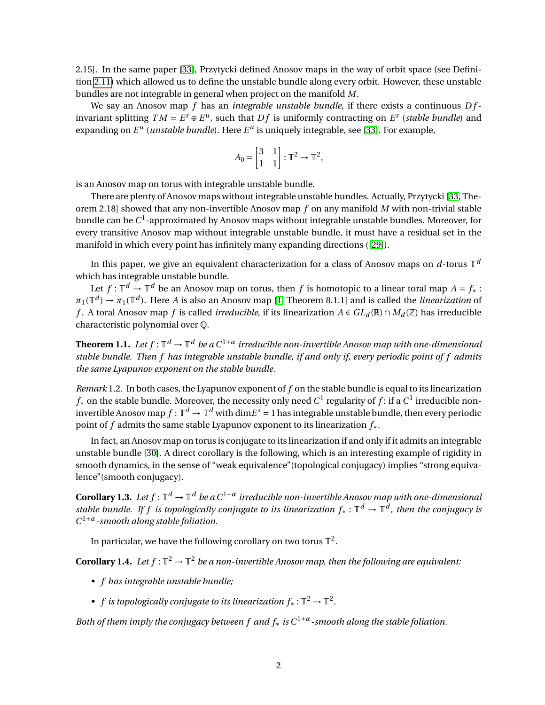2.15]. In the same paper [\[33\]](#page-35-1), Przytycki defined Anosov maps in the way of orbit space (see Definition [2.11\)](#page-8-0) which allowed us to define the unstable bundle along every orbit. However, these unstable bundles are not integrable in general when project on the manifold *M*.

We say an Anosov map *f* has an *integrable unstable bundle*, if there exists a continuous *D f* invariant splitting  $TM = E^s \oplus E^u$ , such that  $Df$  is uniformly contracting on  $E^s$  (*stable bundle*) and expanding on  $E^u$  (*unstable bundle*). Here  $E^u$  is uniquely integrable, see [\[33\]](#page-35-1). For example,

$$
A_0 = \begin{bmatrix} 3 & 1 \\ 1 & 1 \end{bmatrix} : \mathbb{T}^2 \to \mathbb{T}^2,
$$

is an Anosov map on torus with integrable unstable bundle.

There are plenty of Anosov maps without integrable unstable bundles. Actually, Przytycki [\[33,](#page-35-1) Theorem 2.18] showed that any non-invertible Anosov map *f* on any manifold *M* with non-trivial stable bundle can be  $C^1$ -approximated by Anosov maps without integrable unstable bundles. Moreover, for every transitive Anosov map without integrable unstable bundle, it must have a residual set in the manifold in which every point has infinitely many expanding directions ([\[29\]](#page-35-2)).

In this paper, we give an equivalent characterization for a class of Anosov maps on  $d$ -torus  $\mathbb{T}^d$ which has integrable unstable bundle.

Let  $f: \mathbb{T}^d \to \mathbb{T}^d$  be an Anosov map on torus, then  $f$  is homotopic to a linear toral map  $A = f_*$  :  $\pi_1(\mathbb{T}^d)\to\pi_1(\mathbb{T}^d).$  Here *A* is also an Anosov map [\[1,](#page-33-2) Theorem 8.1.1] and is called the *linearization* of *f*. A toral Anosov map *f* is called *irreducible*, if its linearization *A* ∈  $GL_d(\mathbb{R})$  ∩  $M_d(\mathbb{Z})$  has irreducible characteristic polynomial over Q.

<span id="page-1-0"></span>**Theorem 1.1.** Let  $f: \mathbb{T}^d \to \mathbb{T}^d$  be a  $C^{1+\alpha}$  irreducible non-invertible Anosov map with one-dimensional *stable bundle. Then f has integrable unstable bundle, if and only if, every periodic point of f admits the same Lyapunov exponent on the stable bundle.*

*Remark* 1.2*.* In both cases, the Lyapunov exponent of *f* on the stable bundle is equal to its linearization  $f_{\ast}$  on the stable bundle. Moreover, the necessity only need  $C^{1}$  regularity of  $f$ : if a  $C^{1}$  irreducible noninvertible Anosov map  $f:\mathbb{T}^d\to\mathbb{T}^d$  with dim $E^s=1$  has integrable unstable bundle, then every periodic point of *f* admits the same stable Lyapunov exponent to its linearization *f*∗.

In fact, an Anosov map on torus is conjugate to its linearization if and only if it admits an integrable unstable bundle [\[30\]](#page-35-3). A direct corollary is the following, which is an interesting example of rigidity in smooth dynamics, in the sense of "weak equivalence" (topological conjugacy) implies "strong equivalence"(smooth conjugacy).

<span id="page-1-1"></span>**Corollary 1.3.** Let  $f : \mathbb{T}^d \to \mathbb{T}^d$  be a  $C^{1+\alpha}$  irreducible non-invertible Anosov map with one-dimensional *stable bundle. If f is topologically conjugate to its linearization f*∗ : T *<sup>d</sup>* → T *d , then the conjugacy is C* <sup>1</sup>+*α-smooth along stable foliation.*

In particular, we have the following corollary on two torus  $\mathbb{T}^2.$ 

**Corollary 1.4.** Let  $f : \mathbb{T}^2 \to \mathbb{T}^2$  be a non-invertible Anosov map, then the following are equivalent:

- *f has integrable unstable bundle;*
- *f* is topologically conjugate to its linearization  $f_* : \mathbb{T}^2 \to \mathbb{T}^2$ .

*Both of them imply the conjugacy between f and f*<sup>∗</sup> *is C*1+*α-smooth along the stable foliation.*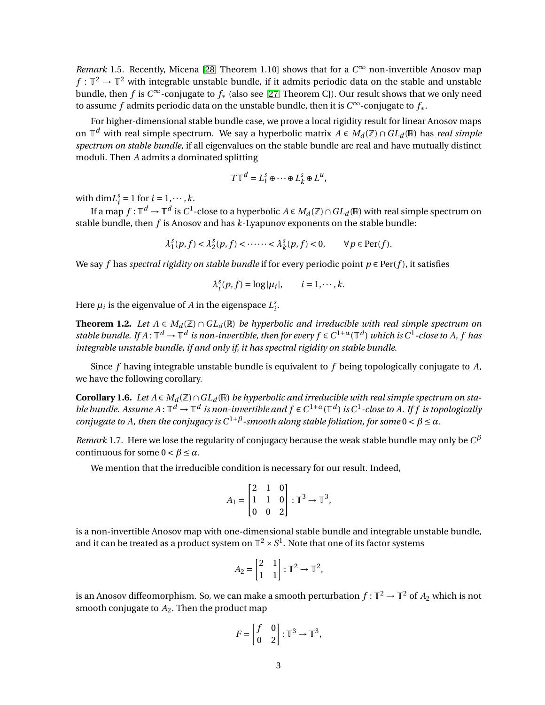<span id="page-2-2"></span>*Remark* 1.5. Recently, Micena [\[28,](#page-35-4) Theorem 1.10] shows that for a  $C^∞$  non-invertible Anosov map  $f: \mathbb{T}^2 \to \mathbb{T}^2$  with integrable unstable bundle, if it admits periodic data on the stable and unstable bundle, then *f* is *C* <sup>∞</sup>-conjugate to *f*<sup>∗</sup> (also see [\[27,](#page-35-5) Theorem C]). Our result shows that we only need to assume *f* admits periodic data on the unstable bundle, then it is *C* <sup>∞</sup>-conjugate to *f*∗.

For higher-dimensional stable bundle case, we prove a local rigidity result for linear Anosov maps on T *<sup>d</sup>* with real simple spectrum. We say a hyperbolic matrix *A* ∈ *M<sup>d</sup>* (Z) ∩*GL<sup>d</sup>* (R) has *real simple spectrum on stable bundle*, if all eigenvalues on the stable bundle are real and have mutually distinct moduli. Then *A* admits a dominated splitting

$$
T\mathbb{T}^d = L_1^s \oplus \cdots \oplus L_k^s \oplus L^u,
$$

with  $\dim L_i^s = 1$  for  $i = 1, \dots, k$ .

If a map  $f:\mathbb{T}^d\to\mathbb{T}^d$  is  $C^1$ -close to a hyperbolic  $A\in M_d(\mathbb{Z})\cap GL_d(\mathbb{R})$  with real simple spectrum on stable bundle, then *f* is Anosov and has *k*-Lyapunov exponents on the stable bundle:

$$
\lambda_1^s(p,f) < \lambda_2^s(p,f) < \cdots < \lambda_k^s(p,f) < 0, \qquad \forall \, p \in \text{Per}(f).
$$

We say *f* has *spectral rigidity on stable bundle* if for every periodic point  $p \in Per(f)$ , it satisfies

$$
\lambda_i^s(p, f) = \log |\mu_i|, \qquad i = 1, \cdots, k.
$$

Here  $\mu_i$  is the eigenvalue of *A* in the eigenspace  $L_i^s$ .

<span id="page-2-0"></span>**Theorem 1.2.** *Let*  $A \in M_d(\mathbb{Z}) \cap GL_d(\mathbb{R})$  *be hyperbolic and irreducible with real simple spectrum on stable bundle.* If  $A: \mathbb{T}^d \to \mathbb{T}^d$  is non-invertible, then for every  $f \in C^{1+\alpha}(\mathbb{T}^d)$  which is  $C^1$ -close to A, f has *integrable unstable bundle, if and only if, it has spectral rigidity on stable bundle.*

Since *f* having integrable unstable bundle is equivalent to *f* being topologically conjugate to *A*, we have the following corollary.

<span id="page-2-1"></span>**Corollary 1.6.** *Let*  $A \in M_d(\mathbb{Z}) \cap GL_d(\mathbb{R})$  *be hyperbolic and irreducible with real simple spectrum on stable bundle. Assume*  $A: \mathbb{T}^d \to \mathbb{T}^d$  *is non-invertible and*  $f \in C^{1+\alpha}(\mathbb{T}^d)$  *is*  $C^1$ *-close to A. If f is topologically conjugate to A, then the conjugacy is*  $C^{1+\beta}$ -smooth along stable foliation, for some  $0 < \beta \leq \alpha$ .

*Remark* 1.7*.* Here we lose the regularity of conjugacy because the weak stable bundle may only be *C β* continuous for some  $0 < \beta \leq \alpha$ .

We mention that the irreducible condition is necessary for our result. Indeed,

$$
A_1 = \begin{bmatrix} 2 & 1 & 0 \\ 1 & 1 & 0 \\ 0 & 0 & 2 \end{bmatrix} : \mathbb{T}^3 \to \mathbb{T}^3,
$$

is a non-invertible Anosov map with one-dimensional stable bundle and integrable unstable bundle, and it can be treated as a product system on  $\mathbb{T}^2\times S^1.$  Note that one of its factor systems

$$
A_2 = \begin{bmatrix} 2 & 1 \\ 1 & 1 \end{bmatrix} : \mathbb{T}^2 \to \mathbb{T}^2,
$$

is an Anosov diffeomorphism. So, we can make a smooth perturbation  $f:\mathbb{T}^2\to\mathbb{T}^2$  of  $A_2$  which is not smooth conjugate to  $A_2$ . Then the product map

$$
F = \begin{bmatrix} f & 0 \\ 0 & 2 \end{bmatrix} : \mathbb{T}^3 \to \mathbb{T}^3,
$$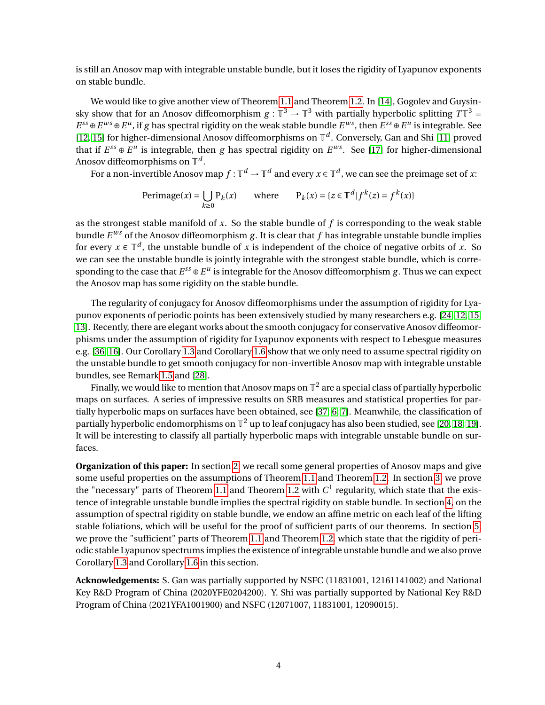is still an Anosov map with integrable unstable bundle, but it loses the rigidity of Lyapunov exponents on stable bundle.

We would like to give another view of Theorem [1.1](#page-1-0) and Theorem [1.2.](#page-2-0) In [\[14\]](#page-34-2), Gogolev and Guysinsky show that for an Anosov diffeomorphism  $g : \mathbb{T}^3 \to \mathbb{T}^3$  with partially hyperbolic splitting  $T\mathbb{T}^3 =$  $E^{ss} \oplus E^{ws} \oplus E^u$ , if *g* has spectral rigidity on the weak stable bundle  $E^{ws}$ , then  $E^{ss} \oplus E^u$  is integrable. See [\[12,](#page-34-3) [15\]](#page-34-4) for higher-dimensional Anosov diffeomorphisms on T *d* . Conversely, Gan and Shi [\[11\]](#page-34-5) proved that if  $E^{ss} \oplus E^u$  is integrable, then *g* has spectral rigidity on  $E^{ws}$ . See [\[17\]](#page-34-6) for higher-dimensional Anosov diffeomorphisms on  $\mathbb{T}^d.$ 

For a non-invertible Anosov map  $f:\mathbb{T}^d\to\mathbb{T}^d$  and every  $x\in\mathbb{T}^d$ , we can see the preimage set of  $x$ :

Perimage(x) = 
$$
\bigcup_{k \ge 0} P_k(x)
$$
 where  $P_k(x) = \{z \in \mathbb{T}^d | f^k(z) = f^k(x)\}\$ 

as the strongest stable manifold of *x*. So the stable bundle of *f* is corresponding to the weak stable bundle  $E^{ws}$  of the Anosov diffeomorphism g. It is clear that f has integrable unstable bundle implies for every  $x \in \mathbb{T}^d$ , the unstable bundle of *x* is independent of the choice of negative orbits of *x*. So we can see the unstable bundle is jointly integrable with the strongest stable bundle, which is corresponding to the case that  $E^{ss} \oplus E^u$  is integrable for the Anosov diffeomorphism  $g$ . Thus we can expect the Anosov map has some rigidity on the stable bundle.

The regularity of conjugacy for Anosov diffeomorphisms under the assumption of rigidity for Lyapunov exponents of periodic points has been extensively studied by many researchers e.g. [\[24,](#page-34-7) [12,](#page-34-3) [15,](#page-34-4) [13\]](#page-34-8). Recently, there are elegant works about the smooth conjugacy for conservative Anosov diffeomorphisms under the assumption of rigidity for Lyapunov exponents with respect to Lebesgue measures e.g. [\[36,](#page-35-6) [16\]](#page-34-9). Our Corollary [1.3](#page-1-1) and Corollary [1.6](#page-2-1) show that we only need to assume spectral rigidity on the unstable bundle to get smooth conjugacy for non-invertible Anosov map with integrable unstable bundles, see Remark [1.5](#page-2-2) and [\[28\]](#page-35-4).

Finally, we would like to mention that Anosov maps on  $\mathbb{T}^2$  are a special class of partially hyperbolic maps on surfaces. A series of impressive results on SRB measures and statistical properties for partially hyperbolic maps on surfaces have been obtained, see [\[37,](#page-35-7) [6,](#page-33-3) [7\]](#page-33-4). Meanwhile, the classification of partially hyperbolic endomorphisms on  $\mathbb{T}^2$  up to leaf conjugacy has also been studied, see [\[20,](#page-34-10) [18,](#page-34-11) [19\]](#page-34-12). It will be interesting to classify all partially hyperbolic maps with integrable unstable bundle on surfaces.

**Organization of this paper:** In section [2,](#page-4-0) we recall some general properties of Anosov maps and give some useful properties on the assumptions of Theorem [1.1](#page-1-0) and Theorem [1.2.](#page-2-0) In section [3,](#page-14-0) we prove the "necessary" parts of Theorem [1.1](#page-1-0) and Theorem [1.2](#page-2-0) with  $C<sup>1</sup>$  regularity, which state that the existence of integrable unstable bundle implies the spectral rigidity on stable bundle. In section [4,](#page-20-0) on the assumption of spectral rigidity on stable bundle, we endow an affine metric on each leaf of the lifting stable foliations, which will be useful for the proof of sufficient parts of our theorems. In section [5,](#page-24-0) we prove the "sufficient" parts of Theorem [1.1](#page-1-0) and Theorem [1.2,](#page-2-0) which state that the rigidity of periodic stable Lyapunov spectrums implies the existence of integrable unstable bundle and we also prove Corollary [1.3](#page-1-1) and Corollary [1.6](#page-2-1) in this section.

**Acknowledgements:** S. Gan was partially supported by NSFC (11831001, 12161141002) and National Key R&D Program of China (2020YFE0204200). Y. Shi was partially supported by National Key R&D Program of China (2021YFA1001900) and NSFC (12071007, 11831001, 12090015).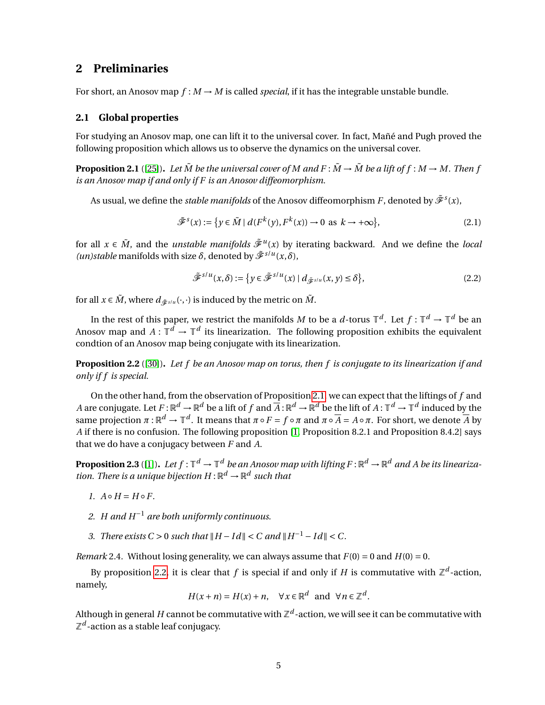## <span id="page-4-0"></span>**2 Preliminaries**

For short, an Anosov map  $f : M \to M$  is called *special*, if it has the integrable unstable bundle.

### **2.1 Global properties**

For studying an Anosov map, one can lift it to the universal cover. In fact, Mañé and Pugh proved the following proposition which allows us to observe the dynamics on the universal cover.

<span id="page-4-1"></span>**Proposition 2.1** ([\[25\]](#page-34-1)). Let  $\tilde{M}$  be the universal cover of M and  $F : \tilde{M} \to \tilde{M}$  be a lift of  $f : M \to M$ . Then f *is an Anosov map if and only if F is an Anosov diffeomorphism.*

As usual, we define the *stable manifolds* of the Anosov diffeomorphism  $F$ , denoted by  $\tilde{\mathscr{F}}^s(x)$ ,

$$
\tilde{\mathcal{F}}^{s}(x) := \{ y \in \tilde{M} \mid d(F^{k}(y), F^{k}(x)) \to 0 \text{ as } k \to +\infty \},\tag{2.1}
$$

for all  $x \in \tilde{M}$ , and the *unstable manifolds*  $\tilde{\mathscr{F}}^u(x)$  by iterating backward. And we define the *local (un)stable* manifolds with size  $\delta$ , denoted by  $\tilde{\mathcal{F}}^{s/u}(x,\delta)$ ,

<span id="page-4-3"></span>
$$
\tilde{\mathcal{F}}^{s/u}(x,\delta) := \left\{ y \in \tilde{\mathcal{F}}^{s/u}(x) \mid d_{\tilde{\mathcal{F}}^{s/u}}(x,y) \le \delta \right\},\tag{2.2}
$$

for all  $x \in \tilde{M}$ , where  $d_{\tilde{\mathscr{F}}^{S/u}}(\cdot,\cdot)$  is induced by the metric on  $\tilde{M}$ .

In the rest of this paper, we restrict the manifolds *M* to be a *d*-torus  $\mathbb{T}^d$ . Let  $f: \mathbb{T}^d \to \mathbb{T}^d$  be an Anosov map and  $A: \mathbb{T}^d \to \mathbb{T}^d$  its linearization. The following proposition exhibits the equivalent condtion of an Anosov map being conjugate with its linearization.

<span id="page-4-2"></span>**Proposition 2.2** ([\[30\]](#page-35-3))**.** *Let f be an Anosov map on torus, then f is conjugate to its linearization if and only if f is special.*

On the other hand, from the observation of Proposition [2.1,](#page-4-1) we can expect that the liftings of *f* and *A* are conjugate. Let  $F$  :  $\R^d\to\R^d$  be a lift of  $f$  and  $\overline{A}$  :  $\R^d\to\R^d$  be the lift of  $A$  :  $\mathbb{T}^d\to\mathbb{T}^d$  induced by the same projection  $\pi:\mathbb{R}^d\to\mathbb{T}^d.$  It means that  $\pi\circ F=f\circ\pi$  and  $\pi\circ\overline{A}=A\circ\pi.$  For short, we denote  $\overline{A}$  by *A* if there is no confusion. The following proposition [\[1,](#page-33-2) Proposition 8.2.1 and Proposition 8.4.2] says that we do have a conjugacy between *F* and *A*.

<span id="page-4-4"></span>**Proposition 2.3** ([\[1\]](#page-33-2)). Let  $f:\mathbb{T}^d\to\mathbb{T}^d$  be an Anosov map with lifting  $F:\mathbb{R}^d\to\mathbb{R}^d$  and A be its lineariza*tion. There is a unique bijection*  $H: \mathbb{R}^d \to \mathbb{R}^d$  such that

- $I. A \circ H = H \circ F.$
- *2. H and H*−<sup>1</sup> *are both uniformly continuous.*
- *3. There exists*  $C > 0$  *such that*  $||H Id|| < C$  *and*  $||H^{-1} Id|| < C$ *.*

*Remark* 2.4. Without losing generality, we can always assume that  $F(0) = 0$  and  $H(0) = 0$ .

By proposition [2.2,](#page-4-2) it is clear that  $f$  is special if and only if  $H$  is commutative with  $\mathbb{Z}^d$ -action, namely,

$$
H(x+n) = H(x) + n, \quad \forall x \in \mathbb{R}^d \text{ and } \forall n \in \mathbb{Z}^d.
$$

Although in general  $H$  cannot be commutative with  $\mathbb{Z}^d$  -action, we will see it can be commutative with  $\mathbb{Z}^d$ -action as a stable leaf conjugacy.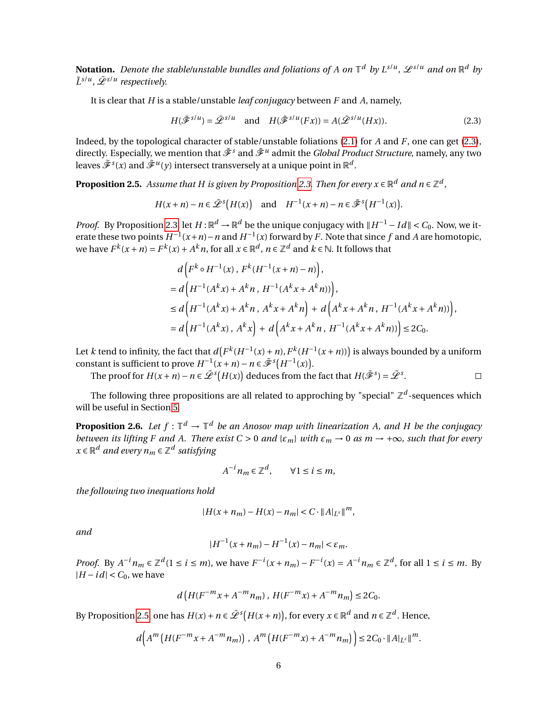**Notation.** Denote the stable/unstable bundles and foliations of A on  $\mathbb{T}^d$  by  $L^{s/u}$ ,  $\mathscr{L}^{s/u}$  and on  $\mathbb{R}^d$  by *L*˜ *<sup>s</sup>*/*<sup>u</sup> ,* L˜ *<sup>s</sup>*/*<sup>u</sup> respectively.*

It is clear that *H* is a stable/unstable *leaf conjugacy* between *F* and *A*, namely,

$$
H(\tilde{\mathcal{F}}^{s/u}) = \tilde{\mathcal{L}}^{s/u} \quad \text{and} \quad H(\tilde{\mathcal{F}}^{s/u}(Fx)) = A(\tilde{\mathcal{L}}^{s/u}(Hx)). \tag{2.3}
$$

Indeed, by the topological character of stable/unstable foliations [\(2.1\)](#page-4-3) for *A* and *F*, one can get [\(2.3\)](#page-5-0), directly. Especially, we mention that  $\tilde{\mathscr{F}}^s$  and  $\tilde{\mathscr{F}}^u$  admit the *Global Product Structure,* namely, any two leaves  $\tilde{\mathscr{F}}^s(x)$  and  $\tilde{\mathscr{F}}^u(y)$  intersect transversely at a unique point in  $\mathbb{R}^d.$ 

<span id="page-5-1"></span>**Proposition 2.5.** Assume that H is given by Proposition [2.3.](#page-4-4) Then for every  $x \in \mathbb{R}^d$  and  $n \in \mathbb{Z}^d$  ,

$$
H(x+n)-n\in \tilde{\mathcal{L}}^{s}\big(H(x)\big)\quad\text{and}\quad H^{-1}(x+n)-n\in \tilde{\mathcal{F}}^{s}\big(H^{-1}(x)\big).
$$

*Proof.* By Proposition [2.3,](#page-4-4) let  $H : \mathbb{R}^d \to \mathbb{R}^d$  be the unique conjugacy with  $||H^{-1} - Id|| < C_0$ . Now, we iterate these two points  $H^{-1}(x+n) - n$  and  $H^{-1}(x)$  forward by *F*. Note that since *f* and *A* are homotopic, we have  $F^k(x+n) = F^k(x) + A^k n$ , for all  $x \in \mathbb{R}^d$ ,  $n \in \mathbb{Z}^d$  and  $k \in \mathbb{N}$ . It follows that

$$
d\left(F^{k} \circ H^{-1}(x), F^{k}(H^{-1}(x+n)-n)\right),
$$
  
=  $d\left(H^{-1}(A^{k}x) + A^{k}n, H^{-1}(A^{k}x + A^{k}n))\right),$   
 $\leq d\left(H^{-1}(A^{k}x) + A^{k}n, A^{k}x + A^{k}n\right) + d\left(A^{k}x + A^{k}n, H^{-1}(A^{k}x + A^{k}n))\right),$   
=  $d\left(H^{-1}(A^{k}x), A^{k}x\right) + d\left(A^{k}x + A^{k}n, H^{-1}(A^{k}x + A^{k}n))\right) \leq 2C_{0}.$ 

<span id="page-5-0"></span> $\Box$ 

Let *k* tend to infinity, the fact that  $d(F^k(H^{-1}(x)+n), F^k(H^{-1}(x+n)))$  is always bounded by a uniform constant is sufficient to prove  $H^{-1}(x+n) - n \in \tilde{\mathcal{F}}^{s}(H^{-1}(x)).$ 

The proof for  $H(x + n) - n \in \tilde{L}^s(H(x))$  deduces from the fact that  $H(\tilde{\mathscr{F}}^s) = \tilde{L}^s$ .

The following three propositions are all related to approching by "special"  $\mathbb{Z}^d$ -sequences which will be useful in Section [5.](#page-24-0)

<span id="page-5-2"></span>**Proposition 2.6.** Let  $f: \mathbb{T}^d \to \mathbb{T}^d$  be an Anosov map with linearization A, and H be the conjugacy *between its lifting F and A. There exist*  $C > 0$  *and*  $\{\varepsilon_m\}$  *with*  $\varepsilon_m \to 0$  *as m*  $\to +\infty$ *, such that for every*  $x \in \mathbb{R}^d$  and every  $n_m \in \mathbb{Z}^d$  satisfying

$$
A^{-i}n_m \in \mathbb{Z}^d, \qquad \forall 1 \le i \le m,
$$

*the following two inequations hold*

$$
|H(x + n_m) - H(x) - n_m| < C \cdot ||A||_{L^s} ||^m,
$$

*and*

$$
|H^{-1}(x+n_m) - H^{-1}(x) - n_m| < \varepsilon_m.
$$

*Proof.* By  $A^{-i}n_m \in \mathbb{Z}^d$   $(1 \le i \le m)$ , we have  $F^{-i}(x + n_m) - F^{-i}(x) = A^{-i}n_m \in \mathbb{Z}^d$ , for all  $1 \le i \le m$ . By  $|H - id| < C_0$ , we have

$$
d\left(H(F^{-m}x+A^{-m}n_m)\, ,\, H(F^{-m}x)+A^{-m}n_m\right)\leq 2C_0.
$$

By Proposition [2.5,](#page-5-1) one has  $H(x) + n \in \tilde{\mathcal{L}}^s(H(x+n))$ , for every  $x \in \mathbb{R}^d$  and  $n \in \mathbb{Z}^d$ . Hence,

$$
d\Big(A^{m}\left(H(F^{-m}x+A^{-m}n_m)\right), A^{m}\left(H(F^{-m}x)+A^{-m}n_m\right)\Big)\leq 2C_0\cdot ||A||_{L^{s}}||^{m}.
$$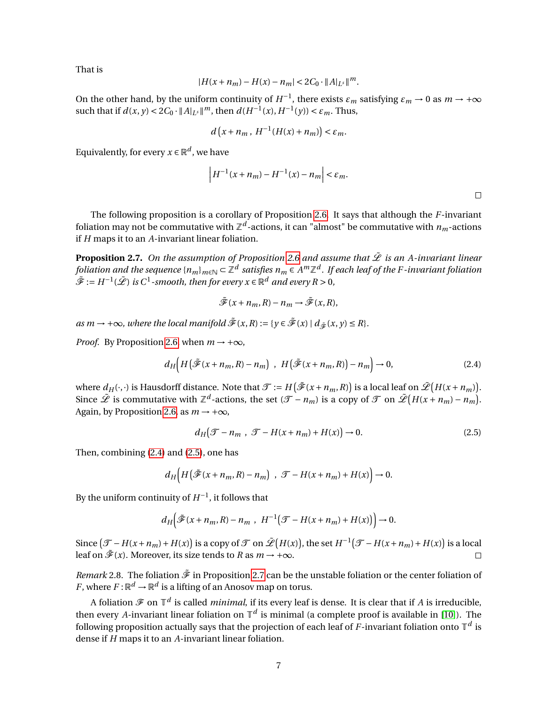That is

$$
|H(x + n_m) - H(x) - n_m| < 2C_0 \cdot ||A|_{L^s}||^m.
$$

On the other hand, by the uniform continuity of  $H^{-1}$ , there exists  $\varepsilon_m$  satisfying  $\varepsilon_m \to 0$  as  $m \to +\infty$ such that if  $d(x, y) < 2C_0 \cdot ||A||_{L^s} ||^m$ , then  $d(H^{-1}(x), H^{-1}(y)) < \varepsilon_m$ . Thus,

$$
d\left(x+n_m\,,\,H^{-1}(H(x)+n_m)\right)<\varepsilon_m.
$$

Equivalently, for every  $x \in \mathbb{R}^d$ , we have

$$
\left| H^{-1}(x + n_m) - H^{-1}(x) - n_m \right| < \varepsilon_m.
$$

<span id="page-6-1"></span><span id="page-6-0"></span> $\Box$ 

The following proposition is a corollary of Proposition [2.6.](#page-5-2) It says that although the *F*-invariant foliation may not be commutative with  $\mathbb{Z}^d$ -actions, it can "almost" be commutative with  $n_m$ -actions if *H* maps it to an *A*-invariant linear foliation.

<span id="page-6-2"></span>**Proposition 2.7.** On the assumption of Proposition [2.6](#page-5-2) and assume that  $\hat{\mathcal{L}}$  is an A-invariant linear foliation and the sequence { $n_m$ } $_{m\in\mathbb{N}}$   $\subset$   $\mathbb{Z}^d$  satisfies  $n_m$   $\in$   $A^m\mathbb{Z}^d$  . If each leaf of the F-invariant foliation  $\tilde{\mathscr{F}}:=H^{-1}(\tilde{\mathscr{L}})$  is  $C^1$ -smooth, then for every  $x\in\mathbb{R}^d$  and every  $R>0,$ 

$$
\tilde{\mathscr{F}}(x+n_m,R)-n_m\to\tilde{\mathscr{F}}(x,R),
$$

 $as m \rightarrow +\infty$ *, where the local manifold*  $\tilde{\mathcal{F}}(x,R) := \{y \in \tilde{\mathcal{F}}(x) \mid d_{\tilde{\mathcal{F}}}(x,y) \leq R\}.$ 

 $\overline{\phantom{a}}$  $\mathsf{l}$ 

*Proof.* By Proposition [2.6,](#page-5-2) when  $m \rightarrow +\infty$ ,

$$
d_H\Big(H\big(\tilde{\mathcal{F}}(x+n_m,R)-n_m\big)\ ,\ H\big(\tilde{\mathcal{F}}(x+n_m,R)\big)-n_m\Big)\to 0,\tag{2.4}
$$

where  $d_H(\cdot,\cdot)$  is Hausdorff distance. Note that  $\mathcal{T}:=H\big(\tilde{\mathscr{F}}(x+n_m,R)\big)$  is a local leaf on  $\tilde{\mathscr{L}}\big(H(x+n_m)\big).$ Since  $\tilde{\mathscr{L}}$  is commutative with  $\mathbb{Z}^d$ -actions, the set  $(\mathscr{T} - n_m)$  is a copy of  $\mathscr{T}$  on  $\tilde{\mathscr{L}}\left(H(x + n_m) - n_m\right)$ . Again, by Proposition [2.6,](#page-5-2) as  $m \rightarrow +\infty$ ,

$$
d_H(\mathcal{T} - n_m , \mathcal{T} - H(x + n_m) + H(x)) \to 0. \tag{2.5}
$$

Then, combining [\(2.4\)](#page-6-0) and [\(2.5\)](#page-6-1), one has

$$
d_H\Big(H\big(\tilde{\mathcal{F}}(x+n_m,R)-n_m\big)\ ,\ \mathcal{F}-H(x+n_m)+H(x)\Big)\to 0.
$$

By the uniform continuity of  $H^{-1}$ , it follows that

$$
d_H\Big(\tilde{\mathcal{F}}(x+n_m,R)-n_m\;,\;H^{-1}\big(\mathcal{T}-H(x+n_m)+H(x)\big)\Big)\to 0.
$$

Since  $(\mathcal{T} - H(x + n_m) + H(x))$  is a copy of  $\mathcal{T}$  on  $\tilde{\mathcal{L}}(H(x))$ , the set  $H^{-1}(\mathcal{T} - H(x + n_m) + H(x))$  is a local leaf on  $\tilde{\mathcal{F}}(x)$ . Moreover, its size tends to *R* as  $m \to +\infty$ .  $\Box$ 

*Remark* 2.8. The foliation  $\tilde{\mathcal{F}}$  in Proposition [2.7](#page-6-2) can be the unstable foliation or the center foliation of *F*, where  $F: \mathbb{R}^d \to \mathbb{R}^d$  is a lifting of an Anosov map on torus.

A foliation  ${\mathscr F}$  on  ${\mathbb T}^d$  is called *minimal*, if its every leaf is dense. It is clear that if *A* is irreducible, then every *A*-invariant linear foliation on  $\mathbb{T}^d$  is minimal (a complete proof is available in [\[10\]](#page-34-13)). The following proposition actually says that the projection of each leaf of *F*-invariant foliation onto  $\mathbb{T}^d$  is dense if *H* maps it to an *A*-invariant linear foliation.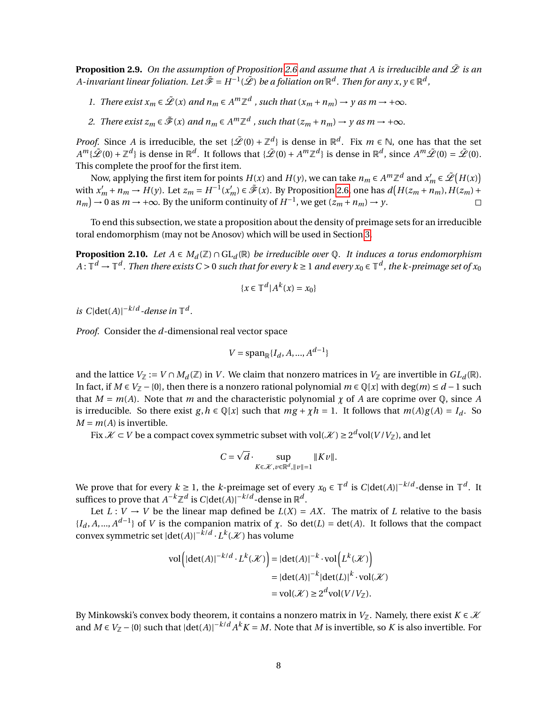<span id="page-7-1"></span>**Proposition 2.9.** On the assumption of Proposition [2.6](#page-5-2) and assume that A is irreducible and  $\hat{\mathcal{L}}$  is an *A-invariant linear foliation. Let*  $\tilde{\mathcal{F}}=H^{-1}(\tilde{\mathcal{L}})$  *be a foliation on*  $\mathbb{R}^d$  *. Then for any*  $x,y\in\mathbb{R}^d$  *,* 

- *1. There exist*  $x_m \in \tilde{\mathcal{L}}(x)$  *and*  $n_m \in A^m \mathbb{Z}^d$  *, such that*  $(x_m + n_m) \to y$  *as*  $m \to +\infty$ *.*
- 2. *There exist*  $z_m \in \tilde{\mathcal{F}}(x)$  *and*  $n_m \in A^m \mathbb{Z}^d$  *, such that*  $(z_m + n_m) \to y$  *as*  $m \to +\infty$ *.*

*Proof.* Since *A* is irreducible, the set { $\mathscr{L}(0) + \mathbb{Z}^d$ } is dense in  $\mathbb{R}^d$ . Fix  $m \in \mathbb{N}$ , one has that the set  $A^m\{\tilde{\mathscr{L}}(0)+\mathbb{Z}^d\}$  is dense in  $\mathbb{R}^d$ . It follows that  $\{\tilde{\mathscr{L}}(0)+A^m\mathbb{Z}^d\}$  is dense in  $\mathbb{R}^d$ , since  $A^m\tilde{\mathscr{L}}(0)=\tilde{\mathscr{L}}(0)$ . This complete the proof for the first item.

Now, applying the first item for points  $H(x)$  and  $H(y)$ , we can take  $n_m \in A^m \mathbb{Z}^d$  and  $x'_m \in \tilde{\mathscr{L}}(H(x))$ with  $x'_m + n_m \to H(y)$ . Let  $z_m = H^{-1}(x'_m) \in \tilde{\mathcal{F}}(x)$ . By Proposition [2.6,](#page-5-2) one has  $d(H(z_m + n_m), H(z_m) +$  $n_m$ ) → 0 as  $m \rightarrow +\infty$ . By the uniform continuity of  $H^{-1}$ , we get  $(z_m + n_m) \rightarrow y$ .  $\Box$ 

To end this subsection, we state a proposition about the density of preimage sets for an irreducible toral endomorphism (may not be Anosov) which will be used in Section [3.](#page-14-0)

<span id="page-7-0"></span>**Proposition 2.10.** *Let*  $A \in M_d(\mathbb{Z}) \cap GL_d(\mathbb{R})$  *be irreducible over*  $\mathbb{Q}$ *. It induces a torus endomorphism* A :  $\mathbb{T}^d\to\mathbb{T}^d$  . Then there exists C > 0 such that for every k ≥ 1 and every  $x_0\in\mathbb{T}^d$  , the k-preimage set of  $x_0$ 

$$
\{x \in \mathbb{T}^d | A^k(x) = x_0\}
$$

*is*  $C|\det(A)|^{-k/d}$ -dense in  $\mathbb{T}^d$ .

*Proof.* Consider the *d*-dimensional real vector space

$$
V = \mathrm{span}_{\mathbb{R}}\{I_d, A, ..., A^{d-1}\}
$$

and the lattice  $V_{\mathbb{Z}} := V \cap M_d(\mathbb{Z})$  in *V*. We claim that nonzero matrices in  $V_{\mathbb{Z}}$  are invertible in  $GL_d(\mathbb{R})$ . In fact, if  $M \in V_{\mathbb{Z}} - \{0\}$ , then there is a nonzero rational polynomial  $m \in \mathbb{Q}[x]$  with deg( $m$ ) ≤  $d-1$  such that  $M = m(A)$ . Note that *m* and the characteristic polynomial  $\gamma$  of A are coprime over  $\mathbb{Q}$ , since A is irreducible. So there exist  $g, h \in \mathbb{Q}[x]$  such that  $mg + \chi h = 1$ . It follows that  $m(A)g(A) = I_d$ . So  $M = m(A)$  is invertible.

Fix  $\mathcal{X} \subset V$  be a compact covex symmetric subset with vol( $\mathcal{X}$ )  $\geq 2^d$ vol( $V/V_{\mathbb{Z}}$ ), and let

$$
C = \sqrt{d} \cdot \sup_{K \in \mathcal{K}, v \in \mathbb{R}^d, ||v|| = 1} ||Kv||.
$$

We prove that for every  $k \ge 1$ , the *k*-preimage set of every  $x_0 \in \mathbb{T}^d$  is  $C |\text{det}(A)|^{-k/d}$ -dense in  $\mathbb{T}^d$ . It suffices to prove that  $A^{-k}\mathbb{Z}^d$  is  $C|\text{det}(A)|^{-k/d}$ -dense in  $\mathbb{R}^d$ .

Let  $L: V \to V$  be the linear map defined be  $L(X) = AX$ . The matrix of *L* relative to the basis  ${I_d, A, ..., A^{d-1}}$  of *V* is the companion matrix of *χ*. So det(*L*) = det(*A*). It follows that the compact convex symmetric set  $|det(A)|^{-\tilde{k}/d} \cdot L^k(\mathcal{K})$  has volume

$$
\text{vol}\left(\left|\det(A)\right|^{-k/d} \cdot L^k(\mathcal{K})\right) = \left|\det(A)\right|^{-k} \cdot \text{vol}\left(L^k(\mathcal{K})\right)
$$

$$
= \left|\det(A)\right|^{-k} \left|\det(L)\right|^k \cdot \text{vol}(\mathcal{K})
$$

$$
= \text{vol}(\mathcal{K}) \ge 2^d \text{vol}(V/V_{\mathbb{Z}}).
$$

By Minkowski's convex body theorem, it contains a nonzero matrix in *V*<sub>Z</sub>. Namely, there exist  $K \in \mathcal{K}$ and  $M \in V_{\mathbb{Z}} - \{0\}$  such that  $|\det(A)|^{-k/d} A^k K = M$ . Note that *M* is invertible, so *K* is also invertible. For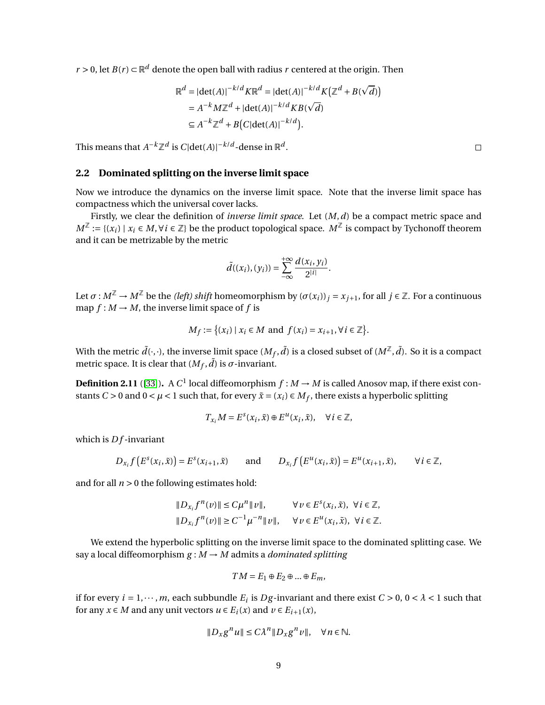*r* > 0, let *B*(*r*) ⊂  $\mathbb{R}^d$  denote the open ball with radius *r* centered at the origin. Then

$$
\mathbb{R}^d = |\det(A)|^{-k/d} K \mathbb{R}^d = |\det(A)|^{-k/d} K(\mathbb{Z}^d + B(\sqrt{d}))
$$
  
=  $A^{-k} M \mathbb{Z}^d + |\det(A)|^{-k/d} K B(\sqrt{d})$   
 $\subseteq A^{-k} \mathbb{Z}^d + B(C|\det(A)|^{-k/d}).$ 

This means that  $A^{-k}\mathbb{Z}^d$  is  $C|\text{det}(A)|^{-k/d}$ -dense in  $\mathbb{R}^d$ .

### **2.2 Dominated splitting on the inverse limit space**

Now we introduce the dynamics on the inverse limit space. Note that the inverse limit space has compactness which the universal cover lacks.

Firstly, we clear the definition of *inverse limit space*. Let (*M*,*d*) be a compact metric space and *M*<sup>Z</sup> := {(*x<sub>i</sub>*) | *x<sub>i</sub>* ∈ *M*, ∀*i* ∈ Z} be the product topological space. *M*<sup>Z</sup> is compact by Tychonoff theorem and it can be metrizable by the metric

$$
\tilde{d}((x_i),(y_i))=\sum_{-\infty}^{+\infty}\frac{d(x_i,y_i)}{2^{|i|}}.
$$

Let  $\sigma : M^{\mathbb{Z}} \to M^{\mathbb{Z}}$  be the *(left) shift* homeomorphism by  $(\sigma(x_i))_i = x_{j+1}$ , for all  $j \in \mathbb{Z}$ . For a continuous map  $f : M \to M$ , the inverse limit space of f is

$$
M_f := \{(x_i) \mid x_i \in M \text{ and } f(x_i) = x_{i+1}, \forall i \in \mathbb{Z}\}.
$$

With the metric  $\tilde{d}(\cdot,\cdot)$ , the inverse limit space  $(M_f,\tilde{d})$  is a closed subset of  $(M^{\mathbb{Z}},\tilde{d}).$  So it is a compact metric space. It is clear that  $(M_f, \tilde{d})$  is  $\sigma$ -invariant.

<span id="page-8-0"></span>**Definition 2.11** ([\[33\]](#page-35-1)). A  $C^1$  local diffeomorphism  $f : M \to M$  is called Anosov map, if there exist constants  $C > 0$  and  $0 < \mu < 1$  such that, for every  $\tilde{x} = (x_i) \in M_f$ , there exists a hyperbolic splitting

$$
T_{x_i}M = E^s(x_i, \tilde{x}) \oplus E^u(x_i, \tilde{x}), \quad \forall i \in \mathbb{Z},
$$

which is  $Df$ -invariant

$$
D_{x_i} f\left(E^s(x_i, \tilde{x})\right) = E^s(x_{i+1}, \tilde{x}) \qquad \text{and} \qquad D_{x_i} f\left(E^u(x_i, \tilde{x})\right) = E^u(x_{i+1}, \tilde{x}), \qquad \forall \, i \in \mathbb{Z},
$$

and for all  $n > 0$  the following estimates hold:

$$
\begin{aligned} &\|D_{x_i}f^n(v)\| \le C\mu^n \|v\|, &\forall v \in E^s(x_i, \tilde{x}), \ \forall i \in \mathbb{Z}, \\ &\|D_{x_i}f^n(v)\| \ge C^{-1}\mu^{-n} \|v\|, &\forall v \in E^u(x_i, \tilde{x}), \ \forall i \in \mathbb{Z}. \end{aligned}
$$

We extend the hyperbolic splitting on the inverse limit space to the dominated splitting case. We say a local diffeomorphism  $g : M \to M$  admits a *dominated splitting* 

$$
TM = E_1 \oplus E_2 \oplus \dots \oplus E_m,
$$

if for every  $i = 1, \dots, m$ , each subbundle  $E_i$  is  $Dg$ -invariant and there exist  $C > 0$ ,  $0 < \lambda < 1$  such that for any  $x \in M$  and any unit vectors  $u \in E_i(x)$  and  $v \in E_{i+1}(x)$ ,

$$
||D_x g^n u|| \le C\lambda^n ||D_x g^n v||, \quad \forall n \in \mathbb{N}.
$$

 $\Box$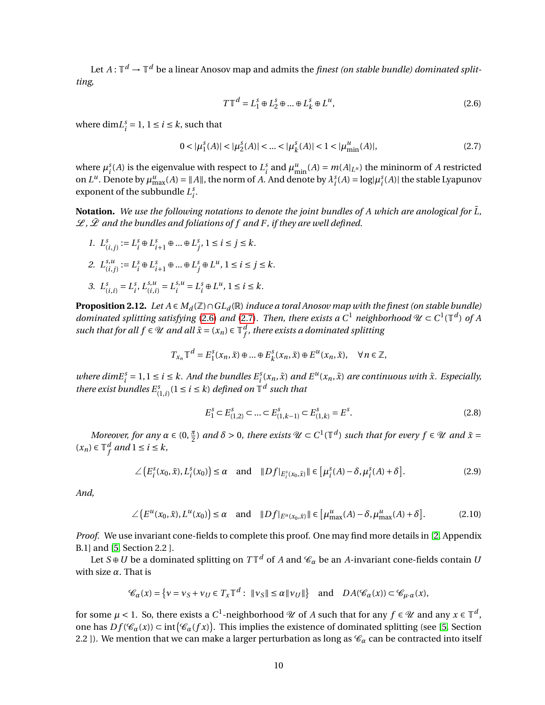Let  $A\colon\mathbb{T}^d\to\mathbb{T}^d$  be a linear Anosov map and admits the *finest (on stable bundle) dominated splitting*,

<span id="page-9-1"></span><span id="page-9-0"></span>
$$
T\mathbb{T}^d = L_1^s \oplus L_2^s \oplus \dots \oplus L_k^s \oplus L^u,
$$
\n(2.6)

where  $\dim L_i^s = 1, 1 \le i \le k$ , such that

$$
0 < |\mu_1^s(A)| < |\mu_2^s(A)| < \dots < |\mu_k^s(A)| < 1 < |\mu_{\min}^u(A)|,\tag{2.7}
$$

where  $\mu_i^s(A)$  is the eigenvalue with respect to  $L_i^s$  and  $\mu_{\min}^u(A) = m(A|_{L^u})$  the mininorm of *A* restricted on  $L^u$ . Denote by  $\mu_{\text{max}}^u(A) = ||A||$ , the norm of *A*. And denote by  $\lambda_i^s(A) = \log|\mu_i^s(A)|$  the stable Lyapunov exponent of the subbundle  $L_i^s$ .

**Notation.** We use the following notations to denote the joint bundles of A which are anological for  $\tilde{L}$ ,  $\mathscr{L}, \tilde{\mathscr{L}}$  and the bundles and foliations of f and F, if they are well defined.

- *1.*  $L^s_{(i,j)} := L^s_i \oplus L^s_{i+1} \oplus ... \oplus L^s_j, 1 \le i \le j \le k.$
- 2.  $L_{ij}^{s,u}$  $\sum_{i=1}^{s,u} i = L_i^s \oplus L_{i+1}^s \oplus \dots \oplus L_j^s \oplus L^u, \ 1 \le i \le j \le k.$
- 3.  $L^s_{(i,i)} = L^s_i, L^{s,u}_{(i,i)} = L^{s,u}_i$  $i^{s,u} = L^s_i \oplus L^u, \ 1 \le i \le k.$

<span id="page-9-4"></span>**Proposition 2.12.** *Let*  $A ∈ M_d(ℤ) ∩ GL_d(ℝ)$  *induce a toral Anosov map with the finest (on stable bundle) dominated splitting satisfying* [\(2.6\)](#page-9-0) and [\(2.7\)](#page-9-1). Then, there exists a  $C^1$  neighborhood  $\mathcal{U} \subset C^1(\mathbb{T}^d)$  of A *such that for all*  $f \in \mathcal{U}$  *and all*  $\tilde{x} = (x_n) \in \mathbb{T}^d$ *f , there exists a dominated splitting*

$$
T_{x_n}\mathbb{T}^d = E_1^s(x_n, \tilde{x}) \oplus \dots \oplus E_k^s(x_n, \tilde{x}) \oplus E^u(x_n, \tilde{x}), \quad \forall n \in \mathbb{Z},
$$

where  $dimE_i^s = 1, 1 \le i \le k$ . And the bundles  $E_i^s(x_n, \tilde{x})$  and  $E^u(x_n, \tilde{x})$  are continuous with  $\tilde{x}$ . Especially, *there exist bundles*  $E^s_{(1,i)}$  ( $1 \le i \le k$ ) *defined on*  $\mathbb{T}^d$  *such that* 

<span id="page-9-3"></span><span id="page-9-2"></span>
$$
E_1^s \subset E_{(1,2)}^s \subset \dots \subset E_{(1,k-1)}^s \subset E_{(1,k)}^s = E^s. \tag{2.8}
$$

*Moreover, for any*  $\alpha \in (0, \frac{\pi}{2})$  *and*  $\delta > 0$ *, there exists*  $\mathcal{U} \subset C^1(\mathbb{T}^d)$  *such that for every*  $f \in \mathcal{U}$  *and*  $\tilde{x} =$  $(x_n)$  ∈  $\mathbb{T}_f^d$  $f$  and  $1 \le i \le k$ ,

$$
\angle\left(E_i^s(x_0,\tilde{x}), L_i^s(x_0)\right) \le \alpha \quad \text{and} \quad \|Df|_{E_i^s(x_0,\tilde{x})}\| \in \left[\mu_i^s(A) - \delta, \mu_i^s(A) + \delta\right].\tag{2.9}
$$

*And,*

$$
\angle \left( E^u(x_0, \tilde{x}), L^u(x_0) \right) \le \alpha \quad \text{and} \quad \|Df|_{E^u(x_0, \tilde{x})} \| \in \left[ \mu_{\max}^u(A) - \delta, \mu_{\max}^u(A) + \delta \right]. \tag{2.10}
$$

*Proof.* We use invariant cone-fields to complete this proof. One may find more details in [\[2,](#page-33-5) Appendix B.1] and [\[5,](#page-33-6) Section 2.2 ].

Let  $S \oplus U$  be a dominated splitting on  $T{\mathbb T}^d$  of  $A$  and  ${\mathscr C}_\alpha$  be an  $A$ -invariant cone-fields contain  $U$ with size *α*. That is

$$
\mathcal{C}_{\alpha}(x) = \left\{ v = v_S + v_U \in T_x \mathbb{T}^d : \ \|v_S\| \le \alpha \|v_U\|\right\} \text{ and } DA(\mathcal{C}_{\alpha}(x)) \subset \mathcal{C}_{\mu \cdot \alpha}(x),
$$

for some  $\mu$  < 1. So, there exists a  $C^1$ -neighborhood  $\mathscr U$  of  $A$  such that for any  $f\in\mathscr U$  and any  $x\in\mathbb T^d$ , one has  $Df(\mathscr{C}_{\alpha}(x)) \subset \text{int}(\mathscr{C}_{\alpha}(fx))$ . This implies the existence of dominated splitting (see [\[5,](#page-33-6) Section 2.2 ]). We mention that we can make a larger perturbation as long as  $\mathcal{C}_{\alpha}$  can be contracted into itself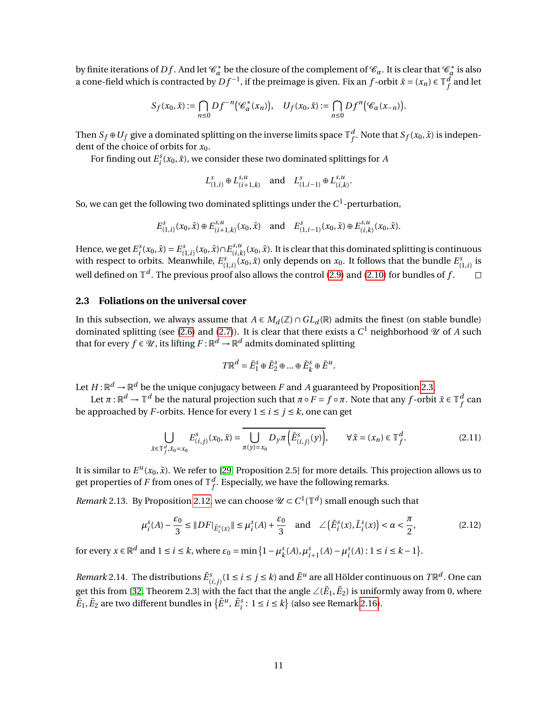by finite iterations of  $Df$ . And let  $\mathscr{C}^*_{\alpha}$  be the closure of the complement of  $\mathscr{C}_{\alpha}$ . It is clear that  $\mathscr{C}^*_{\alpha}$  $\alpha^*$  is also a cone-field which is contracted by  $Df^{-1}$ , if the preimage is given. Fix an  $f$ -orbit  $\tilde{x} = (x_n) \in \mathbb{T}^d$  $_f^d$  and let

$$
S_f(x_0,\tilde{x}):=\bigcap_{n\leq 0}Df^{-n}\big(\mathscr{C}^*_{\alpha}(x_n)\big),\quad U_f(x_0,\tilde{x}):=\bigcap_{n\leq 0}Df^n\big(\mathscr{C}_{\alpha}(x_{-n})\big).
$$

Then  $S_f \oplus U_f$  give a dominated splitting on the inverse limits space  $\mathbb{T}_f^d$  $f^d$ . Note that  $S_f(x_0, \tilde{x})$  is independent of the choice of orbits for *x*0.

For finding out  $E_i^s(x_0, \tilde{x})$ , we consider these two dominated splittings for *A* 

$$
L_{(1,i)}^s \oplus L_{(i+1,k)}^{s,u}
$$
 and  $L_{(1,i-1)}^s \oplus L_{(i,k)}^{s,u}$ 

.

So, we can get the following two dominated splittings under the  $C^1$ -perturbation,

$$
E_{(1,i)}^s(x_0, \tilde{x}) \oplus E_{(i+1,k)}^{s,u}(x_0, \tilde{x}) \quad \text{and} \quad E_{(1,i-1)}^s(x_0, \tilde{x}) \oplus E_{(i,k)}^{s,u}(x_0, \tilde{x}).
$$

Hence, we get  $E_i^s(x_0, \tilde{x}) = E_{(1,i)}^s(x_0, \tilde{x}) \cap E_{(i,k)}^{s,u}$  $\int_{(i,k)}^{s,u}(x_0,\tilde{x})$ . It is clear that this dominated splitting is continuous with respect to orbits. Meanwhile,  $E_{(1,i)}^s(x_0, \tilde{x})$  only depends on  $x_0$ . It follows that the bundle  $E_{(1,i)}^s$  is well defined on  $\mathbb{T}^d$  . The previous proof also allows the control [\(2.9\)](#page-9-2) and [\(2.10\)](#page-9-3) for bundles of  $f$  .  $\Box$ 

### **2.3 Foliations on the universal cover**

In this subsection, we always assume that *A* ∈  $M_d(\mathbb{Z}) \cap GL_d(\mathbb{R})$  admits the finest (on stable bundle) dominated splitting (see [\(2.6\)](#page-9-0) and [\(2.7\)](#page-9-1)). It is clear that there exists a  $C^1$  neighborhood  $\mathscr U$  of  $A$  such that for every  $f \in \mathscr{U}$  , its lifting  $F$  :  $\mathbb{R}^d \to \mathbb{R}^d$  admits dominated splitting

<span id="page-10-3"></span><span id="page-10-2"></span>
$$
T\mathbb{R}^d = \tilde{E}_1^s \oplus \tilde{E}_2^s \oplus \dots \oplus \tilde{E}_k^s \oplus \tilde{E}^u.
$$

Let  $H\!:\!\mathbb{R}^d\to\mathbb{R}^d$  be the unique conjugacy between  $F$  and  $A$  guaranteed by Proposition [2.3.](#page-4-4)

Let  $\pi: \mathbb{R}^d \to \mathbb{T}^d$  be the natural projection such that  $\pi \circ F=f \circ \pi.$  Note that any  $f$ -orbit  $\tilde{x} \in \mathbb{T}^d_f$ *f* can be approached by *F*-orbits. Hence for every  $1 \le i \le j \le k$ , one can get

$$
\bigcup_{\tilde{x}\in\mathbb{T}_{f}^{d},\tilde{x}_{0}=x_{0}}E_{(i,j)}^{s}(x_{0},\tilde{x})=\bigcup_{\pi(y)=x_{0}}D_{y}\pi\left(\tilde{E}_{(i,j)}^{s}(y)\right),\qquad\forall\,\tilde{x}=(x_{n})\in\mathbb{T}_{f}^{d}.\tag{2.11}
$$

It is similar to  $E^u(x_0, \tilde{x})$ . We refer to [\[29,](#page-35-2) Proposition 2.5] for more details. This projection allows us to get properties of  $F$  from ones of  $\mathbb{T}^d_f$  $f^a_\cdot$ . Especially, we have the following remarks.

<span id="page-10-0"></span>*Remark* 2.13. By Proposition [2.12,](#page-9-4) we can choose  $\mathcal{U} \subset C^1(\mathbb{T}^d)$  small enough such that

$$
\mu_i^s(A) - \frac{\varepsilon_0}{3} \le \|DF\|_{\tilde{E}_i^s(x)} \| \le \mu_i^s(A) + \frac{\varepsilon_0}{3} \quad \text{and} \quad \angle \left(\tilde{E}_i^s(x), \tilde{L}_i^s(x)\right) < \alpha < \frac{\pi}{2},\tag{2.12}
$$

for every  $x \in \mathbb{R}^d$  and  $1 \le i \le k$ , where  $\varepsilon_0 = \min\left\{1 - \mu_k^s\right\}$  $\kappa_k^s(A), \mu_{i+1}^s(A) - \mu_i^s(A) : 1 \le i \le k-1$ .

<span id="page-10-1"></span>*Remark* 2.14. The distributions  $\tilde{E}^s_{(i,j)}$  ( $1 \le i \le j \le k$ ) and  $\tilde{E}^u$  are all Hölder continuous on  $T\mathbb{R}^d$ . One can get this from [\[32,](#page-35-0) Theorem 2.3] with the fact that the angle  $\angle(\tilde{E}_1,\tilde{E}_2)$  is uniformly away from 0, where  $\tilde{E}_1, \tilde{E}_2$  are two different bundles in  $\{\tilde{E}^u, \tilde{E}^s_i : 1 \le i \le k\}$  (also see Remark [2.16\)](#page-12-0).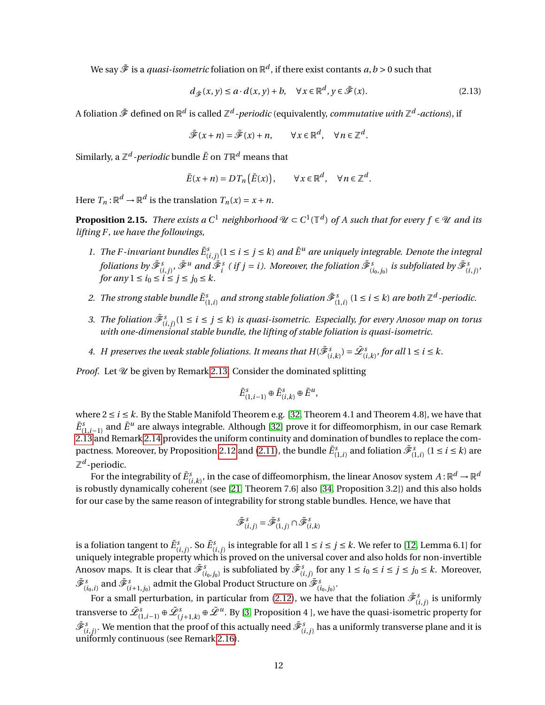We say  $\tilde{\mathscr{F}}$  is a *quasi-isometric* foliation on  $\mathbb{R}^d$ , if there exist contants  $a,b$  > 0 such that

<span id="page-11-1"></span>
$$
d_{\tilde{\mathcal{F}}}(x, y) \le a \cdot d(x, y) + b, \quad \forall x \in \mathbb{R}^d, y \in \tilde{\mathcal{F}}(x). \tag{2.13}
$$

A foliation  $\tilde{\mathscr{F}}$  defined on  $\mathbb{R}^d$  is called  $\mathbb{Z}^d$  -*periodic* (equivalently, *commutative with*  $\mathbb{Z}^d$  -*actions*), if

$$
\tilde{\mathscr{F}}(x+n) = \tilde{\mathscr{F}}(x)+n, \qquad \forall x \in \mathbb{R}^d, \quad \forall n \in \mathbb{Z}^d.
$$

Similarly, a  $\mathbb{Z}^d$  -*periodic* bundle  $\tilde{E}$  on  $T\mathbb{R}^d$  means that

$$
\tilde{E}(x+n) = DT_n(\tilde{E}(x)), \qquad \forall x \in \mathbb{R}^d, \quad \forall n \in \mathbb{Z}^d.
$$

Here  $T_n: \mathbb{R}^d \to \mathbb{R}^d$  is the translation  $T_n(x) = x + n$ .

<span id="page-11-0"></span>**Proposition 2.15.** *There exists a*  $C^1$  *neighborhood*  $\mathcal{U} \subset C^1(\mathbb{T}^d)$  of A such that for every  $f \in \mathcal{U}$  and its *lifting F , we have the followings,*

- 1. The F-invariant bundles  $\tilde{E}^s_{(i,j)}$  ( $1 \le i \le j \le k$ ) and  $\tilde{E}^u$  are uniquely integrable. Denote the integral foliations by  $\tilde{\mathscr{F}}^s_{(i,j)}, \tilde{\mathscr{F}}^u$  and  $\tilde{\mathscr{F}}^s_i$  ( if  $j=i$  ). Moreover, the foliation  $\tilde{\mathscr{F}}^s_{(i_0,j_0)}$  is subfoliated by  $\tilde{\mathscr{F}}^s_{(i,j)},$ *for any*  $1 \le i_0 \le i \le j \le j_0 \le k$ .
- 2. *The strong stable bundle*  $\tilde{E}^s_{(1,i)}$  *and strong stable foliation*  $\tilde{\mathscr{F}}^s_{(1,i)}$  $(1\le i\le k)$  *are both*  $\mathbb{Z}^d$  *-periodic.*
- 3. The foliation  $\tilde{\mathscr{F}}_{(i,j)}^s(1 \leq i \leq j \leq k)$  is quasi-isometric. Especially, for every Anosov map on torus *with one-dimensional stable bundle, the lifting of stable foliation is quasi-isometric.*
- 4. *H* preserves the weak stable foliations. It means that  $H(\tilde{\mathscr{F}}_{(i,k)}^s) = \tilde{\mathscr{L}}_{(i,k)}^s$ , for all  $1 \le i \le k$ .

*Proof.* Let  $\mathcal U$  be given by Remark [2.13.](#page-10-0) Consider the dominated splitting

$$
\tilde{E}^s_{(1,i-1)} \oplus \tilde{E}^s_{(i,k)} \oplus \tilde{E}^u,
$$

where  $2 \le i \le k$ . By the Stable Manifold Theorem e.g. [\[32,](#page-35-0) Theorem 4.1 and Theorem 4.8], we have that  $\tilde{E}^s_{(1,i-1)}$  and  $\tilde{E}^u$  are always integrable. Although [\[32\]](#page-35-0) prove it for diffeomorphism, in our case Remark [2.13](#page-10-0) and Remark [2.14](#page-10-1) provides the uniform continuity and domination of bundles to replace the com-pactness. Moreover, by Proposition [2.12](#page-9-4) and [\(2.11\)](#page-10-2), the bundle  $\tilde{E}^s_{(1,i)}$  and foliation  $\tilde{\mathscr{F}}^s_{(1,i)}$  (1 ≤ *i* ≤ *k*) are Z *d* -periodic.

For the integrability of  $\tilde{E}^s_{(i,k)},$  in the case of diffeomorphism, the linear Anosov system  $A$  :  $\mathbb{R}^d\to\mathbb{R}^d$ is robustly dynamically coherent (see [\[21,](#page-34-14) Theorem 7.6] also [\[34,](#page-35-8) Proposition 3.2]) and this also holds for our case by the same reason of integrability for strong stable bundles. Hence, we have that

$$
\tilde{\mathcal{F}}^s_{(i,j)} = \tilde{\mathcal{F}}^s_{(1,j)} \cap \tilde{\mathcal{F}}^s_{(i,k)}
$$

is a foliation tangent to  $\tilde{E}^s_{(i,j)}.$  So  $\tilde{E}^s_{(i,j)}$  is integrable for all  $1\leq i\leq j\leq k.$  We refer to [\[12,](#page-34-3) Lemma 6.1] for uniquely integrable property which is proved on the universal cover and also holds for non-invertible Anosov maps. It is clear that  $\tilde{\mathscr{F}}^s_{(i_0,j_0)}$  is subfoliated by  $\tilde{\mathscr{F}}^s_{(i,j)}$  for any  $1\le i_0\le i\le j\le j_0\le k$ . Moreover,  $\tilde{\mathscr{F}}^s_{(i_0,i)}$  and  $\tilde{\mathscr{F}}^s_{(i+1,j_0)}$  admit the Global Product Structure on  $\tilde{\mathscr{F}}^s_{(i_0,j_0)}.$ 

For a small perturbation, in particular from [\(2.12\)](#page-10-3), we have that the foliation  $\tilde{\mathscr{F}}_{(i,j)}^s$  is uniformly transverse to  $\tilde{\mathscr{L}}^s_{(1,i-1)}\oplus\tilde{\mathscr{L}}^s_{(j+1,k)}\oplus\tilde{\mathscr{L}}^u.$  By [\[3,](#page-33-7) Proposition 4 ], we have the quasi-isometric property for  $\tilde{\mathscr{F}}^s_{(i,j)}.$  We mention that the proof of this actually need  $\tilde{\mathscr{F}}^s_{(i,j)}$  has a uniformly transverse plane and it is uniformly continuous (see Remark [2.16\)](#page-12-0).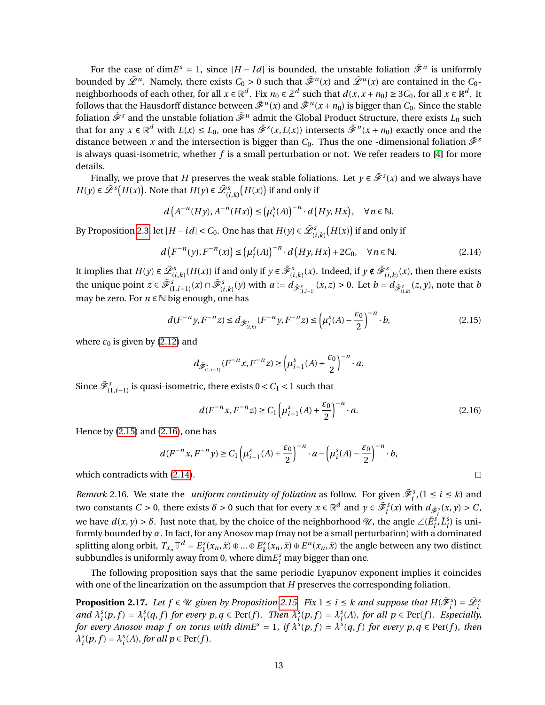For the case of dim $E^s = 1$ , since  $|H - Id|$  is bounded, the unstable foliation  $\tilde{\mathcal{F}}^u$  is uniformly bounded by  $\tilde{L}^u$ . Namely, there exists  $C_0 > 0$  such that  $\tilde{\mathcal{F}}^u(x)$  and  $\tilde{\mathcal{L}}^u(x)$  are contained in the  $C_0$ neighborhoods of each other, for all  $x \in \mathbb{R}^d$ . Fix  $n_0 \in \mathbb{Z}^d$  such that  $d(x, x + n_0) \ge 3C_0$ , for all  $x \in \mathbb{R}^d$ . It follows that the Hausdorff distance between  $\tilde{\mathscr{F}}^u(x)$  and  $\tilde{\mathscr{F}}^u(x+n_0)$  is bigger than  $C_0.$  Since the stable foliation  $\tilde{\mathscr{F}}^s$  and the unstable foliation  $\tilde{\mathscr{F}}^u$  admit the Global Product Structure, there exists  $L_0$  such that for any  $x \in \mathbb{R}^d$  with  $L(x) \le L_0$ , one has  $\tilde{\mathcal{F}}^s(x, L(x))$  intersects  $\tilde{\mathcal{F}}^u(x+n_0)$  exactly once and the distance between *x* and the intersection is bigger than  $C_0$ . Thus the one -dimensional foliation  $\tilde{\mathcal{F}}^s$ is always quasi-isometric, whether *f* is a small perturbation or not. We refer readers to [\[4\]](#page-33-8) for more details.

Finally, we prove that *H* preserves the weak stable foliations. Let  $y \in \tilde{\mathcal{F}}^s(x)$  and we always have *H*(*y*) ∈  $\tilde{\mathcal{L}}^s$   $(H(x))$ . Note that *H*(*y*) ∈  $\tilde{\mathcal{L}}^s_{(i,k)}$   $(H(x))$  if and only if

$$
d(A^{-n}(Hy), A^{-n}(Hx)) \leq (\mu_i^s(A))^{-n} \cdot d(Hy, Hx), \quad \forall n \in \mathbb{N}.
$$

By Proposition [2.3,](#page-4-4) let  $|H - id| < C_0$ . One has that  $H(y) \in \tilde{\mathscr{L}}_{(i,k)}^s\big(H(x)\big)$  if and only if

$$
d\left(F^{-n}(y), F^{-n}(x)\right) \le \left(\mu_i^s(A)\right)^{-n} \cdot d\left(Hy, Hx\right) + 2C_0, \quad \forall n \in \mathbb{N}.\tag{2.14}
$$

It implies that  $H(y) \in \tilde{\mathscr{L}}_{(i,k)}^s(H(x))$  if and only if  $y \in \tilde{\mathscr{F}}_{(i,k)}^s(x)$ . Indeed, if  $y \notin \tilde{\mathscr{F}}_{(i,k)}^s(x)$ , then there exists the unique point  $z \in \tilde{\mathscr{F}}_{(1,i-1)}^s(x) \cap \tilde{\mathscr{F}}_{(i,k)}^s(y)$  with  $a := d_{\tilde{\mathscr{F}}_{(1,i-1)}^s}(x,z) > 0$ . Let  $b = d_{\tilde{\mathscr{F}}_{(i,k)}^s}(z,y)$ , note that  $b$ may be zero. For  $n ∈ ℕ$  big enough, one has

$$
d(F^{-n}y, F^{-n}z) \le d_{\tilde{\mathcal{F}}_{(i,k)}^s}(F^{-n}y, F^{-n}z) \le \left(\mu_i^s(A) - \frac{\varepsilon_0}{2}\right)^{-n} \cdot b,\tag{2.15}
$$

where  $\varepsilon_0$  is given by [\(2.12\)](#page-10-3) and

$$
d_{\tilde{\mathcal{F}}^s_{(1,i-1)}}(F^{-n}x, F^{-n}z) \ge \left(\mu_{i-1}^s(A) + \frac{\varepsilon_0}{2}\right)^{-n} \cdot a.
$$

Since  $\tilde{\mathcal{F}}_{(1,i-1)}^s$  is quasi-isometric, there exists  $0 < C_1 < 1$  such that

$$
d(F^{-n}x, F^{-n}z) \ge C_1 \left(\mu_{i-1}^s(A) + \frac{\varepsilon_0}{2}\right)^{-n} \cdot a. \tag{2.16}
$$

Hence by [\(2.15\)](#page-12-1) and [\(2.16\)](#page-12-2), one has

$$
d(F^{-n}x, F^{-n}y) \ge C_1 \left(\mu_{i-1}^s(A) + \frac{\varepsilon_0}{2}\right)^{-n} \cdot a - \left(\mu_i^s(A) - \frac{\varepsilon_0}{2}\right)^{-n} \cdot b,
$$

which contradicts with [\(2.14\)](#page-12-3).

<span id="page-12-0"></span>*Remark* 2.16. We state the *uniform continuity of foliation* as follow. For given  $\tilde{\mathcal{F}}_i^s$ ,  $(1 \le i \le k)$  and two constants  $C > 0$ , there exists  $\delta > 0$  such that for every  $x \in \mathbb{R}^d$  and  $y \in \tilde{\mathcal{F}}_i^s(x)$  with  $d_{\tilde{\mathcal{F}}_i^s}(x, y) > C$ , we have  $d(x, y) > δ$ . Just note that, by the choice of the neighborhood  $\mathcal{U}$ , the angle  $\angle(\tilde{E}_i^s, \tilde{L}_i^s)$  is uniformly bounded by *α*. In fact, for any Anosov map (may not be a small perturbation) with a dominated splitting along orbit,  $T_{x_n}\mathbb{T}^d = E_1^s(x_n, \tilde{x}) \oplus ... \oplus E_k^s$  $k(x_n, \tilde{x}) \oplus E^u(x_n, \tilde{x})$  the angle between any two distinct subbundles is uniformly away from 0, where  $\dim\!^s_i$  may bigger than one.

The following proposition says that the same periodic Lyapunov exponent implies it coincides with one of the linearization on the assumption that *H* preserves the corresponding foliation.

<span id="page-12-4"></span>**Proposition 2.17.** Let  $f \in \mathcal{U}$  given by Proposition [2.15.](#page-11-0) Fix  $1 \le i \le k$  and suppose that  $H(\tilde{\mathscr{F}}_i^s) = \tilde{\mathscr{L}}_i^s$ and  $\lambda_i^s(p, f) = \lambda_i^s(q, f)$  for every  $p, q \in \text{Per}(f)$ . Then  $\lambda_i^s(p, f) = \lambda_i^s(A)$ , for all  $p \in \text{Per}(f)$ . Especially, *for every Anosov map f on torus with dimE<sup>s</sup>* = 1, if  $\lambda^{s}(p, f) = \lambda^{s}(q, f)$  *for every p, q*  $\in$  Per(*f*)*, then*  $\lambda_i^s(p, f) = \lambda_i^s(A)$ , for all  $p \in \text{Per}(f)$ .

<span id="page-12-3"></span><span id="page-12-2"></span><span id="page-12-1"></span> $\Box$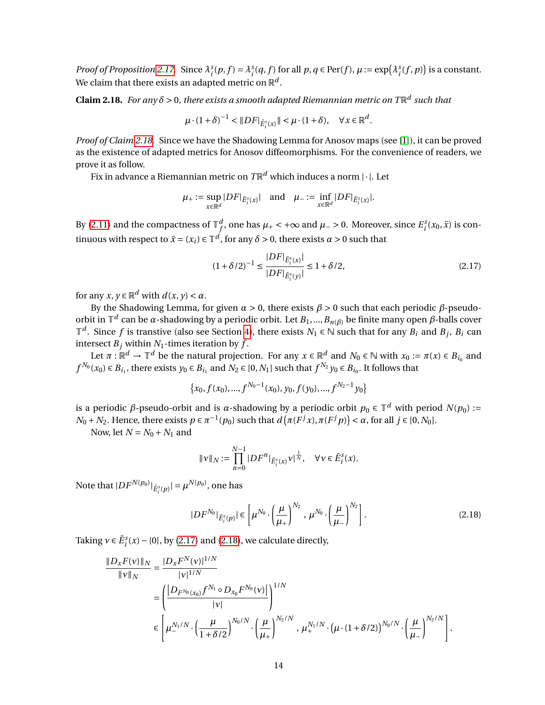*Proof of Proposition [2.17.](#page-12-4)* Since  $\lambda_i^s(p, f) = \lambda_i^s(q, f)$  for all  $p, q \in Per(f), \mu := exp(\lambda_i^s(f, p))$  is a constant. We claim that there exists an adapted metric on  $\mathbb{R}^d.$ 

<span id="page-13-0"></span>**Claim 2.18.** For any  $\delta$  > 0, there exists a smooth adapted Riemannian metric on T $\mathbb{R}^d$  such that

$$
\mu \cdot (1+\delta)^{-1} < \|DF\|_{\tilde{E}_i^s(x)} \| < \mu \cdot (1+\delta), \quad \forall x \in \mathbb{R}^d.
$$

*Proof of Claim [2.18.](#page-13-0)* Since we have the Shadowing Lemma for Anosov maps (see [\[1\]](#page-33-2)), it can be proved as the existence of adapted metrics for Anosov diffeomorphisms. For the convenience of readers, we prove it as follow.

Fix in advance a Riemannian metric on  $T\mathbb{R}^d$  which induces a norm  $|\cdot|$ . Let

$$
\mu_+:=\sup_{x\in\mathbb{R}^d}|DF|_{\tilde{E}^s_i(x)}|\quad\text{and}\quad \mu_-:=\inf_{x\in\mathbb{R}^d}|DF|_{\tilde{E}^s_i(x)}|.
$$

By [\(2.11\)](#page-10-2) and the compactness of  $\mathbb{T}^d_f$ *f*, one has  $\mu$ <sup>⊥</sup> < +∞ and  $\mu$  − > 0. Moreover, since  $E_i^s(x_0, \tilde{x})$  is continuous with respect to  $\tilde{x} = (x_i) \in \mathbb{T}^d$ , for any  $\delta > 0$ , there exists  $\alpha > 0$  such that

<span id="page-13-1"></span>
$$
(1 + \delta/2)^{-1} \le \frac{|DF|_{\tilde{E}_i^s(x)}|}{|DF|_{\tilde{E}_i^s(y)}|} \le 1 + \delta/2,
$$
\n(2.17)

for any  $x, y \in \mathbb{R}^d$  with  $d(x, y) < \alpha$ .

By the Shadowing Lemma, for given *α* > 0, there exists *β* > 0 such that each periodic *β*-pseudoorbit in  $\mathbb{T}^d$  can be *α*-shadowing by a periodic orbit. Let  $B_1,...,B_{n(\beta)}$  be finite many open  $\beta$ -balls cover  $\mathbb{T}^d$ . Since *f* is transtive (also see Section [4\)](#page-20-0), there exists *N*<sub>1</sub> ∈ *N* such that for any *B*<sup>*i*</sup> and *B*<sup>*j*</sup>, *B*<sup>*i*</sup> can intersect  $B_j$  within  $N_1$ -times iteration by  $f$ .

Let  $\pi : \mathbb{R}^d \to \mathbb{T}^d$  be the natural projection. For any  $x \in \mathbb{R}^d$  and  $N_0 \in \mathbb{N}$  with  $x_0 := \pi(x) \in B_{i_0}$  and *f*<sup>N<sub>0</sub></sup>( $x_0$ ) ∈ *B*<sub>*i*<sub>1</sub></sub>, there exists *y*<sub>0</sub> ∈ *B*<sub>*i*<sub>1</sub></sub> and *N*<sub>2</sub> ∈ [0, *N*<sub>1</sub>] such that *f*<sup>N<sub>2</sub></sup> *y*<sub>0</sub> ∈ *B*<sub>*i*<sub>0</sub></sub>. It follows that

$$
\{x_0, f(x_0),..., f^{N_0-1}(x_0), y_0, f(y_0),..., f^{N_2-1}y_0\}
$$

is a periodic *β*-pseudo-orbit and is *α*-shadowing by a periodic orbit  $p_0 \in \mathbb{T}^d$  with period  $N(p_0) :=$  $N_0 + N_2$ . Hence, there exists  $p \in \pi^{-1}(p_0)$  such that  $d(\pi(F^j x), \pi(F^j p)) < \alpha$ , for all  $j \in [0, N_0]$ .

Now, let  $N = N_0 + N_1$  and

<span id="page-13-2"></span>
$$
\|\nu\|_N:=\prod_{n=0}^{N-1}|DF^n|_{\tilde{E}^s_i(x)}\nu|^{\frac{1}{N}},\quad\forall\,v\in\tilde{E}^s_i(x).
$$

Note that  $|DF^{N(p_0)}|_{\tilde{E}^s_l(p)}| = \mu^{N(p_0)},$  one has

$$
|DF^{N_0}|_{\tilde{E}_i^s(p)}| \in \left[\mu^{N_0} \cdot \left(\frac{\mu}{\mu_+}\right)^{N_2}, \mu^{N_0} \cdot \left(\frac{\mu}{\mu_-}\right)^{N_2}\right].
$$
 (2.18)

Taking  $v \in \tilde{E}_i^s(x) - \{0\}$ , by [\(2.17\)](#page-13-1) and [\(2.18\)](#page-13-2), we calculate directly,

$$
\frac{\|D_x F(v)\|_N}{\|v\|_N} = \frac{|D_x F^N(v)|^{1/N}}{|v|^{1/N}} \n= \left(\frac{|D_{F^{N_0}(x_0)} f^{N_1} \circ D_{x_0} F^{N_0}(v)|}{|v|}\right)^{1/N} \n\in \left[\mu_-^{N_1/N} \cdot \left(\frac{\mu}{1+\delta/2}\right)^{N_0/N} \cdot \left(\frac{\mu}{\mu_+}\right)^{N_2/N}, \mu_+^{N_1/N} \cdot \left(\mu \cdot (1+\delta/2)\right)^{N_0/N} \cdot \left(\frac{\mu}{\mu_-}\right)^{N_2/N}\right].
$$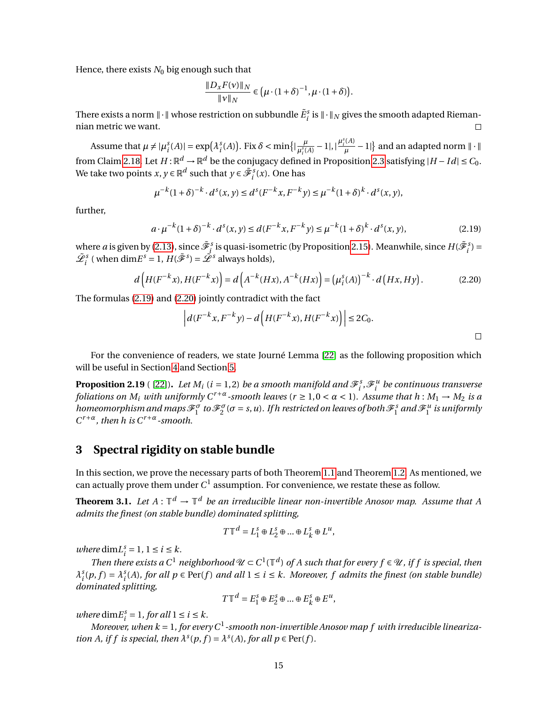Hence, there exists  $N_0$  big enough such that

*µ*

<span id="page-14-1"></span>
$$
\frac{\|D_x F(v)\|_N}{\|v\|_N} \in \left(\mu \cdot (1+\delta)^{-1}, \mu \cdot (1+\delta)\right).
$$

There exists a norm  $\|\cdot\|$  whose restriction on subbundle  $\tilde{E}^s_i$  is  $\|\cdot\|_N$  gives the smooth adapted Riemannian metric we want.  $\Box$ 

Assume that  $\mu \neq |\mu_i^s(A)| = \exp(\lambda_i^s(A))$ . Fix  $\delta < \min\{|\frac{\mu_i^s(A)}{\mu_i^s(A)}\}$ .  $\frac{\mu}{\mu_i^s(A)} - 1$ |, | $\frac{\mu_i^s(A)}{\mu}$ from Claim [2.18.](#page-13-0) Let  $H : \mathbb{R}^d \to \mathbb{R}^d$  be the conjugacy defined in Proposition [2.3](#page-4-4) satisfying  $|H - Id| \leq C_0$ .  $\left\{ \frac{dA}{\mu} - 1 \right\}$  and an adapted norm  $\|\cdot\|$ We take two points  $x, y \in \mathbb{R}^d$  such that  $y \in \tilde{\mathscr{F}}_i^s(x)$ . One has

$$
u^{-k}(1+\delta)^{-k} \cdot d^{s}(x, y) \le d^{s}(F^{-k}x, F^{-k}y) \le \mu^{-k}(1+\delta)^{k} \cdot d^{s}(x, y),
$$

further,

$$
a \cdot \mu^{-k} (1+\delta)^{-k} \cdot d^s(x, y) \le d(F^{-k}x, F^{-k}y) \le \mu^{-k} (1+\delta)^k \cdot d^s(x, y),
$$
\n(2.19)

where *a* is given by [\(2.13\)](#page-11-1), since  $\tilde{\mathcal{F}}_j^s$  is quasi-isometric (by Proposition [2.15\)](#page-11-0). Meanwhile, since  $H(\tilde{\mathcal{F}}_i^s)$  =  $\tilde{\mathcal{L}}_i^s$  (when dim $E^s = 1$ ,  $H(\tilde{\mathcal{F}}^s) = \tilde{\mathcal{L}}^s$  always holds),

$$
d\left(H(F^{-k}x), H(F^{-k}x)\right) = d\left(A^{-k}(Hx), A^{-k}(Hx)\right) = \left(\mu_i^s(A)\right)^{-k} \cdot d\left(Hx, Hy\right). \tag{2.20}
$$

The formulas [\(2.19\)](#page-14-1) and [\(2.20\)](#page-14-2) jointly contradict with the fact

<span id="page-14-2"></span>
$$
\left| d(F^{-k}x, F^{-k}y) - d\left(H(F^{-k}x), H(F^{-k}x)\right) \right| \le 2C_0.
$$

For the convenience of readers, we state Journé Lemma [\[22\]](#page-34-15) as the following proposition which will be useful in Section [4](#page-20-0) and Section [5.](#page-24-0)

<span id="page-14-4"></span>**Proposition 2.19** ( [\[22\]](#page-34-15)). Let  $M_i$  ( $i = 1, 2$ ) be a smooth manifold and  $\mathscr{F}_i^s$ ,  $\mathscr{F}_i^u$  be continuous transverse *foliations on*  $M_i$  *with uniformly*  $C^{r+a}$ *-smooth leaves*  $(r \ge 1, 0 < \alpha < 1)$ *. Assume that*  $h : M_1 \to M_2$  *is a homeomorphism and maps*  $\mathscr{F}_1^{\sigma}$  to  $\mathscr{F}_2^{\sigma}$  ( $\sigma$  = *s*, *u*). If h restricted on leaves of both  $\mathscr{F}_1^s$  and  $\mathscr{F}_1^u$  is uniformly *C <sup>r</sup>*+*α, then h is Cr*+*α-smooth.*

## <span id="page-14-0"></span>**3 Spectral rigidity on stable bundle**

In this section, we prove the necessary parts of both Theorem [1.1](#page-1-0) and Theorem [1.2.](#page-2-0) As mentioned, we can actually prove them under  $C^1$  assumption. For convenience, we restate these as follow.

<span id="page-14-3"></span>**Theorem 3.1.** Let  $A: \mathbb{T}^d \to \mathbb{T}^d$  be an irreducible linear non-invertible Anosov map. Assume that A *admits the finest (on stable bundle) dominated splitting,*

$$
T\mathbb{T}^d = L_1^s \oplus L_2^s \oplus \dots \oplus L_k^s \oplus L^u,
$$

*where* dim $L_i^s = 1, 1 \le i \le k$ .

*Then there exists a*  $C^1$  *neighborhood*  $\mathcal{U} \subset C^1(\mathbb{T}^d)$  of A such that for every  $f \in \mathcal{U}$ , if f is special, then  $\lambda_i^s(p, f) = \lambda_i^s(A)$ , for all  $p \in \text{Per}(f)$  and all  $1 \le i \le k$ . Moreover, f admits the finest (on stable bundle) *dominated splitting,*

$$
T\mathbb{T}^d = E_1^s \oplus E_2^s \oplus \dots \oplus E_k^s \oplus E^u,
$$

*where*  $\dim E_i^s = 1$ *, for all*  $1 \le i \le k$ *.* 

Moreover, when  $k = 1$ , for every  $C^1$ -smooth non-invertible Anosov map  $f$  with irreducible lineariza*tion A, if f is special, then*  $\lambda^{s}(p, f) = \lambda^{s}(A)$ *, for all*  $p \in Per(f)$ *.*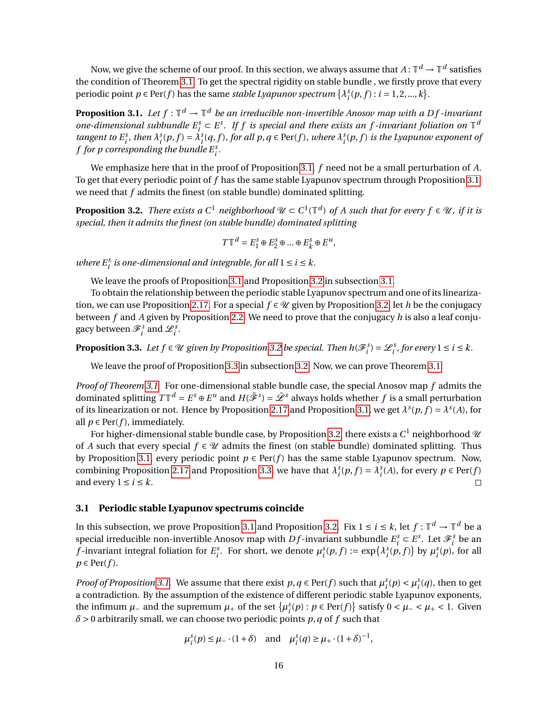Now, we give the scheme of our proof. In this section, we always assume that  $A\colon\mathbb{T}^d\to\mathbb{T}^d$  satisfies the condition of Theorem [3.1.](#page-14-3) To get the spectral rigidity on stable bundle , we firstly prove that every periodic point  $p \in Per(f)$  has the same *stable Lyapunov spectrum*  $\{\lambda_i^s(p, f) : i = 1, 2, ..., k\}.$ 

<span id="page-15-0"></span>**Proposition 3.1.** Let  $f: \mathbb{T}^d \to \mathbb{T}^d$  be an irreducible non-invertible Anosov map with a Df-invariant one-dimensional subbundle  $E_i^s \subset E^s$ . If f is special and there exists an f-invariant foliation on  $\mathbb{T}^d$ tangent to  $E_i^s$ , then  $\lambda_i^s(p, f) = \lambda_i^s(q, f)$ , for all  $p, q \in Per(f)$ , where  $\lambda_i^s(p, f)$  is the Lyapunov exponent of  $f$  for  $p$  corresponding the bundle  $E_i^s$ .

We emphasize here that in the proof of Proposition [3.1,](#page-15-0) *f* need not be a small perturbation of *A*. To get that every periodic point of *f* has the same stable Lyapunov spectrum through Proposition [3.1,](#page-15-0) we need that *f* admits the finest (on stable bundle) dominated splitting.

<span id="page-15-1"></span>**Proposition 3.2.** *There exists a*  $C^1$  *neighborhood*  $\mathcal{U} \subset C^1(\mathbb{T}^d)$  of A such that for every  $f \in \mathcal{U}$ , if it is *special, then it admits the finest (on stable bundle) dominated splitting*

$$
T\mathbb{T}^d = E_1^s \oplus E_2^s \oplus \dots \oplus E_k^s \oplus E^u,
$$

*where*  $E_i^s$  *is one-dimensional and integrable, for all*  $1 \le i \le k$ *.* 

We leave the proofs of Proposition [3.1](#page-15-0) and Proposition [3.2](#page-15-1) in subsection [3.1.](#page-15-2)

To obtain the relationship between the periodic stable Lyapunov spectrum and one of its lineariza-tion, we can use Proposition [2.17.](#page-12-4) For a special  $f \in \mathcal{U}$  given by Proposition [3.2,](#page-15-1) let *h* be the conjugacy between *f* and *A* given by Proposition [2.2.](#page-4-2) We need to prove that the conjugacy *h* is also a leaf conjugacy between  $\mathscr{F}_i^s$  and  $\mathscr{L}_i^s$ .

<span id="page-15-3"></span>**Proposition 3.3.** Let  $f \in \mathcal{U}$  given by Proposition [3.2](#page-15-1) be special. Then  $h(\mathcal{F}_{i}^{s}) = \mathcal{L}_{i}^{s}$ , for every  $1 \leq i \leq k$ .

We leave the proof of Proposition [3.3](#page-15-3) in subsection [3.2.](#page-19-0) Now, we can prove Theorem [3.1.](#page-14-3)

*Proof of Theorem [3.1.](#page-14-3)* For one-dimensional stable bundle case, the special Anosov map *f* admits the dominated splitting  $T\mathbb{T}^d = E^s \oplus E^u$  and  $H(\tilde{\mathscr{F}}^s) = \tilde{\mathscr{L}}^s$  always holds whether  $f$  is a small perturbation of its linearization or not. Hence by Proposition [2.17](#page-12-4) and Proposition [3.1,](#page-15-0) we get  $\lambda^s(p, f) = \lambda^s(A)$ , for all  $p \in Per(f)$ , immediately.

For higher-dimensional stable bundle case, by Proposition [3.2,](#page-15-1) there exists a  $C^1$  neighborhood  $\mathscr U$ of *A* such that every special  $f \in \mathcal{U}$  admits the finest (on stable bundle) dominated splitting. Thus by Proposition [3.1,](#page-15-0) every periodic point  $p \in Per(f)$  has the same stable Lyapunov spectrum. Now, combining Proposition [2.17](#page-12-4) and Proposition [3.3,](#page-15-3) we have that  $\lambda_i^s(p, f) = \lambda_i^s(A)$ , for every  $p \in Per(f)$ and every  $1 \le i \le k$ .  $\Box$ 

#### <span id="page-15-2"></span>**3.1 Periodic stable Lyapunov spectrums coincide**

In this subsection, we prove Proposition [3.1](#page-15-0) and Proposition [3.2.](#page-15-1) Fix  $1 \le i \le k$ , let  $f : \mathbb{T}^d \to \mathbb{T}^d$  be a special irreducible non-invertible Anosov map with *Df*-invariant subbundle  $E_i^s \subset E^s$ . Let  $\mathcal{F}_i^s$  be an *f*-invariant integral foliation for  $E_i^s$ . For short, we denote  $\mu_i^s(p, f) := \exp(\lambda_i^s(p, f))$  by  $\mu_i^s(p)$ , for all  $p \in Per(f)$ .

*Proof of Proposition* [3.1.](#page-15-0) We assume that there exist  $p, q \in Per(f)$  such that  $\mu_i^s(p) < \mu_i^s(q)$ , then to get a contradiction. By the assumption of the existence of different periodic stable Lyapunov exponents, the infimum  $\mu$ <sub>−</sub> and the supremum  $\mu$ <sub>+</sub> of the set  $\{\mu_i^s(p) : p \in Per(f)\}$  satisfy  $0 < \mu$ <sub>−</sub> <  $\mu$ <sub>+</sub> < 1. Given *δ* > 0 arbitrarily small, we can choose two periodic points *p*,*q* of *f* such that

$$
\mu_i^s(p) \le \mu_-\cdot (1+\delta)
$$
 and  $\mu_i^s(q) \ge \mu_+\cdot (1+\delta)^{-1}$ ,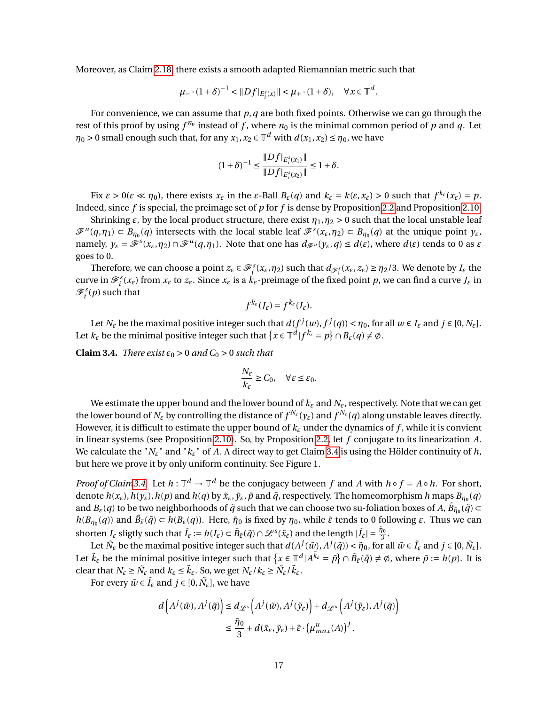Moreover, as Claim [2.18,](#page-13-0) there exists a smooth adapted Riemannian metric such that

$$
\mu_-\cdot (1+\delta)^{-1} < \|Df|_{E_i^s(x)}\| < \mu_+\cdot (1+\delta), \quad \forall x\in \mathbb{T}^d.
$$

For convenience, we can assume that *p*,*q* are both fixed points. Otherwise we can go through the rest of this proof by using  $f^{n_0}$  instead of  $f$ , where  $n_0$  is the minimal common period of  $p$  and  $q$ . Let  $\eta_0 > 0$  small enough such that, for any  $x_1, x_2 \in \mathbb{T}^d$  with  $d(x_1, x_2) \le \eta_0$ , we have

$$
(1+\delta)^{-1} \le \frac{\|Df|_{E_i^s(x_1)}\|}{\|Df|_{E_i^s(x_2)}\|} \le 1+\delta.
$$

Fix  $\varepsilon > 0$ ( $\varepsilon \ll \eta_0$ ), there exists  $x_{\varepsilon}$  in the  $\varepsilon$ -Ball  $B_{\varepsilon}(q)$  and  $k_{\varepsilon} = k(\varepsilon, x_{\varepsilon}) > 0$  such that  $f^{k_{\varepsilon}}(x_{\varepsilon}) = p$ . Indeed, since *f* is special, the preimage set of *p* for *f* is dense by Proposition [2.2](#page-4-2) and Proposition [2.10.](#page-7-0)

Shrinking  $\varepsilon$ , by the local product structure, there exist  $\eta_1, \eta_2 > 0$  such that the local unstable leaf  $\mathscr{F}^u(q,\eta_1) \subset B_{\eta_0}(q)$  intersects with the local stable leaf  $\mathscr{F}^s(x_\varepsilon,\eta_2) \subset B_{\eta_0}(q)$  at the unique point  $y_\varepsilon$ , namely,  $y_{\varepsilon} = \mathscr{F}^s(x_{\varepsilon}, \eta_2) \cap \mathscr{F}^u(q, \eta_1)$ . Note that one has  $d_{\mathscr{F}^u}(y_{\varepsilon}, q) \leq d(\varepsilon)$ , where  $d(\varepsilon)$  tends to 0 as  $\varepsilon$ goes to 0.

Therefore, we can choose a point  $z_\varepsilon \in \mathcal{F}_i^s(x_\varepsilon, \eta_2)$  such that  $d_{\mathcal{F}_i^s}(x_\varepsilon, z_\varepsilon) \ge \eta_2/3$ . We denote by  $I_\varepsilon$  the curve in  $\mathcal{F}_i^s(x_\varepsilon)$  from  $x_\varepsilon$  to  $z_\varepsilon$ . Since  $x_\varepsilon$  is a  $k_\varepsilon$ -preimage of the fixed point  $p$ , we can find a curve  $J_\varepsilon$  in  $\mathscr{F}_i^s(p)$  such that

$$
f^{k_{\varepsilon}}(J_{\varepsilon})=f^{k_{\varepsilon}}(I_{\varepsilon}).
$$

Let  $N_{\varepsilon}$  be the maximal positive integer such that  $d(f^j(w), f^j(q)) < \eta_0$ , for all  $w \in I_{\varepsilon}$  and  $j \in [0, N_{\varepsilon}]$ . Let  $k_{\varepsilon}$  be the minimal positive integer such that  $\{x \in \mathbb{T}^d | f^{k_{\varepsilon}} = p\} \cap B_{\varepsilon}(q) \neq \emptyset$ .

<span id="page-16-0"></span>**Claim 3.4.** *There exist*  $\varepsilon_0 > 0$  *and*  $C_0 > 0$  *such that* 

$$
\frac{N_{\varepsilon}}{k_{\varepsilon}} \ge C_0, \quad \forall \varepsilon \le \varepsilon_0.
$$

We estimate the upper bound and the lower bound of *k<sup>ε</sup>* and *Nε*, respectively. Note that we can get the lower bound of  $N_\varepsilon$  by controlling the distance of  $f^{N_\varepsilon}(y_\varepsilon)$  and  $f^{N_\varepsilon}(q)$  along unstable leaves directly. However, it is difficult to estimate the upper bound of  $k_{\varepsilon}$  under the dynamics of f, while it is convient in linear systems (see Proposition [2.10\)](#page-7-0). So, by Proposition [2.2,](#page-4-2) let *f* conjugate to its linearization *A*. We calculate the " $N_{\varepsilon}$ " and " $k_{\varepsilon}$ " of A. A direct way to get Claim [3.4](#page-16-0) is using the Hölder continuity of h, but here we prove it by only uniform continuity. See Figure 1.

*Proof of Clai[m3.4.](#page-16-0)* Let  $h: \mathbb{T}^d \to \mathbb{T}^d$  be the conjugacy between *f* and *A* with  $h \circ f = A \circ h$ . For short, denote  $h(x_\varepsilon), h(y_\varepsilon), h(p)$  and  $h(q)$  by  $\tilde{x}_\varepsilon, \tilde{y}_\varepsilon, \tilde{p}$  and  $\tilde{q}$ , respectively. The homeomorphism h maps  $B_{\eta_0}(q)$ and  $B_\varepsilon(q)$  to be two neighborhoods of  $\tilde{q}$  such that we can choose two su-foliation boxes of A,  $\tilde{B}_{\tilde{\eta}_0}(\tilde{q})$   $\subset$ *h*(*B*<sub>*n*<sup>0</sup></sub>(*q*)) and  $\tilde{B}_{\tilde{\varepsilon}}(\tilde{q}) \subset h(B_{\varepsilon}(q))$ . Here,  $\tilde{\eta}_0$  is fixed by  $\eta_0$ , while  $\tilde{\varepsilon}$  tends to 0 following  $\varepsilon$ . Thus we can shorten  $I_{\varepsilon}$  sligtly such that  $\tilde{I}_{\varepsilon} := h(I_{\varepsilon}) \subset \tilde{B}_{\tilde{\varepsilon}}(\tilde{q}) \cap \mathscr{L}^s(\tilde{x}_{\varepsilon})$  and the length  $|\tilde{I}_{\varepsilon}| = \frac{\tilde{\eta}_0}{3}$ .

Let  $\tilde{N}_{\varepsilon}$  be the maximal positive integer such that  $d(A^j(\tilde{w}), A^j(\tilde{q})) < \tilde{\eta}_0$ , for all  $\tilde{w} \in \tilde{I}_{\varepsilon}$  and  $j \in [0, \tilde{N}_{\varepsilon}]$ . Let  $\tilde{k}_{\varepsilon}$  be the minimal positive integer such that  $\{x \in \mathbb{T}^d | A^{\tilde{k}_{\varepsilon}} = \tilde{p}\} \cap \tilde{B}_{\tilde{\varepsilon}}(\tilde{q}) \neq \emptyset$ , where  $\tilde{p} := h(p)$ . It is clear that  $N_{\varepsilon} \geq \tilde{N}_{\varepsilon}$  and  $k_{\varepsilon} \leq \tilde{k}_{\varepsilon}$ . So, we get  $N_{\varepsilon}/k_{\varepsilon} \geq \tilde{N}_{\varepsilon}/\tilde{k}_{\varepsilon}$ .

For every  $\tilde{w} \in \tilde{I}_{\varepsilon}$  and  $j \in [0, \tilde{N}_{\varepsilon}]$ , we have

$$
d\left(A^j(\tilde{w}), A^j(\tilde{q})\right) \le d_{\mathscr{L}^s}\left(A^j(\tilde{w}), A^j(\tilde{y}_\varepsilon)\right) + d_{\mathscr{L}^u}\left(A^j(\tilde{y}_\varepsilon), A^j(\tilde{q})\right)
$$
  

$$
\le \frac{\tilde{\eta}_0}{3} + d(\tilde{x}_\varepsilon, \tilde{y}_\varepsilon) + \tilde{\varepsilon} \cdot \left(\mu^u_{max}(A)\right)^j.
$$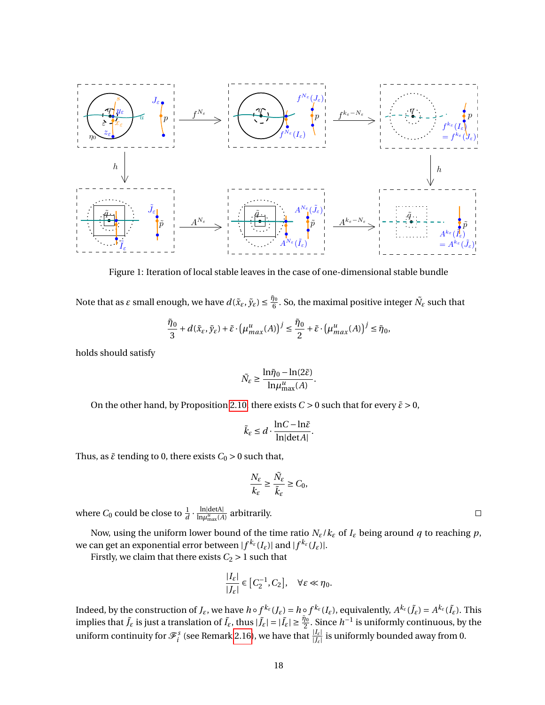

Figure 1: Iteration of local stable leaves in the case of one-dimensional stable bundle

Note that as  $\varepsilon$  small enough, we have  $d(\tilde{x}_{\varepsilon}, \tilde{y}_{\varepsilon}) \leq \frac{\tilde{\eta}_0}{6}$  $\frac{\partial}{\partial \theta}$ . So, the maximal positive integer  $\tilde{N}_\varepsilon$  such that

$$
\frac{\tilde{\eta}_0}{3} + d(\tilde{x}_{\varepsilon}, \tilde{y}_{\varepsilon}) + \tilde{\varepsilon} \cdot \left(\mu_{max}^u(A)\right)^j \le \frac{\tilde{\eta}_0}{2} + \tilde{\varepsilon} \cdot \left(\mu_{max}^u(A)\right)^j \le \tilde{\eta}_0,
$$

holds should satisfy

$$
\tilde{N}_{\varepsilon} \ge \frac{\ln \tilde{\eta}_0 - \ln(2\tilde{\varepsilon})}{\ln \mu_{\max}^u(A)}.
$$

On the other hand, by Proposition [2.10,](#page-7-0) there exists  $C > 0$  such that for every  $\tilde{\varepsilon} > 0$ ,

$$
\tilde{k}_{\varepsilon} \leq d \cdot \frac{\ln C - \ln \tilde{\varepsilon}}{\ln |\det A|}.
$$

Thus, as  $\tilde{\varepsilon}$  tending to 0, there exists  $C_0 > 0$  such that,

$$
\frac{N_{\varepsilon}}{k_{\varepsilon}}\geq \frac{\tilde{N}_{\varepsilon}}{\tilde{k}_{\varepsilon}}\geq C_0,
$$

where  $C_0$  could be close to  $\frac{1}{d} \cdot \frac{\ln|\text{detA}|}{\ln \mu_{\text{max}}^u(A)}$  $\frac{\text{in}_1 \text{u}_2}{\ln \mu_{\text{max}}^u(A)}$  arbitrarily.

Now, using the uniform lower bound of the time ratio  $N_{\epsilon}/k_{\epsilon}$  of  $I_{\epsilon}$  being around  $q$  to reaching  $p$ , we can get an exponential error between  $|f^{k_\varepsilon}(I_\varepsilon)|$  and  $|f^{k_\varepsilon}(J_\varepsilon)|.$ 

Firstly, we claim that there exists  $C_2 > 1$  such that

$$
\frac{|I_{\varepsilon}|}{|J_{\varepsilon}|} \in [C_2^{-1}, C_2], \quad \forall \varepsilon \ll \eta_0.
$$

Indeed, by the construction of  $J_{\varepsilon}$ , we have  $h\circ f^{k_{\varepsilon}}(J_{\varepsilon})=h\circ f^{k_{\varepsilon}}(I_{\varepsilon})$ , equivalently,  $A^{k_{\varepsilon}}(\tilde{J}_{\varepsilon})=A^{k_{\varepsilon}}(\tilde{I}_{\varepsilon})$ . This implies that  $\tilde{J}_{\varepsilon}$  is just a translation of  $\tilde{I}_{\varepsilon}$ , thus  $|\tilde{J}_{\varepsilon}| = |\tilde{I}_{\varepsilon}| \geq \frac{\tilde{\eta}_{0}}{2}$ . Since  $h^{-1}$  is uniformly continuous, by the uniform continuity for  $\mathcal{F}^s_i$  (see Remark [2.16\)](#page-12-0), we have that  $\frac{|I_{\varepsilon}|}{|J_{\varepsilon}|}$  is uniformly bounded away from 0.

 $\Box$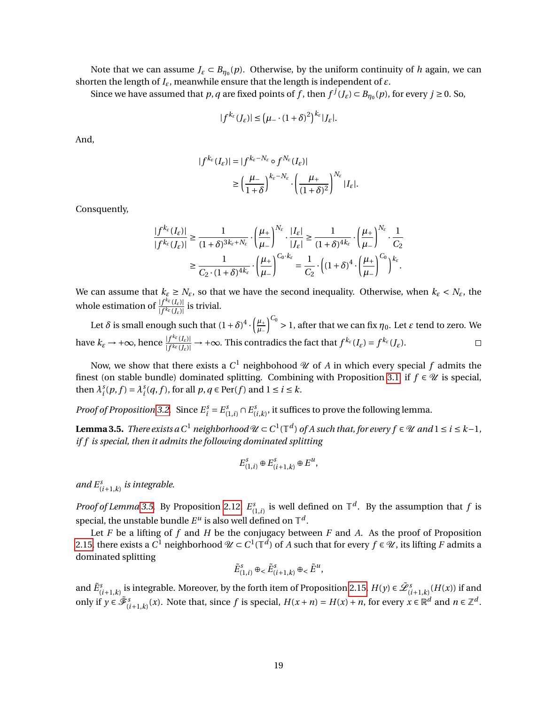Note that we can assume  $J_{\varepsilon} \subset B_{\eta_0}(p)$ . Otherwise, by the uniform continuity of *h* again, we can shorten the length of *Iε*, meanwhile ensure that the length is independent of *ε*.

Since we have assumed that *p*, *q* are fixed points of *f*, then  $f^j(J_\varepsilon) \subset B_{\eta_0}(p)$ , for every  $j \ge 0$ . So,

$$
|f^{k_{\varepsilon}}(J_{\varepsilon})| \leq (\mu_{-} \cdot (1+\delta)^2)^{k_{\varepsilon}}|J_{\varepsilon}|.
$$

And,

$$
|f^{k_{\varepsilon}}(I_{\varepsilon})| = |f^{k_{\varepsilon}-N_{\varepsilon}} \circ f^{N_{\varepsilon}}(I_{\varepsilon})|
$$
  
\n
$$
\geq \left(\frac{\mu_{-}}{1+\delta}\right)^{k_{\varepsilon}-N_{\varepsilon}} \cdot \left(\frac{\mu_{+}}{(1+\delta)^2}\right)^{N_{\varepsilon}}|I_{\varepsilon}|.
$$

Consquently,

$$
\frac{|f^{k_{\varepsilon}}(I_{\varepsilon})|}{|f^{k_{\varepsilon}}(I_{\varepsilon})|} \geq \frac{1}{(1+\delta)^{3k_{\varepsilon}+N_{\varepsilon}}} \cdot \left(\frac{\mu_{+}}{\mu_{-}}\right)^{N_{\varepsilon}} \cdot \frac{|I_{\varepsilon}|}{|I_{\varepsilon}|} \geq \frac{1}{(1+\delta)^{4k_{\varepsilon}}} \cdot \left(\frac{\mu_{+}}{\mu_{-}}\right)^{N_{\varepsilon}} \cdot \frac{1}{C_{2}} \\
\geq \frac{1}{C_{2} \cdot (1+\delta)^{4k_{\varepsilon}}} \cdot \left(\frac{\mu_{+}}{\mu_{-}}\right)^{C_{0} \cdot k_{\varepsilon}} = \frac{1}{C_{2}} \cdot \left((1+\delta)^{4} \cdot \left(\frac{\mu_{+}}{\mu_{-}}\right)^{C_{0}}\right)^{k_{\varepsilon}}.
$$

We can assume that  $k_{\varepsilon} \geq N_{\varepsilon}$ , so that we have the second inequality. Otherwise, when  $k_{\varepsilon} < N_{\varepsilon}$ , the whole estimation of  $\frac{|f^{k_{\varepsilon}}(I_{\varepsilon})|}{|f^{k_{\varepsilon}}(I_{\varepsilon})|}$  $\frac{f(f^{-1}(I_{\varepsilon}))}{|f^{k_{\varepsilon}}(J_{\varepsilon})|}$  is trivial.

 $\left(\frac{\mu_{+}}{\mu_{-}}\right)^{C_0} > 1$ , after that we can fix  $\eta_0$ . Let  $\varepsilon$  tend to zero. We Let  $\delta$  is small enough such that  $(1+\delta)^4 \cdot \left(\frac{\mu_{+}}{\mu_{-}}\right)$ have  $k_{\varepsilon} \to +\infty$ , hence  $\frac{|f^{k_{\varepsilon}}(I_{\varepsilon})|}{|f^{k_{\varepsilon}}(I_{\varepsilon})|}$  $\frac{|f^{\kappa_{\varepsilon}}(I_{\varepsilon})|}{|f^{\kappa_{\varepsilon}}(J_{\varepsilon})|} \to +\infty$ . This contradics the fact that  $f^{\kappa_{\varepsilon}}(I_{\varepsilon}) = f^{\kappa_{\varepsilon}}(J_{\varepsilon})$ .  $\Box$ 

Now, we show that there exists a  $C^1$  neighbohood  $\mathscr U$  of  $A$  in which every special  $f$  admits the finest (on stable bundle) dominated splitting. Combining with Proposition [3.1,](#page-15-0) if  $f \in \mathcal{U}$  is special, then  $\lambda_i^s(p, f) = \lambda_i^s(q, f)$ , for all  $p, q \in \text{Per}(f)$  and  $1 \le i \le k$ .

*Proof of Proposition* [3.2.](#page-15-1) Since  $E_i^s = E_{(1,i)}^s \cap E_i^s$  $\binom{s}{(i,k)}$ , it suffices to prove the following lemma.

<span id="page-18-0"></span>**Lemma 3.5.** There exists a C<sup>1</sup> neighborhood  $\mathcal{U}$  ⊂ C<sup>1</sup>( $\mathbb{T}^d$ ) of A such that, for every f ∈  $\mathcal U$  and 1 ≤ i ≤ k−1, *if f is special, then it admits the following dominated splitting*

$$
E_{(1,i)}^s \oplus E_{(i+1,k)}^s \oplus E^u,
$$

and  $E^s_{(i+1,k)}$  is integrable.

*Proof of Lemma* [3.5.](#page-18-0) By Proposition [2.12,](#page-9-4)  $E^s_{(1,i)}$  is well defined on  $\mathbb{T}^d$ . By the assumption that *f* is special, the unstable bundle  $E^u$  is also well defined on  $\mathbb{T}^d$ .

Let *F* be a lifting of *f* and *H* be the conjugacy between *F* and *A*. As the proof of Proposition [2.15,](#page-11-0) there exists a  $C^1$  neighborhood  $\mathscr{U}\subset C^1(\mathbb{T}^d)$  of  $A$  such that for every  $f\in\mathscr{U}$ , its lifting  $F$  admits a dominated splitting

$$
\tilde{E}_{(1,i)}^s \oplus \langle \tilde{E}_{(i+1,k)}^s \oplus \langle \tilde{E}^u, \rangle
$$

and  $\tilde{E}^s_{(i+1,k)}$  is integrable. Moreover, by the forth item of Proposition [2.15,](#page-11-0)  $H(y) \in \tilde{\mathcal{L}}^s_{(i+1,k)}(H(x))$  if and only if  $y \in \tilde{\mathcal{F}}_{(i+1,k)}^s(x)$ . Note that, since f is special,  $H(x+n) = H(x) + n$ , for every  $x \in \mathbb{R}^d$  and  $n \in \mathbb{Z}^d$ .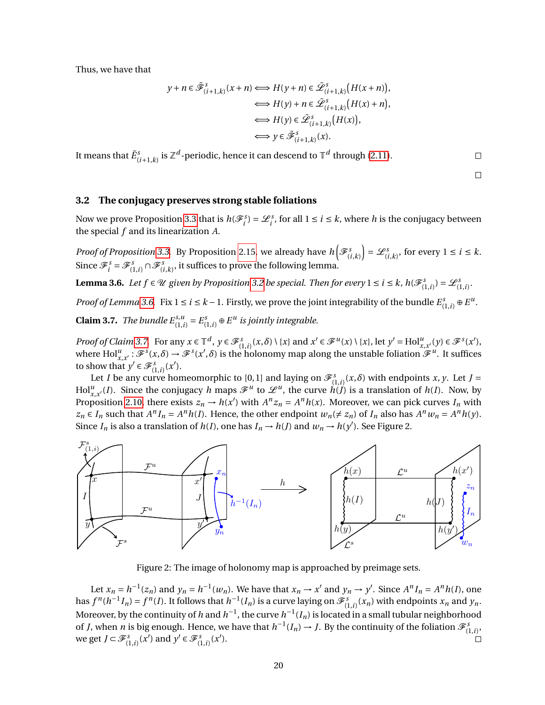Thus, we have that

$$
y + n \in \tilde{\mathcal{F}}_{(i+1,k)}^{s}(x+n) \Longleftrightarrow H(y+n) \in \tilde{\mathcal{L}}_{(i+1,k)}^{s}(H(x+n)),
$$
  
\n
$$
\Longleftrightarrow H(y) + n \in \tilde{\mathcal{L}}_{(i+1,k)}^{s}(H(x)+n),
$$
  
\n
$$
\Longleftrightarrow H(y) \in \tilde{\mathcal{L}}_{(i+1,k)}^{s}(H(x)),
$$
  
\n
$$
\Longleftrightarrow y \in \tilde{\mathcal{F}}_{(i+1,k)}^{s}(x).
$$

It means that  $\tilde{E}^s_{(i+1,k)}$  is  $\mathbb{Z}^d$ -periodic, hence it can descend to  $\mathbb{T}^d$  through [\(2.11\)](#page-10-2).

 $\Box$  $\Box$ 

### <span id="page-19-0"></span>**3.2 The conjugacy preserves strong stable foliations**

Now we prove Proposition [3.3](#page-15-3) that is  $h(\mathcal{F}^s_i) = \mathcal{L}^s_i$ , for all  $1 \le i \le k$ , where *h* is the conjugacy between the special *f* and its linearization *A*.

*Proof of Proposition* [3.3.](#page-15-3) By Proposition [2.15,](#page-11-0) we already have  $h\left(\mathcal{F}_{(i,k)}^s\right) = \mathcal{L}_{(i,k)}^s$ , for every  $1 \le i \le k$ . Since  $\mathscr{F}^s_i = \mathscr{F}^s_{(1,i)} \cap \mathscr{F}^s_{(i,k)}$ , it suffices to prove the following lemma.

<span id="page-19-1"></span>**Lemma 3.6.** Let  $f \in \mathcal{U}$  given by Proposition [3.2](#page-15-1) be special. Then for every  $1 \le i \le k$ ,  $h(\mathscr{F}_{(1,i)}^s) = \mathscr{L}_{(1,i)}^s$ .

<span id="page-19-2"></span>*Proof of Lemma* [3.6.](#page-19-1) Fix  $1 \le i \le k - 1$ . Firstly, we prove the joint integrability of the bundle  $E_{(1,i)}^s \oplus E^u$ . **Claim 3.7.** *The bundle*  $E_{(1,i)}^{s,u} = E_{(1,i)}^s \oplus E^u$  *is jointly integrable.* 

*Proof of Claim [3.7.](#page-19-2)* For any  $x \in \mathbb{T}^d$ ,  $y \in \mathcal{F}_{(1,i)}^s(x,\delta) \setminus \{x\}$  and  $x' \in \mathcal{F}^u(x) \setminus \{x\}$ , let  $y' = Hol_{x,x'}^u(y) \in \mathcal{F}^s(x')$ , where  $\text{Hol}_{x,x'}^u: \mathscr{F}^s(x,\delta) \to \mathscr{F}^s(x',\delta)$  is the holonomy map along the unstable foliation  $\mathscr{F}^u$ . It suffices to show that  $y' \in \mathscr{F}^s_{(1,i)}(x')$ .

Let *I* be any curve homeomorphic to [0, 1] and laying on  $\mathcal{F}^s_{(1,i)}(x,\delta)$  with endpoints *x*, *y*. Let *J* =  $Hol_{x,x'}^u(I)$ . Since the conjugacy *h* maps  $\mathscr{F}^u$  to  $\mathscr{L}^u$ , the curve  $h(I)$  is a translation of  $h(I)$ . Now, by Proposition [2.10,](#page-7-0) there exists  $z_n \to h(x')$  with  $A^n z_n = A^n h(x)$ . Moreover, we can pick curves  $I_n$  with  $z_n \in I_n$  such that  $A^n I_n = A^n h(I)$ . Hence, the other endpoint  $w_n (\neq z_n)$  of  $I_n$  also has  $A^n w_n = A^n h(y)$ . Since  $I_n$  is also a translation of  $h(I)$ , one has  $I_n \to h(J)$  and  $w_n \to h(y')$ . See Figure 2.



Figure 2: The image of holonomy map is approached by preimage sets.

Let  $x_n = h^{-1}(z_n)$  and  $y_n = h^{-1}(w_n)$ . We have that  $x_n \to x'$  and  $y_n \to y'$ . Since  $A^n I_n = A^n h(I)$ , one has  $f^n(h^{-1}I_n) = f^n(I)$ . It follows that  $h^{-1}(I_n)$  is a curve laying on  $\mathscr{F}^s_{(1,i)}(x_n)$  with endpoints  $x_n$  and  $y_n$ . Moreover, by the continuity of *h* and  $h^{-1}$ , the curve  $h^{-1}(I_n)$  is located in a small tubular neighborhood of *J*, when *n* is big enough. Hence, we have that  $h^{-1}(I_n) \to J$ . By the continuity of the foliation  $\mathcal{F}_{(1,i)}^s$ , we get  $J \subset \mathcal{F}_{(1,i)}^s(x')$  and  $y' \in \mathcal{F}_{(1,i)}^s(x')$ . П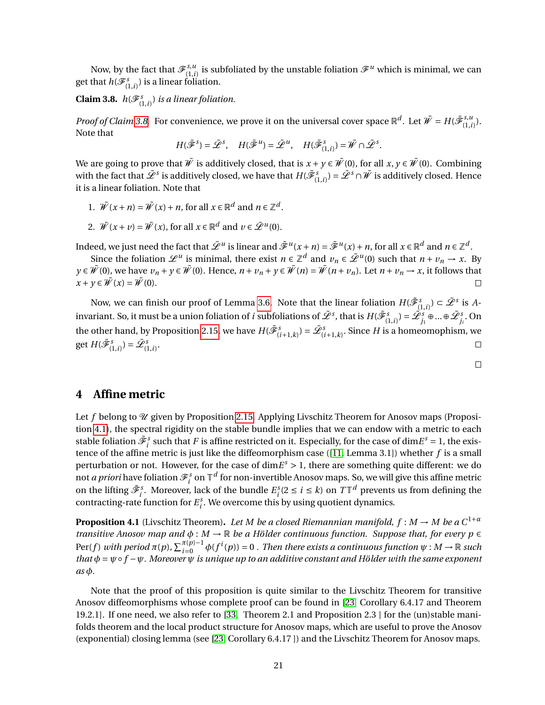Now, by the fact that  $\mathscr{F}_{(1, i)}^{s, u}$  $\mathcal{F}^{(s,u)}_{(1,i)}$  is subfoliated by the unstable foliation  $\mathcal{F}^u$  which is minimal, we can get that  $h(\mathscr{F}^s_{(1,i)})$  is a linear foliation.

<span id="page-20-1"></span>**Claim 3.8.**  $h(\mathscr{F}_{(1,i)}^s)$  *is a linear foliation.* 

*Proof of Claim* [3.8.](#page-20-1) For convenience, we prove it on the universal cover space  $\mathbb{R}^d$ . Let  $\tilde{W} = H(\tilde{\mathscr{F}}_{(1)}^{s,u}$  $\binom{3, u}{(1, i)}$ . Note that

$$
H(\tilde{\mathscr{F}}^s) = \tilde{\mathscr{L}}^s, \quad H(\tilde{\mathscr{F}}^u) = \tilde{\mathscr{L}}^u, \quad H(\tilde{\mathscr{F}}^s_{(1,i)}) = \tilde{W} \cap \tilde{\mathscr{L}}^s.
$$

We are going to prove that  $\tilde{W}$  is additively closed, that is  $x + y \in \tilde{W}(0)$ , for all  $x, y \in \tilde{W}(0)$ . Combining with the fact that  $\tilde{\mathscr{L}}^s$  is additively closed, we have that  $H(\tilde{\mathscr{F}}^s_{(1,i)})=\tilde{\mathscr{L}}^s\cap\tilde{\mathscr{W}}$  is additively closed. Hence it is a linear foliation. Note that

- 1.  $\tilde{W}(x+n) = \tilde{W}(x) + n$ , for all  $x \in \mathbb{R}^d$  and  $n \in \mathbb{Z}^d$ .
- 2.  $\tilde{W}(x+v) = \tilde{W}(x)$ , for all  $x \in \mathbb{R}^d$  and  $v \in \tilde{\mathcal{L}}^u(0)$ .

Indeed, we just need the fact that  $\tilde{\mathscr{L}}^u$  is linear and  $\tilde{\mathscr{F}}^u(x+n) = \tilde{\mathscr{F}}^u(x) + n,$  for all  $x \in \mathbb{R}^d$  and  $n \in \mathbb{Z}^d$ .

Since the foliation  $\mathscr{L}^u$  is minimal, there exist  $n \in \mathbb{Z}^d$  and  $v_n \in \tilde{\mathscr{L}}^u(0)$  such that  $n + v_n \to x$ . By *y*∈  $\tilde{W}$ (0), we have  $v_n + y \in \tilde{W}$ (0). Hence,  $n + v_n + y \in \tilde{W}$ (*n*) =  $\tilde{W}$ (*n*+ $v_n$ ). Let  $n + v_n \rightarrow x$ , it follows that  $x + y \in \tilde{W}(x) = \tilde{W}(0).$ П

Now, we can finish our proof of Lemma [3.6.](#page-19-1) Note that the linear foliation  $H(\tilde{\mathscr{F}}_{(1,i)}^s) \subset \tilde{\mathscr{L}}^s$  is Ainvariant. So, it must be a union foliation of *i* subfoliations of  $\tilde{\mathcal{L}}^s$ , that is  $H(\tilde{\mathcal{F}}_{(1,i)}^s) = \tilde{\mathcal{L}}_{j_1}^s \oplus ... \oplus \tilde{\mathcal{L}}_{j_i}^s$ . On the other hand, by Proposition [2.15,](#page-11-0) we have  $H(\tilde{\mathscr{F}}_{(i+1,k)}^s) = \tilde{\mathscr{L}}_{(i+1,k)}^s.$  Since  $H$  is a homeomophism, we get  $H(\tilde{\mathcal{F}}_{(1,i)}^s) = \tilde{\mathcal{L}}_{(1,i)}^s$ .



## <span id="page-20-0"></span>**4 Affine metric**

Let  $f$  belong to  $\mathcal U$  given by Proposition [2.15.](#page-11-0) Applying Livschitz Theorem for Anosov maps (Proposition [4.1\)](#page-20-2), the spectral rigidity on the stable bundle implies that we can endow with a metric to each stable foliation  $\tilde{\mathscr{F}}_i^s$  such that *F* is affine restricted on it. Especially, for the case of  $\dim E^s = 1$ , the existence of the affine metric is just like the diffeomorphism case ([\[11,](#page-34-5) Lemma 3.1]) whether *f* is a small perturbation or not. However, for the case of dim*E <sup>s</sup>* > 1, there are something quite different: we do not *a priori* have foliation  $\mathscr{F}^s_i$  on  $\mathbb{T}^d$  for non-invertible Anosov maps. So, we will give this affine metric on the lifting  $\tilde{\mathcal{F}}_i^s$ . Moreover, lack of the bundle  $E_i^s(2 \le i \le k)$  on  $T\mathbb{T}^d$  prevents us from defining the contracting-rate function for  $E_i^s$ . We overcome this by using quotient dynamics.

<span id="page-20-2"></span>**Proposition 4.1** (Livschitz Theorem). Let M be a closed Riemannian manifold,  $f : M \to M$  be a  $C^{1+\alpha}$ *transitive Anosov map and*  $\phi : M \to \mathbb{R}$  *be a Hölder continuous function. Suppose that, for every p*  $\in$  $Per(f)$  with period  $\pi(p)$ ,  $\sum_{i=0}^{\pi(p)-1} \phi(f^i(p)) = 0$  *. Then there exists a continuous function*  $\psi : M \to \mathbb{R}$  such *that*  $\phi = \psi \circ f - \psi$ . Moreover  $\psi$  *is unique up to an additive constant and Hölder with the same exponent as φ.*

Note that the proof of this proposition is quite similar to the Livschitz Theorem for transitive Anosov diffeomorphisms whose complete proof can be found in [\[23,](#page-34-16) Corollary 6.4.17 and Theorem 19.2.1]. If one need, we also refer to [\[33,](#page-35-1) Theorem 2.1 and Proposition 2.3 ] for the (un)stable manifolds theorem and the local product structure for Anosov maps, which are useful to prove the Anosov (exponential) closing lemma (see [\[23,](#page-34-16) Corollary 6.4.17 ]) and the Livschitz Theorem for Anosov maps.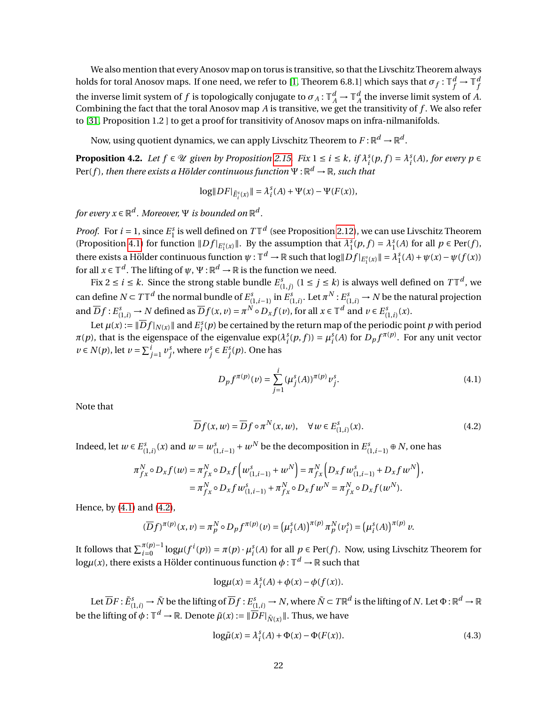We also mention that every Anosov map on torus is transitive, so that the Livschitz Theorem always holds for toral Anosov maps. If one need, we refer to [\[1,](#page-33-2) Theorem 6.8.1] which says that  $\sigma_f: \mathbb{T}_f^d \to \mathbb{T}_f^d$ *f* the inverse limit system of *f* is topologically conjugate to  $\sigma_A : \mathbb{T}_A^d \to \mathbb{T}_A^d$  the inverse limit system of *A*. Combining the fact that the toral Anosov map *A* is transitive, we get the transitivity of *f* . We also refer to [\[31,](#page-35-9) Proposition 1.2 ] to get a proof for transitivity of Anosov maps on infra-nilmanifolds.

Now, using quotient dynamics, we can apply Livschitz Theorem to  $F$  :  $\mathbb{R}^d \to \mathbb{R}^d$ .

<span id="page-21-3"></span>**Proposition 4.2.** Let  $f \in \mathcal{U}$  given by Proposition [2.15.](#page-11-0) Fix  $1 \le i \le k$ , if  $\lambda_i^s(p, f) = \lambda_i^s(A)$ , for every  $p \in$  $\text{Per}(f)$  *, then there exists a Hölder continuous function*  $\Psi$  :  $\mathbb{R}^d \to \mathbb{R}$  *, such that* 

$$
\log\|DF|_{\widetilde{E}_i^s(x)}\| = \lambda_i^s(A) + \Psi(x) - \Psi(F(x)),
$$

for every  $x \in \mathbb{R}^d$  . Moreover,  $\Psi$  is bounded on  $\mathbb{R}^d$  .

*Proof.* For  $i = 1$ , since  $E_1^s$  is well defined on  $T\mathbb{T}^d$  (see Proposition [2.12\)](#page-9-4), we can use Livschitz Theorem (Proposition [4.1\)](#page-20-2) for function  $\|Df|_{E_1^s(x)}\|$ . By the assumption that  $\lambda_1^s(p, f) = \lambda_1^s(A)$  for all  $p \in \text{Per}(f)$ , there exists a Hölder continuous function  $\psi : \mathbb{T}^d \to \mathbb{R}$  such that  $\log \|Df|_{E_1^s(x)} \| = \lambda_1^s(A) + \psi(x) - \psi(f(x))$ for all  $x \in \mathbb{T}^d$ . The lifting of  $\psi$ ,  $\Psi : \mathbb{R}^d \to \mathbb{R}$  is the function we need.

Fix  $2 \le i \le k$ . Since the strong stable bundle  $E_{(1,j)}^s$   $(1 \le j \le k)$  is always well defined on  $T\mathbb{T}^d$ , we can define  $N \subset T\mathbb{T}^d$  the normal bundle of  $E^s_{(1,i-1)}$  in  $E^s_{(1,i)}$ . Let  $\pi^N$  :  $E^s_{(1,i)} \to N$  be the natural projection and  $\overline{D}f: E^s_{(1,i)} \to N$  defined as  $\overline{D}f(x, v) = \pi^N \circ D_x f(v)$ , for all  $x \in \mathbb{T}^d$  and  $v \in E^s_{(1,i)}(x)$ .

Let  $\mu(x) := \|\overline{D}f|_{N(x)}\|$  and  $E^s_i(p)$  be certained by the return map of the periodic point *p* with period  $\pi(p)$ , that is the eigenspace of the eigenvalue  $\exp(\lambda_i^s(p,f)) = \mu_i^s(A)$  for  $D_p f^{\pi(p)}$ . For any unit vector *v* ∈ *N*(*p*), let *v* =  $\sum_{j=1}^{i} v_j^s$ , where  $v_j^s$  ∈  $E_j^s(p)$ . One has

<span id="page-21-1"></span><span id="page-21-0"></span>
$$
D_p f^{\pi(p)}(v) = \sum_{j=1}^{i} (\mu_j^s(A))^{\pi(p)} v_j^s.
$$
 (4.1)

Note that

$$
\overline{D}f(x,w) = \overline{D}f \circ \pi^N(x,w), \quad \forall w \in E^s_{(1,i)}(x). \tag{4.2}
$$

Indeed, let  $w \in E_{(1,i)}^s(x)$  and  $w = w_{(1,i-1)}^s + w^N$  be the decomposition in  $E_{(1,i-1)}^s \oplus N$ , one has

$$
\pi_{fx}^N \circ D_x f(w) = \pi_{fx}^N \circ D_x f\left(w_{(1,i-1)}^S + w^N\right) = \pi_{fx}^N \left(D_x f w_{(1,i-1)}^S + D_x f w^N\right),
$$
  
=  $\pi_{fx}^N \circ D_x f w_{(1,i-1)}^S + \pi_{fx}^N \circ D_x f w^N = \pi_{fx}^N \circ D_x f(w^N).$ 

Hence, by [\(4.1\)](#page-21-0) and [\(4.2\)](#page-21-1),

$$
(\overline{D}f)^{\pi(p)}(x,\nu) = \pi_p^N \circ D_p f^{\pi(p)}(\nu) = (\mu_i^s(A))^{\pi(p)} \pi_p^N(\nu_i^s) = (\mu_i^s(A))^{\pi(p)} \nu.
$$

It follows that  $\sum_{i=0}^{\pi(p)-1} \log \mu(f^i(p)) = \pi(p) \cdot \mu_i^s(A)$  for all  $p \in \text{Per}(f)$ . Now, using Livschitz Theorem for  $\log \mu(x)$ , there exists a Hölder continuous function  $\phi: \mathbb{T}^d \to \mathbb{R}$  such that

$$
log\mu(x) = \lambda_i^s(A) + \phi(x) - \phi(f(x)).
$$

Let  $\overline{D}F:\tilde{E}^s_{(1,i)}\to \tilde{N}$  be the lifting of  $\overline{D}f:E^s_{(1,i)}\to N,$  where  $\tilde{N}\subset T\mathbb{R}^d$  is the lifting of  $N.$  Let  $\Phi:\mathbb{R}^d\to\mathbb{R}$ be the lifting of  $\phi: \mathbb{T}^d \to \mathbb{R}$ . Denote  $\tilde{\mu}(x) := \|\overline{D}F|_{\tilde{N}(x)}\|$ . Thus, we have

<span id="page-21-2"></span>
$$
\log \tilde{\mu}(x) = \lambda_i^s(A) + \Phi(x) - \Phi(F(x)).
$$
\n(4.3)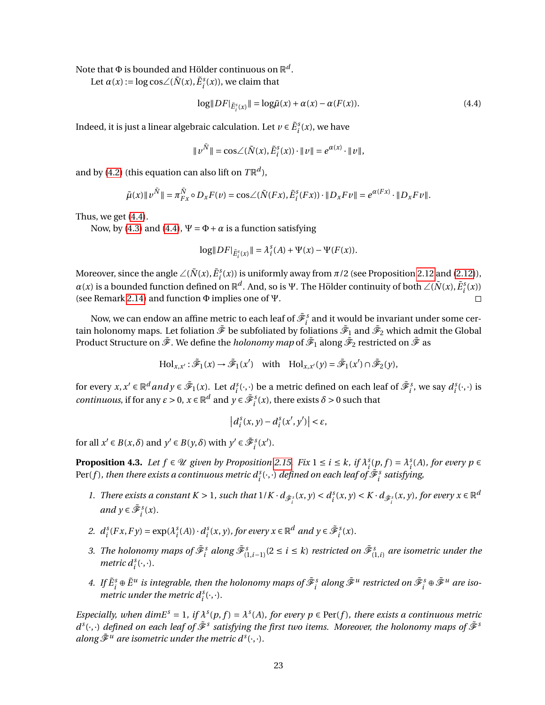Note that  $\Phi$  is bounded and Hölder continuous on  $\mathbb{R}^d.$ 

Let  $\alpha(x) := \log \cos \angle (\tilde{N}(x), \tilde{E}^s_i(x))$ , we claim that

<span id="page-22-0"></span>
$$
\log\|DF\|_{\tilde{E}_i^s(x)}\| = \log \tilde{\mu}(x) + \alpha(x) - \alpha(F(x)).\tag{4.4}
$$

Indeed, it is just a linear algebraic calculation. Let  $v \in \tilde{E}^{\text{s}}_i(x)$ , we have

$$
\|v^{\tilde{N}}\| = \cos\angle(\tilde{N}(x), \tilde{E}_{i}^{s}(x)) \cdot \|v\| = e^{\alpha(x)} \cdot \|v\|,
$$

and by [\(4.2\)](#page-21-1) (this equation can also lift on  $T\mathbb{R}^d$ ),

$$
\tilde{\mu}(x) \Vert v^{\tilde{N}} \Vert = \pi_{Fx}^{\tilde{N}} \circ D_{x} F(v) = \cos \angle (\tilde{N}(Fx), \tilde{E}_{i}^{s}(Fx)) \cdot \Vert D_{x} F v \Vert = e^{\alpha(Fx)} \cdot \Vert D_{x} F v \Vert.
$$

Thus, we get [\(4.4\)](#page-22-0).

Now, by [\(4.3\)](#page-21-2) and [\(4.4\)](#page-22-0),  $\Psi = \Phi + \alpha$  is a function satisfying

$$
\log\|DF|_{\tilde{E}_{i}^{s}(x)}\| = \lambda_{i}^{s}(A) + \Psi(x) - \Psi(F(x)).
$$

Moreover, since the angle  $\angle(\tilde{N}(x), \tilde{E}^s_i(x))$  is uniformly away from  $\pi/2$  (see Proposition [2.12](#page-9-4) and [\(2.12\)](#page-10-3)), *α*(*x*) is a bounded function defined on  $\mathbb{R}^d$ . And, so is Ψ. The Hölder continuity of both  $\angle(\tilde{N}(x), \tilde{E}^s_i(x))$ (see Remark [2.14\)](#page-10-1) and function Φ implies one of Ψ.  $\Box$ 

Now, we can endow an affine metric to each leaf of  $\tilde{\mathscr{F}}^s_i$  and it would be invariant under some certain holonomy maps. Let foliation  $\tilde{\mathscr{F}}$  be subfoliated by foliations  $\tilde{\mathscr{F}}_1$  and  $\tilde{\mathscr{F}}_2$  which admit the Global Product Structure on  $\tilde{\mathscr{F}}$  . We define the *holonomy map* of  $\tilde{\mathscr{F}}_1$  along  $\tilde{\mathscr{F}}_2$  restricted on  $\tilde{\mathscr{F}}$  as

$$
\text{Hol}_{x,x'} : \tilde{\mathcal{F}}_1(x) \to \tilde{\mathcal{F}}_1(x') \quad \text{with} \quad \text{Hol}_{x,x'}(y) = \tilde{\mathcal{F}}_1(x') \cap \tilde{\mathcal{F}}_2(y),
$$

for every  $x, x' \in \mathbb{R}^d$  *and*  $y \in \tilde{\mathcal{F}}_1(x)$ . Let  $d_i^s(\cdot, \cdot)$  be a metric defined on each leaf of  $\tilde{\mathcal{F}}_i^s$ , we say  $d_i^s(\cdot, \cdot)$  is *continuous*, if for any  $\varepsilon > 0$ ,  $x \in \mathbb{R}^d$  and  $y \in \tilde{\mathcal{F}}_i^s(x)$ , there exists  $\delta > 0$  such that

$$
\left|d_i^s(x,y) - d_i^s(x',y')\right| < \varepsilon,
$$

for all  $x' \in B(x, \delta)$  and  $y' \in B(y, \delta)$  with  $y' \in \tilde{\mathcal{F}}_i^s(x')$ .

<span id="page-22-1"></span>**Proposition 4.3.** Let  $f \in \mathcal{U}$  given by Proposition [2.15.](#page-11-0) Fix  $1 \le i \le k$ , if  $\lambda_i^s(p, f) = \lambda_i^s(A)$ , for every  $p \in$ Per(f), then there exists a continuous metric  $d^s_i(\cdot,\cdot)$  defined on each leaf of  $\tilde{\mathscr{F}}^s_i$  satisfying,

- 1. There exists a constant  $K > 1$ , such that  $1/K \cdot d_{\tilde{\mathscr{F}}_i} (x, y) < d_i^s(x, y) < K \cdot d_{\tilde{\mathscr{F}}_i} (x, y)$ , for every  $x \in \mathbb{R}^d$  $and y \in \tilde{\mathcal{F}}_i^s(x)$ .
- 2.  $d_i^s(Fx, Fy) = \exp(\lambda_i^s(A)) \cdot d_i^s(x, y)$ , for every  $x \in \mathbb{R}^d$  and  $y \in \tilde{\mathcal{F}}_i^s(x)$ .
- 3. The holonomy maps of  $\tilde{\mathcal{F}}_i^s$  along  $\tilde{\mathcal{F}}_{(1,i-1)}^s(2\leq i\leq k)$  restricted on  $\tilde{\mathcal{F}}_{(1,i)}^s$  are isometric under the *metric*  $d_i^s(\cdot, \cdot)$ *.*
- 4. If  $\tilde E^s_i\oplus\tilde E^u$  is integrable, then the holonomy maps of  $\tilde{\cal F}^s_i$  along  $\tilde{\cal F}^u$  restricted on  $\tilde{\cal F}^s_i\oplus\tilde{\cal F}^u$  are iso*metric under the metric*  $d_i^s(\cdot, \cdot)$ .

*Especially, when dimE<sup>s</sup>* = 1, *if*  $\lambda^{s}(p, f) = \lambda^{s}(A)$ , *for every*  $p \in Per(f)$ *, there exists a continuous metric*  $d^s(\cdot,\cdot)$  *defined on each leaf of*  $\tilde{\mathscr{F}}^s$  *satisfying the first two items. Moreover, the holonomy maps of*  $\tilde{\mathscr{F}}^s$ along  $\tilde{\mathscr{F}}^u$  are isometric under the metric  $d^s(\cdot,\cdot)$ .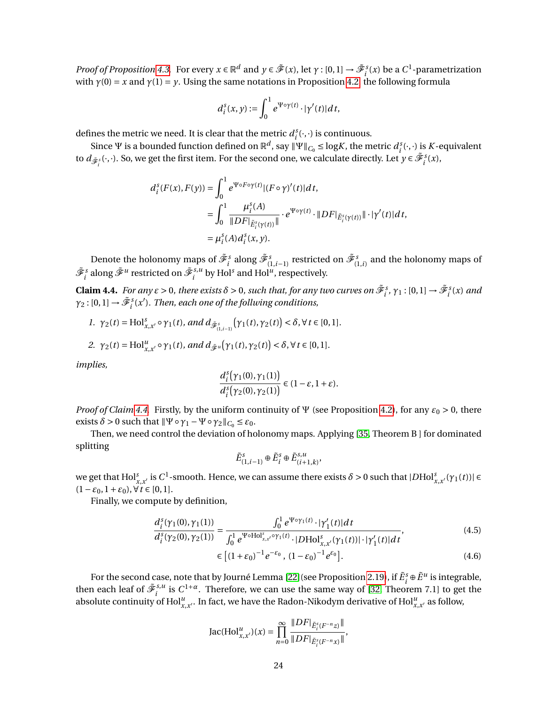*Proof of Proposition* [4.3.](#page-22-1) For every  $x \in \mathbb{R}^d$  and  $y \in \tilde{\mathcal{F}}(x)$ , let  $\gamma : [0,1] \to \tilde{\mathcal{F}}_i^s(x)$  be a  $C^1$ -parametrization with  $\gamma(0) = x$  and  $\gamma(1) = y$ . Using the same notations in Proposition [4.2,](#page-21-3) the following formula

$$
d_i^s(x,y) := \int_0^1 e^{\Psi \circ \gamma(t)} \cdot |\gamma'(t)| dt,
$$

defines the metric we need. It is clear that the metric  $d_i^s(\cdot, \cdot)$  is continuous.

Since Ψ is a bounded function defined on  $\mathbb{R}^d$ , say  $\|\Psi\|_{C_0} \leq \log K$ , the metric  $d_i^s(\cdot,\cdot)$  is *K*-equivalent to  $d_{\tilde{\mathscr{F}}_i^s}(\cdot,\cdot)$ . So, we get the first item. For the second one, we calculate directly. Let  $y \in \tilde{\mathscr{F}}_i^s(x)$ ,

$$
d_i^s(F(x), F(y)) = \int_0^1 e^{\Psi \circ F \circ \gamma(t)} |(F \circ \gamma)'(t)| dt,
$$
  
\n
$$
= \int_0^1 \frac{\mu_i^s(A)}{\|DF\|_{\tilde{E}_i^s(\gamma(t))}\|} \cdot e^{\Psi \circ \gamma(t)} \cdot \|DF\|_{\tilde{E}_i^s(\gamma(t))}\| \cdot |\gamma'(t)| dt,
$$
  
\n
$$
= \mu_i^s(A) d_i^s(x, y).
$$

Denote the holonomy maps of  $\tilde{\mathscr{F}}^s_i$  along  $\tilde{\mathscr{F}}^s_{(1,i-1)}$  restricted on  $\tilde{\mathscr{F}}^s_{(1,i)}$  and the holonomy maps of  $\tilde{\mathscr{F}}^{s}_i$  along  $\tilde{\mathscr{F}}^{u}_i$  restricted on  $\tilde{\mathscr{F}}^{s,u}_i$  $i^{s,u}$  by Hol<sup>s</sup> and Hol<sup>u</sup>, respectively.

<span id="page-23-0"></span>**Claim 4.4.** *For any*  $\varepsilon > 0$ *, there exists*  $\delta > 0$ *, such that, for any two curves on*  $\tilde{\mathcal{F}}_i^s$ ,  $\gamma_1$ : [0,1]  $\to \tilde{\mathcal{F}}_i^s(x)$  and  $\gamma_2$ : [0, 1]  $\rightarrow \tilde{\mathscr{F}}^s_i(x')$ . Then, each one of the follwing conditions,

1. 
$$
\gamma_2(t) = Hol_{x,x'}^s \circ \gamma_1(t)
$$
, and  $d_{\tilde{\mathcal{F}}_{(1,i-1)}^s}(\gamma_1(t), \gamma_2(t)) < \delta, \forall t \in [0,1]$ .

2. 
$$
\gamma_2(t) = \text{Hol}_{x,x'}^u \circ \gamma_1(t)
$$
, and  $d_{\tilde{\mathscr{F}}^u}(\gamma_1(t), \gamma_2(t)) < \delta, \forall t \in [0,1]$ .

*implies,*

$$
\frac{d_i^s\big(\gamma_1(0),\gamma_1(1)\big)}{d_i^s\big(\gamma_2(0),\gamma_2(1)\big)}\in (1-\varepsilon,1+\varepsilon).
$$

*Proof of Claim* [4.4.](#page-23-0) Firstly, by the uniform continuity of  $\Psi$  (see Proposition [4.2\)](#page-21-3), for any  $\varepsilon_0 > 0$ , there exists  $\delta > 0$  such that  $\|\Psi \circ \gamma_1 - \Psi \circ \gamma_2\|_{C_0} \leq \varepsilon_0$ .

Then, we need control the deviation of holonomy maps. Applying [\[35,](#page-35-10) Theorem B ] for dominated splitting

<span id="page-23-1"></span>
$$
\tilde{E}^s_{(1,i-1)}\oplus\tilde{E}^s_i\oplus\tilde{E}^{s,u}_{(i+1,k)},
$$

we get that  $Hol_{x,x'}^s$  is  $C^1$ -smooth. Hence, we can assume there exists  $\delta > 0$  such that  $|DHol_{x,x'}^s(\gamma_1(t))| \in$  $(1-\varepsilon_0, 1+\varepsilon_0), \forall t \in [0,1].$ 

Finally, we compute by definition,

$$
\frac{d_i^s(\gamma_1(0), \gamma_1(1))}{d_i^s(\gamma_2(0), \gamma_2(1))} = \frac{\int_0^1 e^{\Psi \circ \gamma_1(t)} \cdot |\gamma_1'(t)| dt}{\int_0^1 e^{\Psi \circ \text{Hol}_{x,x'}^s \circ \gamma_1(t)} \cdot |D \text{Hol}_{x,x'}^s(\gamma_1(t))| \cdot |\gamma_1'(t)| dt'},\tag{4.5}
$$
\n
$$
\in \left[ (1 + \varepsilon_0)^{-1} e^{-\varepsilon_0}, (1 - \varepsilon_0)^{-1} e^{\varepsilon_0} \right].
$$

For the second case, note that by Journé Lemma [\[22\]](#page-34-15) (see Proposition [2.19\)](#page-14-4), if  $\tilde{E}^s_i \oplus \tilde{E}^u$  is integrable, then each leaf of  $\tilde{\mathscr{F}}_i^{s,u}$ <sup>*s*,*u*</sup> is  $C^{1+\alpha}$ . Therefore, we can use the same way of [\[32,](#page-35-0) Theorem 7.1] to get the absolute continuity of  $\text{Hol}_{x,x'}^u$ . In fact, we have the Radon-Nikodym derivative of  $\text{Hol}_{x,x'}^u$  as follow,

Jac(Hol<sub>x,x'</sub>
$$
)(x) = \prod_{n=0}^{\infty} \frac{\|DF|_{\tilde{E}_{i}^{s}(F^{-n}z)}\|}{\|DF|_{\tilde{E}_{i}^{s}(F^{-n}x)}\|},
$$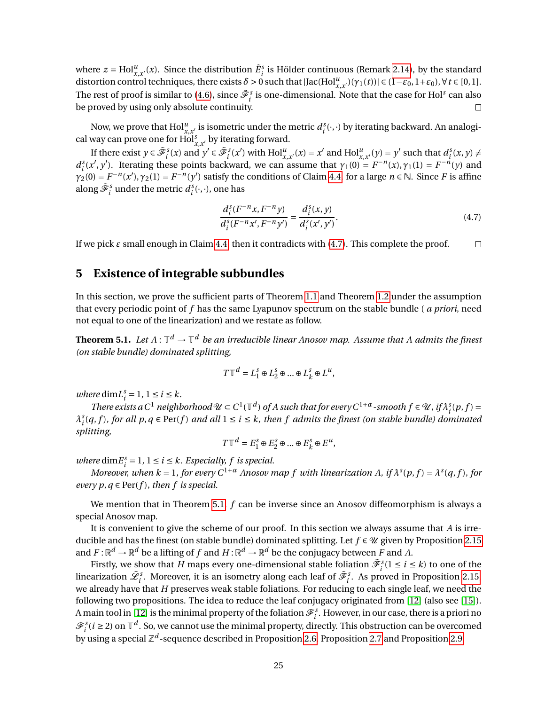where  $z = Hol_{x,x'}^u(x)$ . Since the distribution  $\tilde{E}_i^s$  is Hölder continuous (Remark [2.14\)](#page-10-1), by the standard distortion control techniques, there exists  $\delta > 0$  such that  $|\text{Jac}(\text{Hol}_{x,x'}^u)(\gamma_1(t))| \in (1-\varepsilon_0, 1+\varepsilon_0)$ ,  $\forall t \in [0,1]$ . The rest of proof is similar to [\(4.6\)](#page-23-1), since  $\tilde{\mathscr{F}}^s_i$  is one-dimensional. Note that the case for Hol $^s$  can also be proved by using only absolute continuity.  $\Box$ 

Now, we prove that  $Hol_{x,x'}^u$  is isometric under the metric  $d_i^s(\cdot,\cdot)$  by iterating backward. An analogical way can prove one for  $\text{Hol}_{x,x'}^s$  by iterating forward.

If there exist  $y \in \tilde{\mathcal{F}}_i^s(x)$  and  $y' \in \tilde{\mathcal{F}}_i^s(x')$  with  $\text{Hol}_{x,x'}^u(x) = x'$  and  $\text{Hol}_{x,x'}^u(y) = y'$  such that  $d_i^s(x, y) \neq$  $d_i^s(x', y')$ . Iterating these points backward, we can assume that  $\gamma_1(0) = F^{-n}(x), \gamma_1(1) = F^{-n}(y)$  and  $\gamma_2(0) = F^{-n}(x'), \gamma_2(1) = F^{-n}(y')$  satisfy the conditions of Claim [4.4,](#page-23-0) for a large  $n \in \mathbb{N}$ . Since *F* is affine along  $\tilde{\mathscr{F}}_{i}^{s}$  under the metric  $d_{i}^{s}(\cdot,\cdot)$ , one has

<span id="page-24-1"></span>
$$
\frac{d_i^s(F^{-n}x, F^{-n}y)}{d_i^s(F^{-n}x', F^{-n}y')} = \frac{d_i^s(x, y)}{d_i^s(x', y')}.
$$
\n(4.7)

If we pick  $\varepsilon$  small enough in Claim [4.4,](#page-23-0) then it contradicts with  $(4.7)$ . This complete the proof.  $\Box$ 

# <span id="page-24-0"></span>**5 Existence of integrable subbundles**

In this section, we prove the sufficient parts of Theorem [1.1](#page-1-0) and Theorem [1.2](#page-2-0) under the assumption that every periodic point of *f* has the same Lyapunov spectrum on the stable bundle ( *a priori*, need not equal to one of the linearization) and we restate as follow.

<span id="page-24-2"></span>**Theorem 5.1.** Let  $A: \mathbb{T}^d \to \mathbb{T}^d$  be an irreducible linear Anosov map. Assume that A admits the finest *(on stable bundle) dominated splitting,*

$$
T\mathbb{T}^d = L_1^s \oplus L_2^s \oplus \dots \oplus L_k^s \oplus L^u,
$$

*where* dim $L_i^s = 1, 1 \le i \le k$ .

*There exists a*  $C^1$  *neighborhood*  $\mathcal{U} \subset C^1(\mathbb{T}^d)$  of A such that for every  $C^{1+\alpha}$ -smooth  $f \in \mathcal{U}$ , if  $\lambda_i^s(p, f) =$  $\lambda_i^s(q, f)$ , for all  $p, q \in \text{Per}(f)$  and all  $1 \leq i \leq k$ , then f admits the finest (on stable bundle) dominated *splitting,*

$$
T\mathbb{T}^d = E_1^s \oplus E_2^s \oplus \dots \oplus E_k^s \oplus E^u,
$$

*where*  $\dim E_i^s = 1$ ,  $1 \le i \le k$ . *Especially, f is special.* 

*Moreover, when k* = 1, for every  $C^{1+\alpha}$  *Anosov map f with linearization A, if*  $\lambda^{s}(p, f) = \lambda^{s}(q, f)$ *, for every p, q*  $\in$  Per(*f*)*, then f is special.* 

We mention that in Theorem [5.1,](#page-24-2) *f* can be inverse since an Anosov diffeomorphism is always a special Anosov map.

It is convenient to give the scheme of our proof. In this section we always assume that *A* is irreducible and has the finest (on stable bundle) dominated splitting. Let  $f \in \mathcal{U}$  given by Proposition [2.15](#page-11-0) and  $F: \mathbb{R}^d \to \mathbb{R}^d$  be a lifting of  $f$  and  $H: \mathbb{R}^d \to \mathbb{R}^d$  be the conjugacy between  $F$  and  $A$ .

Firstly, we show that *H* maps every one-dimensional stable foliation  $\tilde{\mathcal{F}}_i^s(1 \le i \le k)$  to one of the linearization  $\tilde{\mathscr{L}}_i^s$ . Moreover, it is an isometry along each leaf of  $\tilde{\mathscr{F}}_i^s$ . As proved in Proposition [2.15,](#page-11-0) we already have that *H* preserves weak stable foliations. For reducing to each single leaf, we need the following two propositions. The idea to reduce the leaf conjugacy originated from [\[12\]](#page-34-3) (also see [\[15\]](#page-34-4)). A main tool in [\[12\]](#page-34-3) is the minimal property of the foliation  $\mathcal{F}_i^s$ . However, in our case, there is a priori no  $\mathscr{F}_i^s$  ( $i \geq 2$ ) on  $\mathbb{T}^d$ . So, we cannot use the minimal property, directly. This obstruction can be overcomed by using a special  $\mathbb{Z}^d$ -sequence described in Proposition [2.6,](#page-5-2) Proposition [2.7](#page-6-2) and Proposition [2.9.](#page-7-1)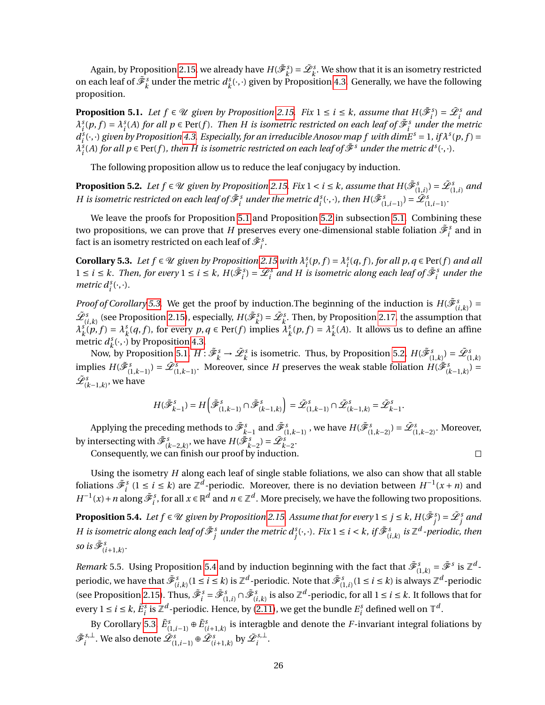Again, by Proposition [2.15,](#page-11-0) we already have  $H(\tilde{\mathscr{F}}_k^s) = \tilde{\mathscr{L}}_k^s$ . We show that it is an isometry restricted on each leaf of  $\tilde{\mathscr{F}}^s_k$  under the metric  $d^s_k$  $\chi_k^s(\cdot,\cdot)$  given by Proposition [4.3.](#page-22-1) Generally, we have the following proposition.

<span id="page-25-0"></span>**Proposition 5.1.** Let  $f \in \mathcal{U}$  given by Proposition [2.15.](#page-11-0) Fix  $1 \le i \le k$ , assume that  $H(\tilde{\mathcal{F}}_i^s) = \tilde{\mathcal{L}}_i^s$  and  $\lambda_i^s(p, f) = \lambda_i^s(A)$  for all  $p \in Per(f)$ . Then H is isometric restricted on each leaf of  $\tilde{\mathcal{F}}_i^s$  under the metric  $d_i^s(\cdot,\cdot)$  given by Proposition [4.3.](#page-22-1) Especially, for an irreducible Anosov map f with dimE<sup>s</sup> = 1, if  $\lambda^s(p,f)$  =  $\lambda_i^s(A)$  for all  $p \in Per(f)$ *, then H is isometric restricted on each leaf of*  $\tilde{\mathscr{F}}^s$  *under the metric d<sup>s</sup>*(·,·)*.* 

The following proposition allow us to reduce the leaf conjugacy by induction.

<span id="page-25-1"></span>**Proposition 5.2.** Let  $f \in \mathcal{U}$  given by Proposition [2.15.](#page-11-0) Fix  $1 < i \leq k$ , assume that  $H(\tilde{\mathscr{F}}^s_{(1,i)}) = \tilde{\mathscr{L}}^s_{(1,i)}$  and  $H$  is isometric restricted on each leaf of  $\tilde{\mathscr{F}}^s_i$  under the metric  $d^s_i(\cdot,\cdot)$ , then  $H(\tilde{\mathscr{F}}^s_{(1,i-1)})=\tilde{\mathscr{L}}^s_{(1,i-1)}.$ 

We leave the proofs for Proposition [5.1](#page-25-0) and Proposition [5.2](#page-25-1) in subsection [5.1.](#page-26-0) Combining these two propositions, we can prove that *H* preserves every one-dimensional stable foliation  $\tilde{\mathscr{F}}^s_i$  and in fact is an isometry restricted on each leaf of  $\tilde{\mathscr{F}}^s_i.$ 

<span id="page-25-2"></span>**Corollary 5.3.** Let  $f \in \mathcal{U}$  given by Proposition [2.15](#page-11-0) with  $\lambda_i^s(p, f) = \lambda_i^s(q, f)$ , for all  $p, q \in \text{Per}(f)$  and all  $1 \le i \le k$ . Then, for every  $1 \le i \le k$ ,  $H(\tilde{\mathcal{F}}_i^s) = \tilde{\mathcal{L}}_i^s$  and H is isometric along each leaf of  $\tilde{\mathcal{F}}_i^s$  under the *metric*  $d_i^s(\cdot, \cdot)$ *.* 

*Proof of Corollary* [5.3.](#page-25-2) We get the proof by induction. The beginning of the induction is  $H(\tilde{\mathcal{F}}_{(i,k)}^s)$  =  $\tilde{\mathscr{L}}_{(i,k)}^s$  (see Proposition [2.15\)](#page-11-0), especially,  $H(\tilde{\mathscr{F}}_k^s) = \tilde{\mathscr{L}}_k^s$ . Then, by Proposition [2.17,](#page-12-4) the assumption that *λ s*  $\int_k^s(p, f) = \lambda_k^s$  $\lambda_k^s$  (*q*, *f*), for every *p*, *q*  $\in$  Per(*f*) implies  $\lambda_k^s$  $\lambda_k^s(p, f) = \lambda_k^s$  $\frac{s}{k}(A)$ . It allows us to define an affine metric *d s*  $\chi_k^s(\cdot,\cdot)$  by Proposition [4.3.](#page-22-1)

Now, by Proposition [5.1,](#page-25-0)  $H: \tilde{\mathscr{F}}_k^s \to \tilde{\mathscr{L}}_k^s$  is isometric. Thus, by Proposition [5.2,](#page-25-1)  $H(\tilde{\mathscr{F}}_{(1,k)}^s) = \tilde{\mathscr{L}}_{(1,k)}^s$ implies  $H(\tilde{\mathcal{F}}_{(1,k-1)}^s) = \tilde{\mathcal{L}}_{(1,k-1)}^s$ . Moreover, since *H* preserves the weak stable foliation  $H(\tilde{\mathcal{F}}_{(k-1,k)}^s) =$  $\tilde{\mathscr{L}}_{(k-1,k)}^s$ , we have

$$
H(\tilde{\mathcal{F}}_{k-1}^s) = H\left(\tilde{\mathcal{F}}_{(1,k-1)}^s \cap \tilde{\mathcal{F}}_{(k-1,k)}^s\right) = \tilde{\mathcal{L}}_{(1,k-1)}^s \cap \tilde{\mathcal{L}}_{(k-1,k)}^s = \tilde{\mathcal{L}}_{k-1}^s.
$$

Applying the preceding methods to  $\tilde{\mathscr{F}}^s_{k-1}$  and  $\tilde{\mathscr{F}}^s_{(1,k-1)}$  , we have  $H(\tilde{\mathscr{F}}^s_{(1,k-2)})$  =  $\tilde{\mathscr{L}}^s_{(1,k-2)}.$  Moreover, by intersecting with  $\tilde{\mathscr{F}}_{(k-2,k)}^s$ , we have  $H(\tilde{\mathscr{F}}_{k-2}^s) = \tilde{\mathscr{L}}_{k-2}^s$ .  $\Box$ 

Consequently, we can finish our proof by induction.

Using the isometry *H* along each leaf of single stable foliations, we also can show that all stable foliations  $\tilde{\mathcal{F}}_i^s$  (1 ≤ *i* ≤ *k*) are  $\mathbb{Z}^d$ -periodic. Moreover, there is no deviation between  $H^{-1}(x+n)$  and  $H^{-1}(x) + n$  along  $\tilde{\mathcal{F}}_i^s$ , for all  $x \in \mathbb{R}^d$  and  $n \in \mathbb{Z}^d$ . More precisely, we have the following two propositions.

<span id="page-25-3"></span>**Proposition 5.4.** Let  $f \in \mathcal{U}$  given by Proposition [2.15.](#page-11-0) Assume that for every  $1 \le j \le k$  ,  $H(\tilde{\mathscr{F}}^s_j) = \tilde{\mathscr{L}}^s_j$  and H is isometric along each leaf of  $\tilde{\mathscr{F}}^s_j$  under the metric  $d^s_j(\cdot,\cdot).$  Fix  $1\leq i< k,$  if  $\tilde{\mathscr{F}}^s_{(i,k)}$  is  $\mathbb{Z}^d$  -periodic, then *so is*  $\tilde{\mathscr{F}}_{(i+1,k)}^s$ .

<span id="page-25-4"></span>*Remark* 5.5. Using Proposition [5.4](#page-25-3) and by induction beginning with the fact that  $\tilde{\mathcal{F}}_{(1,k)}^s = \tilde{\mathcal{F}}^s$  is  $\mathbb{Z}^d$ periodic, we have that  $\tilde{\mathscr{F}}^s_{(i,k)}(1\leq i\leq k)$  is  $\mathbb{Z}^d$ -periodic. Note that  $\tilde{\mathscr{F}}^s_{(1,i)}(1\leq i\leq k)$  is always  $\mathbb{Z}^d$ -periodic (see Proposition [2.15\)](#page-11-0). Thus,  $\tilde{\mathcal{F}}_i^s = \tilde{\mathcal{F}}_{(1,i)}^s \cap \tilde{\mathcal{F}}_{(i,k)}^s$  is also  $\mathbb{Z}^d$ -periodic, for all  $1 \le i \le k$ . It follows that for every  $1 \le i \le k$ ,  $\tilde{E}_i^s$  is  $\mathbb{Z}^d$ -periodic. Hence, by [\(2.11\)](#page-10-2), we get the bundle  $E_i^s$  defined well on  $\mathbb{T}^d$ .

By Corollary [5.3,](#page-25-2)  $\tilde{E}^s_{(1,i-1)}$  ⊕  $\tilde{E}^s_{(i+1,k)}$  is interagble and denote the *F*-invariant integral foliations by  $\tilde{\mathscr{F}}_i^{\mathit{s},\perp}$  $\{\tilde{x}_i^{s,\perp}\}$ . We also denote  $\tilde{\mathscr{L}}_{(1,i-1)}^s$  ⊕  $\tilde{\mathscr{L}}_{(i+1,k)}^{s}$  by  $\tilde{\mathscr{L}}_i^{s,\perp}$  $i^{s, \perp}$ .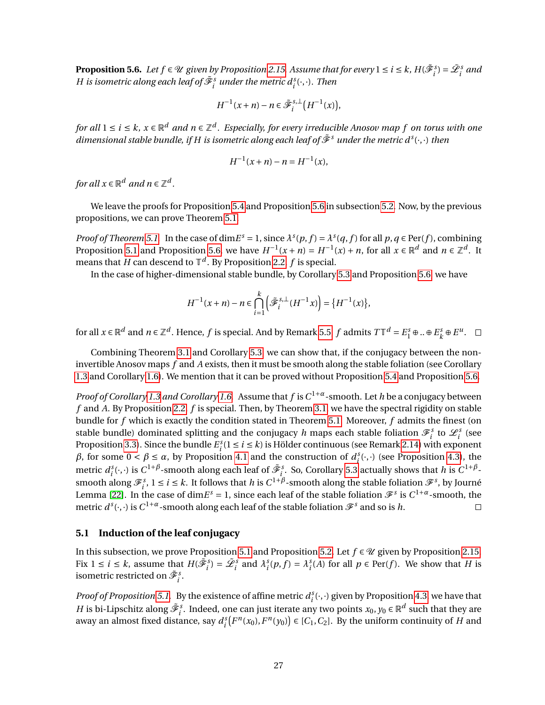<span id="page-26-1"></span>**Proposition 5.6.** Let  $f \in \mathcal{U}$  given by Proposition [2.15.](#page-11-0) Assume that for every  $1 \le i \le k$ ,  $H(\tilde{\mathscr{F}}_i^s) = \tilde{\mathscr{L}}_i^s$  and *H* is isometric along each leaf of  $\tilde{\mathscr{F}}_{i}^{s}$  under the metric  $d_{i}^{s}(\cdot,\cdot)$ . Then

$$
H^{-1}(x+n)-n\in \tilde{\mathcal{F}}_i^{s,\perp}\big(H^{-1}(x)\big),
$$

*for all* 1 ≤ *i* ≤ *k, x* ∈  $\mathbb{R}^d$  *and n* ∈  $\mathbb{Z}^d$  . Especially, for every irreducible Anosov map f on torus with one  $d$ imensional stable bundle, if H is isometric along each leaf of  $\tilde{\mathscr{F}}^s$  under the metric  $d^s(\cdot,\cdot)$  then

$$
H^{-1}(x+n) - n = H^{-1}(x),
$$

for all  $x \in \mathbb{R}^d$  and  $n \in \mathbb{Z}^d$ .

We leave the proofs for Proposition [5.4](#page-25-3) and Proposition [5.6](#page-26-1) in subsection [5.2.](#page-30-0) Now, by the previous propositions, we can prove Theorem [5.1.](#page-24-2)

*Proof of Theorem* [5.1.](#page-24-2) In the case of dim $E^s = 1$ , since  $\lambda^s(p, f) = \lambda^s(q, f)$  for all  $p, q \in Per(f)$ , combining Proposition [5.1](#page-25-0) and Proposition [5.6,](#page-26-1) we have  $H^{-1}(x+n) = H^{-1}(x) + n$ , for all  $x \in \mathbb{R}^d$  and  $n \in \mathbb{Z}^d$ . It means that *H* can descend to  $\mathbb{T}^d$ . By Proposition [2.2,](#page-4-2)  $f$  is special.

In the case of higher-dimensional stable bundle, by Corollary [5.3](#page-25-2) and Proposition [5.6,](#page-26-1) we have

$$
H^{-1}(x+n) - n \in \bigcap_{i=1}^k \left( \tilde{\mathcal{F}}_i^{s,\perp}(H^{-1}x) \right) = \{ H^{-1}(x) \},\
$$

for all  $x \in \mathbb{R}^d$  and  $n \in \mathbb{Z}^d$ . Hence,  $f$  is special. And by Remark [5.5,](#page-25-4)  $f$  admits  $T\mathbb{T}^d = E^s_1 \oplus ... \oplus E^s_k$  $k^s \oplus E^u$ .

Combining Theorem [3.1](#page-14-3) and Corollary [5.3,](#page-25-2) we can show that, if the conjugacy between the noninvertible Anosov maps *f* and *A* exists, then it must be smooth along the stable foliation (see Corollary [1.3](#page-1-1) and Corollary [1.6\)](#page-2-1). We mention that it can be proved without Proposition [5.4](#page-25-3) and Proposition [5.6.](#page-26-1)

*Proof of Corollary [1.3](#page-1-1) and Corollary [1.6.](#page-2-1)* Assume that *f* is*C* <sup>1</sup>+*α*-smooth. Let *h* be a conjugacy between *f* and *A*. By Proposition [2.2,](#page-4-2) *f* is special. Then, by Theorem [3.1,](#page-14-3) we have the spectral rigidity on stable bundle for *f* which is exactly the condition stated in Theorem [5.1.](#page-24-2) Moreover, *f* admits the finest (on stable bundle) dominated splitting and the conjugacy *h* maps each stable foliation  $\mathscr{F}_i^s$  to  $\mathscr{L}_i^s$  (see Proposition [3.3\)](#page-15-3). Since the bundle  $E_i^s(1 \le i \le k)$  is Hölder continuous (see Remark [2.14\)](#page-10-1) with exponent *β*, for some 0 < *β* ≤ *α*, by Proposition [4.1](#page-20-2) and the construction of  $d_i^s(·,·)$  (see Proposition [4.3\)](#page-22-1), the metric  $d_i^s(\cdot,\cdot)$  is  $C^{1+\beta}$ -smooth along each leaf of  $\tilde{\mathscr{F}}_i^s$ . So, Corollary [5.3](#page-25-2) actually shows that *h* is  $C^{1+\beta}$ smooth along  $\mathcal{F}_{i}^{s}$ ,  $1 \leq i \leq k$ . It follows that *h* is  $C^{1+\beta}$ -smooth along the stable foliation  $\mathcal{F}^{s}$ , by Journé Lemma [\[22\]](#page-34-15). In the case of dim $E^s = 1$ , since each leaf of the stable foliation  $\mathcal{F}^s$  is  $C^{1+\alpha}$ -smooth, the metric  $d^s(\cdot,\cdot)$  is  $C^{1+\alpha}$ -smooth along each leaf of the stable foliation  $\mathscr{F}^s$  and so is  $h$ .  $\Box$ 

### <span id="page-26-0"></span>**5.1 Induction of the leaf conjugacy**

In this subsection, we prove Proposition [5.1](#page-25-0) and Proposition [5.2.](#page-25-1) Let  $f \in \mathcal{U}$  given by Proposition [2.15.](#page-11-0) Fix  $1 \le i \le k$ , assume that  $H(\tilde{\mathcal{F}}_i^s) = \tilde{\mathcal{L}}_i^s$  and  $\lambda_i^s(p, f) = \lambda_i^s(A)$  for all  $p \in Per(f)$ . We show that H is isometric restricted on  $\tilde{\mathscr{F}}^s_i$ .

*Proof of Proposition* [5.1.](#page-25-0) By the existence of affine metric  $d_i^s(\cdot, \cdot)$  given by Proposition [4.3,](#page-22-1) we have that *H* is bi-Lipschitz along  $\tilde{\mathcal{F}}_i^s$ . Indeed, one can just iterate any two points  $x_0, y_0 \in \mathbb{R}^d$  such that they are away an almost fixed distance, say  $d_i^s(F^n(x_0), F^n(y_0)) \in [C_1, C_2]$ . By the uniform continuity of *H* and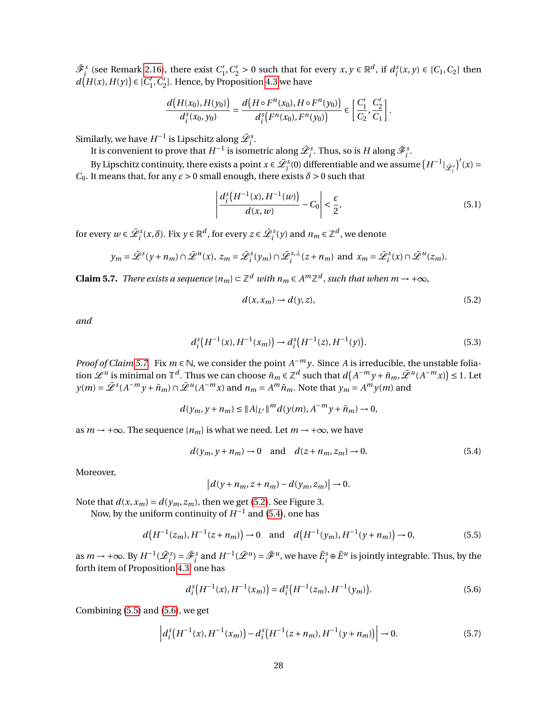$\tilde{\mathcal{F}}_i^s$  (see Remark [2.16\)](#page-12-0), there exist  $C_1'$  $C'_1, C'_2 > 0$  such that for every  $x, y \in \mathbb{R}^d$ , if  $d_i^s(x, y) \in [C_1, C_2]$  then  $d(H(x), H(y)) \in [C_1]$  $'_{1}$ ,  $C'_{2}$  $\mathcal{Z}_2$ ]. Hence, by Proposition [4.3](#page-22-1) we have

$$
\frac{d\big(H(x_0),H(y_0)\big)}{d_i^s(x_0,y_0)}=\frac{d\big(H\circ F^n(x_0),H\circ F^n(y_0)\big)}{d_i^s\big(F^n(x_0),F^n(y_0)\big)}\in\left[\frac{C_1'}{C_2},\frac{C_2'}{C_1}\right].
$$

Similarly, we have  $H^{-1}$  is Lipschitz along  $\tilde{\mathcal{L}}_i^s$ .

It is convenient to prove that  $H^{-1}$  is isometric along  $\tilde{\mathscr{L}}_i^s$ . Thus, so is  $H$  along  $\tilde{\mathscr{F}}_i^s$ .

By Lipschitz continuity, there exists a point  $x \in \tilde{\mathcal{L}}_i^s(0)$  differentiable and we assume  $(H^{-1}|\tilde{\mathcal{L}}_i^s)'(x)$ *C*<sub>0</sub>. It means that, for any  $ε > 0$  small enough, there exists  $δ > 0$  such that

$$
\left| \frac{d_i^s(H^{-1}(x), H^{-1}(w))}{d(x, w)} - C_0 \right| < \frac{\varepsilon}{2},\tag{5.1}
$$

for every  $w \in \tilde{\mathcal{L}}_i^s(x, \delta)$ . Fix  $y \in \mathbb{R}^d$ , for every  $z \in \tilde{\mathcal{L}}_i^s(y)$  and  $n_m \in \mathbb{Z}^d$ , we denote

$$
y_m = \tilde{\mathcal{L}}^s(y + n_m) \cap \tilde{\mathcal{L}}^u(x), \ z_m = \tilde{\mathcal{L}}^s_i(y_m) \cap \tilde{\mathcal{L}}^{s,\perp}_i(z + n_m) \text{ and } x_m = \tilde{\mathcal{L}}^s_i(x) \cap \tilde{\mathcal{L}}^u(z_m).
$$

<span id="page-27-0"></span>**Claim 5.7.** *There exists a sequence*  $\{n_m\} \subset \mathbb{Z}^d$  *with*  $n_m \in A^m \mathbb{Z}^d$ , such that when  $m \to +\infty$ ,

<span id="page-27-7"></span><span id="page-27-6"></span><span id="page-27-1"></span>
$$
d(x, x_m) \to d(y, z), \tag{5.2}
$$

*and*

$$
d_i^s\big(H^{-1}(x), H^{-1}(x_m)\big) \to d_i^s\big(H^{-1}(z), H^{-1}(y)\big). \tag{5.3}
$$

*Proof of Claim* [5.7.](#page-27-0) Fix  $m \in \mathbb{N}$ , we consider the point  $A^{-m}y$ . Since *A* is irreducible, the unstable foliation  $\mathscr{L}^u$  is minimal on  $\mathbb{T}^d$ . Thus we can choose  $\tilde{n}_m \in \mathbb{Z}^d$  such that  $d(A^{-m}y + \tilde{n}_m, \tilde{\mathscr{L}}^u(A^{-m}x)) \leq 1$ . Let  $y(m) = \tilde{L}^s(A^{-m}y + \tilde{n}_m) \cap \tilde{L}^u(A^{-m}x)$  and  $n_m = A^m \tilde{n}_m$ . Note that  $y_m = A^m y(m)$  and

$$
d(y_m, y + n_m) \le ||A|_{L^s}||^m d(y(m), A^{-m}y + \tilde{n}_m) \to 0,
$$

as *m* → +∞. The sequence { $n_m$ } is what we need. Let *m* → +∞, we have

$$
d(y_m, y + n_m) \to 0 \quad \text{and} \quad d(z + n_m, z_m) \to 0. \tag{5.4}
$$

Moreover,

<span id="page-27-4"></span><span id="page-27-3"></span><span id="page-27-2"></span>
$$
\left|d(y+n_m, z+n_m) - d(y_m, z_m)\right| \to 0.
$$

Note that  $d(x, x_m) = d(y_m, z_m)$ , then we get [\(5.2\)](#page-27-1). See Figure 3.

Now, by the uniform continuity of  $H^{-1}$  and [\(5.4\)](#page-27-2), one has

$$
d(H^{-1}(z_m), H^{-1}(z+n_m)) \to 0
$$
 and  $d(H^{-1}(y_m), H^{-1}(y+n_m)) \to 0,$  (5.5)

as  $m \to +\infty$ . By  $H^{-1}(\tilde{L}^s) = \tilde{\mathcal{F}}^s_i$  and  $H^{-1}(\tilde{L}^u) = \tilde{\mathcal{F}}^u$ , we have  $\tilde{E}^s_i \oplus \tilde{E}^u$  is jointly integrable. Thus, by the forth item of Proposition [4.3,](#page-22-1) one has

<span id="page-27-5"></span>
$$
d_i^s\big(H^{-1}(x), H^{-1}(x_m)\big) = d_i^s\big(H^{-1}(z_m), H^{-1}(y_m)\big). \tag{5.6}
$$

Combining [\(5.5\)](#page-27-3) and [\(5.6\)](#page-27-4), we get

$$
\left| d_i^s \left( H^{-1}(x), H^{-1}(x_m) \right) - d_i^s \left( H^{-1}(z + n_m), H^{-1}(y + n_m) \right) \right| \to 0. \tag{5.7}
$$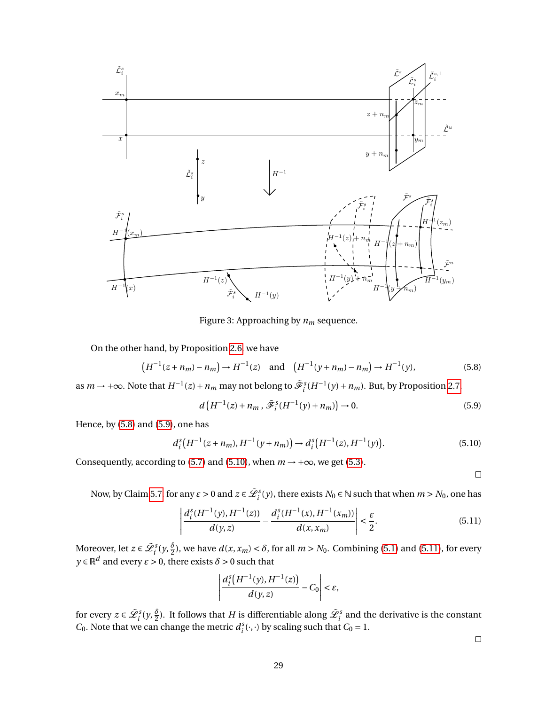

Figure 3: Approaching by *n<sup>m</sup>* sequence.

On the other hand, by Proposition [2.6,](#page-5-2) we have

$$
(H^{-1}(z+n_m)-n_m)\to H^{-1}(z) \text{ and } (H^{-1}(y+n_m)-n_m)\to H^{-1}(y),
$$
 (5.8)

as  $m \to +\infty$ . Note that  $H^{-1}(z) + n_m$  may not belong to  $\tilde{\mathscr{F}}_i^s(H^{-1}(y) + n_m)$ . But, by Proposition [2.7,](#page-6-2)

$$
d\left(H^{-1}(z) + n_m, \tilde{\mathcal{F}}_i^s(H^{-1}(y) + n_m)\right) \to 0. \tag{5.9}
$$

Hence, by [\(5.8\)](#page-28-0) and [\(5.9\)](#page-28-1), one has

$$
d_i^s\big(H^{-1}(z+n_m), H^{-1}(y+n_m)\big) \to d_i^s\big(H^{-1}(z), H^{-1}(y)\big). \tag{5.10}
$$

Consequently, according to [\(5.7\)](#page-27-5) and [\(5.10\)](#page-28-2), when  $m \rightarrow +\infty$ , we get [\(5.3\)](#page-27-6).

<span id="page-28-3"></span><span id="page-28-2"></span><span id="page-28-1"></span><span id="page-28-0"></span> $\Box$ 

Now, by Claim [5.7,](#page-27-0) for any  $\varepsilon > 0$  and  $z \in \tilde{\mathcal{L}}_i^s(y)$ , there exists  $N_0 \in \mathbb{N}$  such that when  $m > N_0$ , one has

$$
\left| \frac{d_i^s(H^{-1}(y), H^{-1}(z))}{d(y, z)} - \frac{d_i^s(H^{-1}(x), H^{-1}(x_m))}{d(x, x_m)} \right| < \frac{\varepsilon}{2}.\tag{5.11}
$$

Moreover, let  $z \in \tilde{\mathcal{L}}_i^s(y, \frac{\delta}{2})$ , we have  $d(x, x_m) < \delta$ , for all  $m > N_0$ . Combining [\(5.1\)](#page-27-7) and [\(5.11\)](#page-28-3), for every  $y \in \mathbb{R}^d$  and every  $\varepsilon > 0$ , there exists  $\delta > 0$  such that

$$
\left|\frac{d_i^{\mathcal{S}}\big(H^{-1}(y),H^{-1}(z)\big)}{d(y,z)}-C_0\right|<\varepsilon,
$$

for every  $z \in \tilde{\mathscr{L}}_i^s(y, \frac{\delta}{2})$ . It follows that  $H$  is differentiable along  $\tilde{\mathscr{L}}_i^s$  and the derivative is the constant *C*<sub>0</sub>. Note that we can change the metric  $d_i^s(\cdot, \cdot)$  by scaling such that *C*<sub>0</sub> = 1.

 $\Box$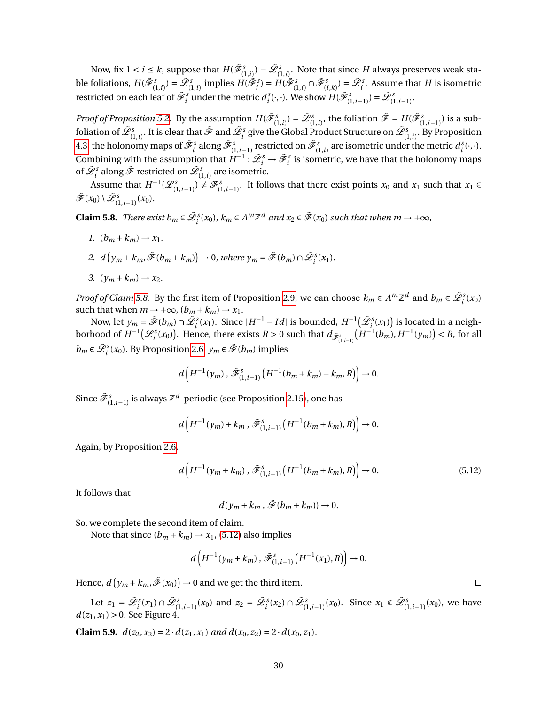Now, fix  $1 < i \leq k$ , suppose that  $H(\tilde{\mathscr{F}}_{(1,i)}^s) = \tilde{\mathscr{L}}_{(1,i)}^s$ . Note that since  $H$  always preserves weak stable foliations,  $H(\tilde{\mathscr{F}}^s_{(1,i)})=\tilde{\mathscr{L}}^s_{(1,i)}$  implies  $H(\tilde{\mathscr{F}}^s_i)=H(\tilde{\mathscr{F}}^s_{(1,i)}\cap \tilde{\mathscr{F}}^s_{(i,k)})=\tilde{\mathscr{L}}^s_i.$  Assume that  $H$  is isometric restricted on each leaf of  $\tilde{\mathscr{F}}_i^s$  under the metric  $d_i^s(\cdot,\cdot)$ . We show  $H(\tilde{\mathscr{F}}_{(1,i-1)}^s) = \tilde{\mathscr{L}}_{(1,i-1)}^s$ .

*Proof of Proposition* [5.2.](#page-25-1) By the assumption  $H(\tilde{\mathcal{F}}_{(1,i)}^s) = \tilde{\mathcal{L}}_{(1,i)}^s$ , the foliation  $\tilde{\mathcal{F}} = H(\tilde{\mathcal{F}}_{(1,i-1)}^s)$  is a subfoliation of  $\tilde{\mathscr{L}}^s_{(1,i)}$ . It is clear that  $\tilde{\mathscr{F}}$  and  $\tilde{\mathscr{L}}^s_i$  give the Global Product Structure on  $\tilde{\mathscr{L}}^s_{(1,i)}$ . By Proposition [4.3,](#page-22-1) the holonomy maps of  $\tilde{\mathscr{F}}^s_i$  along  $\tilde{\mathscr{F}}^s_{(1,i-1)}$  restricted on  $\tilde{\mathscr{F}}^s_{(1,i)}$  are isometric under the metric  $d^s_i(\cdot,\cdot).$ Combining with the assumption that  $H^{-1}$ :  $\tilde{\mathcal{L}}_i^s \to \tilde{\mathcal{F}}_i^s$  is isometric, we have that the holonomy maps of  $\tilde{\mathscr{L}}^s_i$  along  $\tilde{\mathscr{F}}$  restricted on  $\tilde{\mathscr{L}}^s_{(1,i)}$  are isometric.

Assume that  $H^{-1}(\tilde{\mathcal{L}}_{(1,i-1)}^s) \neq \tilde{\mathcal{F}}_{(1,i-1)}^s$ . It follows that there exist points  $x_0$  and  $x_1$  such that  $x_1 \in$  $\tilde{\mathscr{F}}(x_0) \setminus \tilde{\mathscr{L}}_{{(1,i-1)}}^{s}(x_0).$ 

<span id="page-29-0"></span>**Claim 5.8.** *There exist*  $b_m \in \tilde{\mathcal{L}}_i^s(x_0)$ ,  $k_m \in A^m \mathbb{Z}^d$  and  $x_2 \in \tilde{\mathcal{F}}(x_0)$  such that when  $m \to +\infty$ ,

- *1.*  $(b_m + k_m) \to x_1$ .
- 2.  $d(y_m + k_m, \tilde{\mathcal{F}}(b_m + k_m)) \to 0$ , where  $y_m = \tilde{\mathcal{F}}(b_m) \cap \tilde{\mathcal{L}}_i^s(x_1)$ .

$$
3. \ \left(y_m + k_m\right) \to x_2.
$$

*Proof of Claim* [5.8.](#page-29-0) By the first item of Proposition [2.9,](#page-7-1) we can choose  $k_m \in A^m \mathbb{Z}^d$  and  $b_m \in \tilde{\mathcal{L}}_i^s(x_0)$ such that when  $m \rightarrow +\infty$ ,  $(b_m + k_m) \rightarrow x_1$ .

Now, let  $y_m = \tilde{\mathscr{F}}(b_m) \cap \tilde{\mathscr{L}}_i^s(x_1)$ . Since  $|H^{-1} - Id|$  is bounded,  $H^{-1}(\tilde{\mathscr{L}}_i^s(x_1))$  is located in a neighborhood of  $H^{-1}(\tilde{\mathcal{L}}_i^s(x_0))$ . Hence, there exists  $R > 0$  such that  $d_{\tilde{\mathcal{L}}_i^s(x_0)}(H^{-1}(b_m), H^{-1}(y_m)) < R$ , for all *b*<sup>*m*</sup> ∈  $\tilde{\mathcal{L}}$ <sup>*s*</sup>(*x*<sub>0</sub>). By Proposition [2.6,](#page-5-2) *y*<sup>*m*</sup> ∈  $\tilde{\mathcal{F}}$ (*b*<sup>*m*</sup>) implies

$$
d\left(H^{-1}(y_m)\, , \, \tilde{\mathcal{F}}_{(1,i-1)}^s\left(H^{-1}(b_m+k_m)-k_m, R\right)\right]\to 0.
$$

Since  $\tilde{\mathscr{F}}^s_{(1,i-1)}$  is always  $\mathbb{Z}^d$ -periodic (see Proposition [2.15\)](#page-11-0), one has

$$
d\left(H^{-1}(y_m) + k_m \,, \,\tilde{\mathcal{F}}_{(1,i-1)}^s\left(H^{-1}(b_m + k_m), R\right)\right) \to 0.
$$

Again, by Proposition [2.6,](#page-5-2)

$$
d\left(H^{-1}(y_m + k_m), \tilde{\mathcal{F}}_{(1,i-1)}^s\left(H^{-1}(b_m + k_m), R\right)\right) \to 0. \tag{5.12}
$$

It follows that

$$
d(y_m + k_m, \tilde{\mathcal{F}}(b_m + k_m)) \to 0.
$$

So, we complete the second item of claim.

Note that since  $(b_m + k_m) \rightarrow x_1$ , [\(5.12\)](#page-29-1) also implies

$$
d\left(H^{-1}(y_m + k_m), \tilde{\mathcal{F}}_{(1,i-1)}^s\left(H^{-1}(x_1), R\right)\right) \to 0.
$$

Hence,  $d(y_m + k_m, \tilde{\mathcal{F}}(x_0)) \to 0$  and we get the third item.

Let  $z_1 = \tilde{\mathcal{L}}_i^s(x_1) \cap \tilde{\mathcal{L}}_{(1,i-1)}^s(x_0)$  and  $z_2 = \tilde{\mathcal{L}}_i^s(x_2) \cap \tilde{\mathcal{L}}_{(1,i-1)}^s(x_0)$ . Since  $x_1 \notin \tilde{\mathcal{L}}_{(1,i-1)}^s(x_0)$ , we have  $d(z_1, x_1) > 0$ . See Figure 4.

<span id="page-29-2"></span>**Claim 5.9.**  $d(z_2, x_2) = 2 \cdot d(z_1, x_1)$  *and*  $d(x_0, z_2) = 2 \cdot d(x_0, z_1)$ *.* 

<span id="page-29-1"></span> $\Box$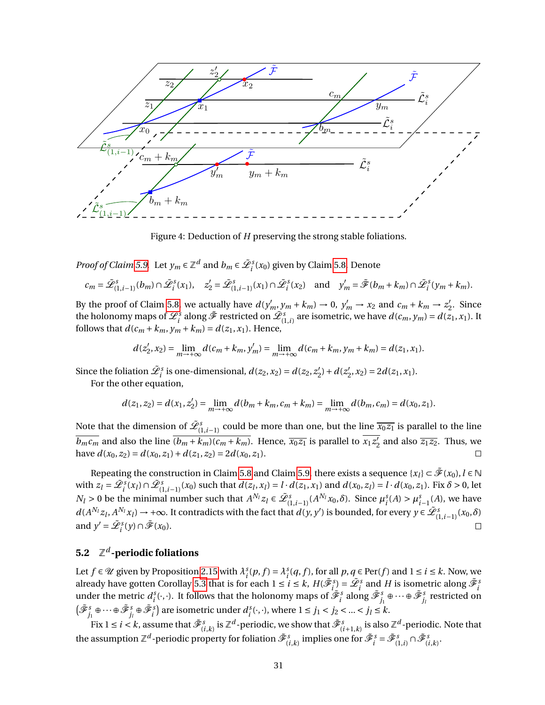

Figure 4: Deduction of *H* preserving the strong stable foliations.

*Proof of Claim* [5.9.](#page-29-2) Let  $y_m \in \mathbb{Z}^d$  and  $b_m \in \tilde{\mathcal{L}}_i^s(x_0)$  given by Claim [5.8.](#page-29-0) Denote

$$
c_m = \tilde{\mathcal{L}}_{(1,i-1)}^s(b_m) \cap \tilde{\mathcal{L}}_i^s(x_1), \quad z_2' = \tilde{\mathcal{L}}_{(1,i-1)}^s(x_1) \cap \tilde{\mathcal{L}}_i^s(x_2) \quad \text{and} \quad y_m' = \tilde{\mathcal{F}}(b_m + k_m) \cap \tilde{\mathcal{L}}_i^s(y_m + k_m).
$$

By the proof of Claim [5.8,](#page-29-0) we actually have  $d(y'_m, y_m + k_m) \to 0$ ,  $y'_m \to x_2$  and  $c_m + k_m \to z'_2$  $\frac{7}{2}$ . Since the holonomy maps of  $\tilde{\mathscr{L}}_i^s$  along  $\tilde{\mathscr{F}}$  restricted on  $\tilde{\mathscr{L}}_{(1,i)}^s$  are isometric, we have  $d(c_m,y_m)=d(z_1,x_1).$  It follows that  $d(c_m + k_m, y_m + k_m) = d(z_1, x_1)$ . Hence,

$$
d(z'_2, x_2) = \lim_{m \to +\infty} d(c_m + k_m, y'_m) = \lim_{m \to +\infty} d(c_m + k_m, y_m + k_m) = d(z_1, x_1).
$$

Since the foliation  $\tilde{\mathcal{L}}_i^s$  is one-dimensional,  $d(z_2, x_2) = d(z_2, z_2')$  $l'_{2}$ ) +  $d(z'_{2})$  $Z_2$ ,  $x_2$ ) = 2 $d(z_1, x_1)$ .

For the other equation,

$$
d(z_1, z_2) = d(x_1, z_2') = \lim_{m \to +\infty} d(b_m + k_m, c_m + k_m) = \lim_{m \to +\infty} d(b_m, c_m) = d(x_0, z_1).
$$

Note that the dimension of  $\tilde{\mathscr{L}}^s_{(1,i-1)}$  could be more than one, but the line  $\overline{x_0z_1}$  is parallel to the line  $\overline{b_m c_m}$  and also the line  $\overline{(b_m + k_m)(c_m + k_m)}$ . Hence,  $\overline{x_0 z_1}$  is parallel to  $\overline{x_1 z_2^{\prime}}$  $\frac{1}{2}$  and also  $\overline{z_1 z_2}$ . Thus, we have  $d(x_0, z_2) = d(x_0, z_1) + d(z_1, z_2) = 2d(x_0, z_1)$ .  $\Box$ 

Repeating the construction in Claim [5.8](#page-29-0) and Claim [5.9,](#page-29-2) there exists a sequence  $\{x_l\} \subset \tilde{\mathscr{F}}(x_0), l \in \mathbb{N}$ with  $z_l = \tilde{\mathcal{L}}_i^s(x_l) \cap \tilde{\mathcal{L}}_{(1,i-1)}^s(x_0)$  such that  $d(z_l,x_l) = l \cdot d(z_1,x_1)$  and  $d(x_0,z_l) = l \cdot d(x_0,z_1)$ . Fix  $\delta > 0$ , let  $N_l > 0$  be the minimal number such that  $A^{N_l} z_l \in \tilde{\mathcal{L}}_{(1,i-1)}^s(A^{N_l} x_0, \delta)$ . Since  $\mu_i^s(A) > \mu_{i-1}^s(A)$ , we have  $d(A^{N_l}z_l, A^{N_l}x_l) \to +\infty$ . It contradicts with the fact that  $d(y, y')$  is bounded, for every  $y \in \tilde{\mathcal{L}}_{(1,i-1)}^s(x_0, \delta)$ and  $y' = \tilde{\mathcal{L}}_i^s(y) \cap \tilde{\mathcal{F}}(x_0)$ .  $\Box$ 

## <span id="page-30-0"></span>**5.2** Z *d* **-periodic foliations**

Let  $f \in \mathcal{U}$  given by Proposition [2.15](#page-11-0) with  $\lambda_i^s(p, f) = \lambda_i^s(q, f)$ , for all  $p, q \in Per(f)$  and  $1 \le i \le k$ . Now, we already have gotten Corollay [5.3](#page-25-2) that is for each  $1 \le i \le k$ ,  $H(\tilde{\mathscr{F}}_i^s) = \tilde{\mathscr{L}}_i^s$  and  $H$  is isometric along  $\tilde{\mathscr{F}}_i^s$ under the metric  $d_i^s(\cdot,\cdot)$ . It follows that the holonomy maps of  $\tilde{\mathscr{F}}_i^s$  along  $\tilde{\mathscr{F}}_j^s\oplus\cdots\oplus\tilde{\mathscr{F}}_{j_l}^s$  restricted on  $(\tilde{\mathscr{F}}_{j_1}^s \oplus \cdots \oplus \tilde{\mathscr{F}}_{j_l}^s \oplus \tilde{\mathscr{F}}_i^s)$  are isometric under  $d_i^s(\cdot, \cdot)$ , where  $1 \le j_1 < j_2 < ... < j_l \le k$ .

Fix  $1\le i < k$ , assume that  $\tilde{\mathscr{F}}^s_{(i,k)}$  is  $\mathbb{Z}^d$  -periodic, we show that  $\tilde{\mathscr{F}}^s_{(i+1,k)}$  is also  $\mathbb{Z}^d$  -periodic. Note that the assumption  $\mathbb{Z}^d$  -periodic property for foliation  $\tilde{\mathscr{F}}^s_{(i,k)}$  implies one for  $\tilde{\mathscr{F}}^s_i = \tilde{\mathscr{F}}^s_{(1,i)} \cap \tilde{\mathscr{F}}^s_{(i,k)}.$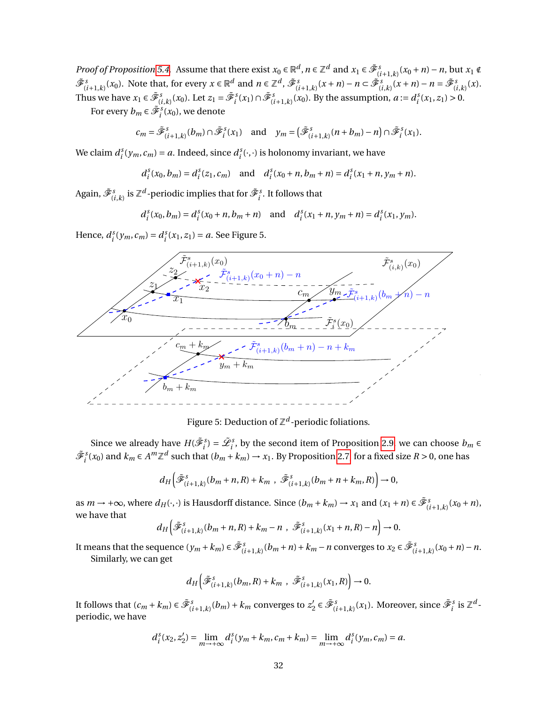*Proof of Proposition* [5.4.](#page-25-3) Assume that there exist  $x_0 \in \mathbb{R}^d$ ,  $n \in \mathbb{Z}^d$  and  $x_1 \in \tilde{\mathcal{F}}_{(i+1,k)}^s(x_0+n)-n$ , but  $x_1 \notin$  $\tilde{\mathcal{F}}_{(i+1,k)}^s(x_0)$ . Note that, for every  $x \in \mathbb{R}^d$  and  $n \in \mathbb{Z}^d$ ,  $\tilde{\mathcal{F}}_{(i+1,k)}^s(x+n) - n \subset \tilde{\mathcal{F}}_{(i,k)}^s(x+n) - n = \tilde{\mathcal{F}}_{(i,k)}^s(x)$ . Thus we have  $x_1 \in \tilde{\mathcal{F}}_{(i,k)}^s(x_0)$ . Let  $z_1 = \tilde{\mathcal{F}}_i^s(x_1) \cap \tilde{\mathcal{F}}_{(i+1,k)}^s(x_0)$ . By the assumption,  $a := d_i^s(x_1, z_1) > 0$ .

For every  $b_m \in \tilde{\mathcal{F}}_i^s(x_0)$ , we denote

$$
c_m = \tilde{\mathcal{F}}_{(i+1,k)}^s(b_m) \cap \tilde{\mathcal{F}}_i^s(x_1) \quad \text{and} \quad y_m = \left(\tilde{\mathcal{F}}_{(i+1,k)}^s(n+b_m) - n\right) \cap \tilde{\mathcal{F}}_i^s(x_1).
$$

We claim  $d_i^s(y_m, c_m) = a$ . Indeed, since  $d_i^s(\cdot, \cdot)$  is holonomy invariant, we have

$$
d_i^s(x_0, b_m) = d_i^s(z_1, c_m)
$$
 and  $d_i^s(x_0 + n, b_m + n) = d_i^s(x_1 + n, y_m + n)$ .

Again,  $\tilde{\mathscr{F}}^s_{(i,k)}$  is  $\mathbb{Z}^d$  -periodic implies that for  $\tilde{\mathscr{F}}^s_i$  . It follows that

$$
d_i^s(x_0, b_m) = d_i^s(x_0 + n, b_m + n)
$$
 and  $d_i^s(x_1 + n, y_m + n) = d_i^s(x_1, y_m)$ .

Hence,  $d_i^s(y_m, c_m) = d_i^s(x_1, z_1) = a$ . See Figure 5.



Figure 5: Deduction of  $\mathbb{Z}^d$ -periodic foliations.

Since we already have  $H(\tilde{\mathcal{F}}_i^s) = \tilde{\mathcal{L}}_i^s$ , by the second item of Proposition [2.9,](#page-7-1) we can choose  $b_m \in$  $\tilde{\mathcal{F}}_i^s(x_0)$  and  $k_m \in A^m \mathbb{Z}^d$  such that  $(b_m + k_m) \to x_1$ . By Proposition [2.7,](#page-6-2) for a fixed size  $R > 0$ , one has

$$
d_H\left(\tilde{\mathcal{F}}_{(i+1,k)}^s(b_m+n,R)+k_m\right),\ \tilde{\mathcal{F}}_{(i+1,k)}^s(b_m+n+k_m,R)\right)\to 0,
$$

as  $m \to +\infty$ , where  $d_H(\cdot, \cdot)$  is Hausdorff distance. Since  $(b_m + k_m) \to x_1$  and  $(x_1 + n) \in \tilde{\mathcal{F}}_{(i+1,k)}^s(x_0 + n)$ , we have that

$$
d_H\left(\tilde{\mathcal{F}}_{(i+1,k)}^s(b_m+n,R)+k_m-n\ ,\ \tilde{\mathcal{F}}_{(i+1,k)}^s(x_1+n,R)-n\right)\to 0.
$$

It means that the sequence  $(y_m + k_m) \in \tilde{\mathcal{F}}_{(i+1,k)}^s(b_m + n) + k_m - n$  converges to  $x_2 \in \tilde{\mathcal{F}}_{(i+1,k)}^s(x_0 + n) - n$ . Similarly, we can get

$$
d_H\left(\tilde{\mathcal{F}}_{(i+1,k)}^s(b_m,R)+k_m\;,\;\tilde{\mathcal{F}}_{(i+1,k)}^s(x_1,R)\right)\to 0.
$$

It follows that  $(c_m + k_m) \in \tilde{\mathcal{F}}_{(i+1,k)}^s(b_m) + k_m$  converges to  $z_2'$  $\mathscr{F}_2' \in \tilde{\mathscr{F}}_{(i+1,k)}^s(x_1)$ . Moreover, since  $\tilde{\mathscr{F}}_i^s$  is  $\mathbb{Z}^d$ periodic, we have

$$
d_i^s(x_2, z_2') = \lim_{m \to +\infty} d_i^s(y_m + k_m, c_m + k_m) = \lim_{m \to +\infty} d_i^s(y_m, c_m) = a.
$$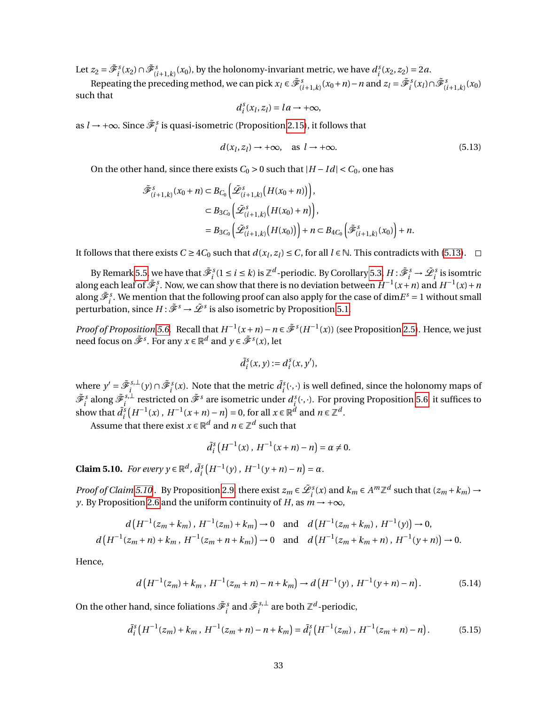Let  $z_2 = \tilde{\mathcal{F}}_i^s(x_2) \cap \tilde{\mathcal{F}}_{(i+1,k)}^s(x_0)$ , by the holonomy-invariant metric, we have  $d_i^s(x_2, z_2) = 2a$ .

Repeating the preceding method, we can pick  $x_l \in \tilde{\mathcal{F}}_{(i+1,k)}^s(x_0+n) - n$  and  $z_l = \tilde{\mathcal{F}}_i^s(x_l) \cap \tilde{\mathcal{F}}_{(i+1,k)}^s(x_0)$ such that

<span id="page-32-0"></span>
$$
d_i^s(x_l, z_l) = la \rightarrow +\infty,
$$

as *l* → +∞. Since  $\tilde{\mathscr{F}}_i^s$  is quasi-isometric (Proposition [2.15\)](#page-11-0), it follows that

$$
d(x_l, z_l) \to +\infty, \quad \text{as } l \to +\infty. \tag{5.13}
$$

On the other hand, since there exists  $C_0 > 0$  such that  $|H - Id| < C_0$ , one has

$$
\tilde{\mathcal{F}}_{(i+1,k)}^{s}(x_0+n) \subset B_{C_0}\Big(\tilde{\mathcal{L}}_{(i+1,k)}^{s}(H(x_0+n))\Big),
$$
  
\n
$$
\subset B_{3C_0}\Big(\tilde{\mathcal{L}}_{(i+1,k)}^{s}(H(x_0)+n)\Big),
$$
  
\n
$$
=B_{3C_0}\Big(\tilde{\mathcal{L}}_{(i+1,k)}^{s}(H(x_0))\Big)+n\subset B_{4C_0}\Big(\tilde{\mathcal{F}}_{(i+1,k)}^{s}(x_0)\Big)+n.
$$

It follows that there exists  $C \ge 4C_0$  such that  $d(x_l, z_l) \le C$ , for all  $l \in \mathbb{N}$ . This contradicts with [\(5.13\)](#page-32-0).

By Remark [5.5,](#page-25-4) we have that  $\tilde{\mathscr{F}}_i^s (1 \leq i \leq k)$  is  $\mathbb{Z}^d$ -periodic. By Corollary [5.3,](#page-25-2)  $H: \tilde{\mathscr{F}}_i^s \to \tilde{\mathscr{L}}_i^s$  is isomtric along each leaf of  $\tilde{\mathcal{F}}_i^s$ . Now, we can show that there is no deviation between  $H^{-1}(x+n)$  and  $H^{-1}(x)+n$ along  $\tilde{\mathcal{F}}_i^s$ . We mention that the following proof can also apply for the case of dim $E^s = 1$  without small perturbation, since  $H: \tilde{\mathscr{F}}^s \to \tilde{\mathscr{L}}^s$  is also isometric by Proposition [5.1.](#page-25-0)

*Proof of Proposition* [5.6.](#page-26-1) Recall that  $H^{-1}(x+n) - n \in \tilde{\mathcal{F}}^s(H^{-1}(x))$  (see Proposition [2.5\)](#page-5-1). Hence, we just need focus on  $\tilde{\mathscr{F}}^s.$  For any  $x \in \mathbb{R}^d$  and  $y \in \tilde{\mathscr{F}}^s(x),$  let

$$
\tilde{d}_i^s(x,y) := d_i^s(x,y'),
$$

where  $y' = \tilde{\mathcal{F}}_i^{s,\perp}$ *i s*,⊥ (*y*) ∩  $\tilde{\mathscr{F}}_i^s(x)$ . Note that the metric  $\tilde{d}_i^s(\cdot,\cdot)$  is well defined, since the holonomy maps of  $\tilde{\mathscr{F}}_{i}^{s}$  along  $\tilde{\mathscr{F}}_{i}^{s, \perp}$  $\sum_i^{s,\perp}$  restricted on  $\tilde{\mathscr{F}}^s$  are isometric under  $d^s_i(\cdot,\cdot)$ . For proving Proposition [5.6,](#page-26-1) it suffices to show that  $\tilde{d}^s_i(H^{-1}(x), H^{-1}(x+n)-n) = 0$ , for all  $x \in \mathbb{R}^d$  and  $n \in \mathbb{Z}^d$ .

Assume that there exist  $x \in \mathbb{R}^d$  and  $n \in \mathbb{Z}^d$  such that

<span id="page-32-3"></span><span id="page-32-2"></span>
$$
\tilde{d}_i^s\left(H^{-1}(x)\,,\,H^{-1}(x+n)-n\right)=\alpha\neq 0.
$$

<span id="page-32-1"></span>**Claim 5.10.** *For every y*  $\in \mathbb{R}^d$ ,  $\tilde{d}_i^s(H^{-1}(y), H^{-1}(y+n) - n) = \alpha$ .

*Proof of Claim [5.10](#page-32-1)*. By Proposition [2.9,](#page-7-1) there exist  $z_m \in \tilde{\mathcal{L}}_i^s(x)$  and  $k_m \in A^m \mathbb{Z}^d$  such that  $(z_m + k_m) \to z_m$ *y*. By Proposition [2.6](#page-5-2) and the uniform continuity of *H*, as  $m \rightarrow +\infty$ ,

$$
d\left(H^{-1}(z_m + k_m), H^{-1}(z_m) + k_m\right) \to 0 \quad \text{and} \quad d\left(H^{-1}(z_m + k_m), H^{-1}(y)\right) \to 0,
$$
  

$$
d\left(H^{-1}(z_m + n) + k_m, H^{-1}(z_m + n + k_m)\right) \to 0 \quad \text{and} \quad d\left(H^{-1}(z_m + k_m + n), H^{-1}(y + n)\right) \to 0.
$$

Hence,

$$
d\left(H^{-1}(z_m) + k_m, H^{-1}(z_m + n) - n + k_m\right) \to d\left(H^{-1}(y), H^{-1}(y + n) - n\right). \tag{5.14}
$$

On the other hand, since foliations  $\tilde{\mathscr{F}}_i^s$  and  $\tilde{\mathscr{F}}_i^{s,\perp}$  $a_i^{s,\perp}$  are both  $\mathbb{Z}^d$ -periodic,

$$
\tilde{d}_{i}^{s}\left(H^{-1}(z_{m})+k_{m}, H^{-1}(z_{m}+n)-n+k_{m}\right)=\tilde{d}_{i}^{s}\left(H^{-1}(z_{m}), H^{-1}(z_{m}+n)-n\right).
$$
 (5.15)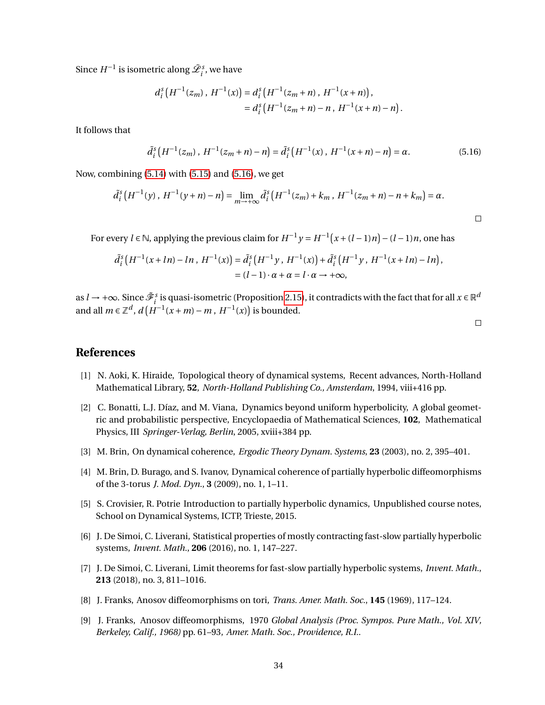Since  $H^{-1}$  is isometric along  $\tilde{\mathscr{L}}^s_i$  , we have

$$
d_i^s\left(H^{-1}(z_m), H^{-1}(x)\right) = d_i^s\left(H^{-1}(z_m+n), H^{-1}(x+n)\right),
$$
  
=  $d_i^s\left(H^{-1}(z_m+n)-n, H^{-1}(x+n)-n\right).$ 

It follows that

$$
\tilde{d}_i^s \left( H^{-1}(z_m) \, , \, H^{-1}(z_m + n) - n \right) = \tilde{d}_i^s \left( H^{-1}(x) \, , \, H^{-1}(x + n) - n \right) = \alpha. \tag{5.16}
$$

Now, combining [\(5.14\)](#page-32-2) with [\(5.15\)](#page-32-3) and [\(5.16\)](#page-33-9), we get

$$
\tilde{d}_{i}^{s}(H^{-1}(y), H^{-1}(y+n)-n) = \lim_{m \to +\infty} \tilde{d}_{i}^{s}(H^{-1}(z_{m})+k_{m}, H^{-1}(z_{m}+n)-n+k_{m}) = \alpha.
$$

For every  $l \in \mathbb{N}$ , applying the previous claim for  $H^{-1}y = H^{-1}(x + (l-1)n) - (l-1)n$ , one has

$$
\tilde{d}_{i}^{s}(H^{-1}(x + ln) - ln, H^{-1}(x)) = \tilde{d}_{i}^{s}(H^{-1}y, H^{-1}(x)) + \tilde{d}_{i}^{s}(H^{-1}y, H^{-1}(x + ln) - ln),
$$
  
=  $(l - 1) \cdot \alpha + \alpha = l \cdot \alpha \to +\infty$ ,

as  $l \to +\infty$ . Since  $\tilde{\mathscr{F}}_i^s$  is quasi-isometric (Proposition [2.15\)](#page-11-0), it contradicts with the fact that for all  $x \in \mathbb{R}^d$ and all  $m \in \mathbb{Z}^d$ ,  $d(H^{-1}(x+m)-m, H^{-1}(x))$  is bounded.

<span id="page-33-9"></span> $\Box$ 

## **References**

- <span id="page-33-2"></span>[1] N. Aoki, K. Hiraide, Topological theory of dynamical systems, Recent advances, North-Holland Mathematical Library, **52**, *North-Holland Publishing Co., Amsterdam*, 1994, viii+416 pp.
- <span id="page-33-5"></span>[2] C. Bonatti, L.J. Díaz, and M. Viana, Dynamics beyond uniform hyperbolicity, A global geometric and probabilistic perspective, Encyclopaedia of Mathematical Sciences, **102**, Mathematical Physics, III *Springer-Verlag, Berlin*, 2005, xviii+384 pp.
- <span id="page-33-7"></span>[3] M. Brin, On dynamical coherence, *Ergodic Theory Dynam. Systems*, **23** (2003), no. 2, 395–401.
- <span id="page-33-8"></span>[4] M. Brin, D. Burago, and S. Ivanov, Dynamical coherence of partially hyperbolic diffeomorphisms of the 3-torus *J. Mod. Dyn.*, **3** (2009), no. 1, 1–11.
- <span id="page-33-6"></span>[5] S. Crovisier, R. Potrie Introduction to partially hyperbolic dynamics, Unpublished course notes, School on Dynamical Systems, ICTP, Trieste, 2015.
- <span id="page-33-3"></span>[6] J. De Simoi, C. Liverani, Statistical properties of mostly contracting fast-slow partially hyperbolic systems, *Invent. Math.*, **206** (2016), no. 1, 147–227.
- <span id="page-33-4"></span>[7] J. De Simoi, C. Liverani, Limit theorems for fast-slow partially hyperbolic systems, *Invent. Math.*, **213** (2018), no. 3, 811–1016.
- <span id="page-33-1"></span>[8] J. Franks, Anosov diffeomorphisms on tori, *Trans. Amer. Math. Soc.*, **145** (1969), 117–124.
- <span id="page-33-0"></span>[9] J. Franks, Anosov diffeomorphisms, 1970 *Global Analysis (Proc. Sympos. Pure Math., Vol. XIV, Berkeley, Calif., 1968)* pp. 61–93, *Amer. Math. Soc., Providence, R.I.*.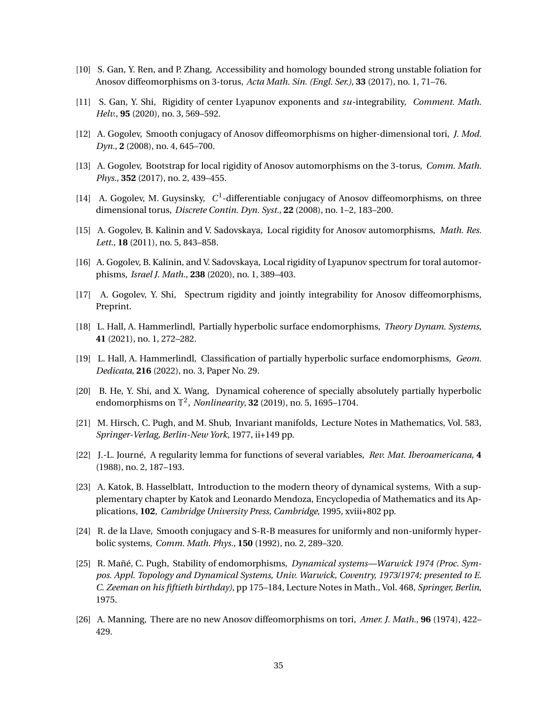- <span id="page-34-13"></span>[10] S. Gan, Y. Ren, and P. Zhang, Accessibility and homology bounded strong unstable foliation for Anosov diffeomorphisms on 3-torus, *Acta Math. Sin. (Engl. Ser.)*, **33** (2017), no. 1, 71–76.
- <span id="page-34-5"></span>[11] S. Gan, Y. Shi, Rigidity of center Lyapunov exponents and *su*-integrability, *Comment. Math. Helv.*, **95** (2020), no. 3, 569–592.
- <span id="page-34-3"></span>[12] A. Gogolev, Smooth conjugacy of Anosov diffeomorphisms on higher-dimensional tori, *J. Mod. Dyn.*, **2** (2008), no. 4, 645–700.
- <span id="page-34-8"></span>[13] A. Gogolev, Bootstrap for local rigidity of Anosov automorphisms on the 3-torus, *Comm. Math. Phys.*, **352** (2017), no. 2, 439–455.
- <span id="page-34-2"></span>[14] A. Gogolev, M. Guysinsky, C<sup>1</sup>-differentiable conjugacy of Anosov diffeomorphisms, on three dimensional torus, *Discrete Contin. Dyn. Syst.*, **22** (2008), no. 1–2, 183–200.
- <span id="page-34-4"></span>[15] A. Gogolev, B. Kalinin and V. Sadovskaya, Local rigidity for Anosov automorphisms, *Math. Res. Lett.*, **18** (2011), no. 5, 843–858.
- <span id="page-34-9"></span>[16] A. Gogolev, B. Kalinin, and V. Sadovskaya, Local rigidity of Lyapunov spectrum for toral automorphisms, *Israel J. Math.*, **238** (2020), no. 1, 389–403.
- <span id="page-34-6"></span>[17] A. Gogolev, Y. Shi, Spectrum rigidity and jointly integrability for Anosov diffeomorphisms, Preprint.
- <span id="page-34-11"></span>[18] L. Hall, A. Hammerlindl, Partially hyperbolic surface endomorphisms, *Theory Dynam. Systems*, **41** (2021), no. 1, 272–282.
- <span id="page-34-12"></span>[19] L. Hall, A. Hammerlindl, Classification of partially hyperbolic surface endomorphisms, *Geom. Dedicata*, **216** (2022), no. 3, Paper No. 29.
- <span id="page-34-10"></span>[20] B. He, Y. Shi, and X. Wang, Dynamical coherence of specially absolutely partially hyperbolic endomorphisms on  $\mathbb{T}^2$ , *Nonlinearity*, **32** (2019), no. 5, 1695–1704.
- <span id="page-34-14"></span>[21] M. Hirsch, C. Pugh, and M. Shub, Invariant manifolds, Lecture Notes in Mathematics, Vol. 583, *Springer-Verlag, Berlin-New York*, 1977, ii+149 pp.
- <span id="page-34-15"></span>[22] J.-L. Journé, A regularity lemma for functions of several variables, *Rev. Mat. Iberoamericana*, **4** (1988), no. 2, 187–193.
- <span id="page-34-16"></span>[23] A. Katok, B. Hasselblatt, Introduction to the modern theory of dynamical systems, With a supplementary chapter by Katok and Leonardo Mendoza, Encyclopedia of Mathematics and its Applications, **102**, *Cambridge University Press, Cambridge*, 1995, xviii+802 pp.
- <span id="page-34-7"></span>[24] R. de la Llave, Smooth conjugacy and S-R-B measures for uniformly and non-uniformly hyperbolic systems, *Comm. Math. Phys.*, **150** (1992), no. 2, 289–320.
- <span id="page-34-1"></span>[25] R. Mañé, C. Pugh, Stability of endomorphisms, *Dynamical systems—Warwick 1974 (Proc. Sympos. Appl. Topology and Dynamical Systems, Univ. Warwick, Coventry, 1973/1974; presented to E. C. Zeeman on his fiftieth birthday)*, pp 175–184, Lecture Notes in Math., Vol. 468, *Springer, Berlin*, 1975.
- <span id="page-34-0"></span>[26] A. Manning, There are no new Anosov diffeomorphisms on tori, *Amer. J. Math.*, **96** (1974), 422– 429.